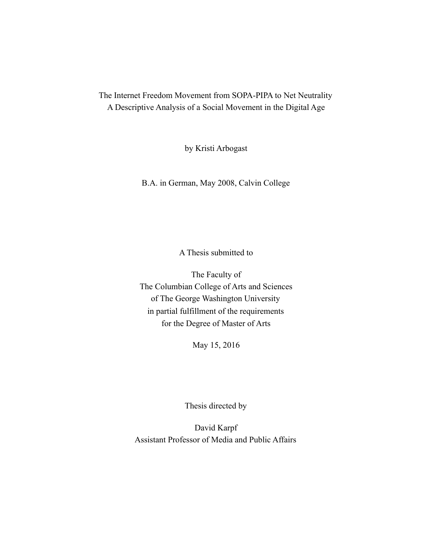The Internet Freedom Movement from SOPA-PIPA to Net Neutrality A Descriptive Analysis of a Social Movement in the Digital Age

by Kristi Arbogast

B.A. in German, May 2008, Calvin College

A Thesis submitted to

The Faculty of The Columbian College of Arts and Sciences of The George Washington University in partial fulfillment of the requirements for the Degree of Master of Arts

May 15, 2016

Thesis directed by

David Karpf Assistant Professor of Media and Public Affairs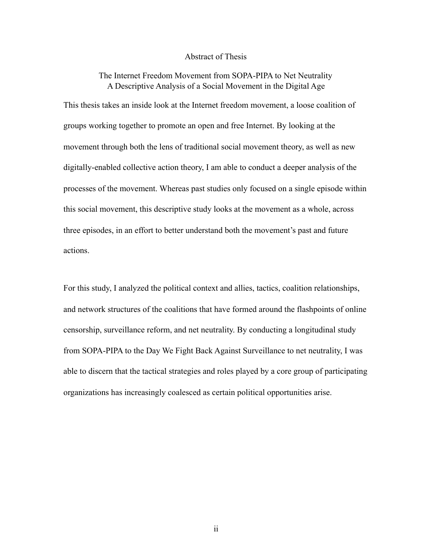#### Abstract of Thesis

# The Internet Freedom Movement from SOPA-PIPA to Net Neutrality A Descriptive Analysis of a Social Movement in the Digital Age

This thesis takes an inside look at the Internet freedom movement, a loose coalition of groups working together to promote an open and free Internet. By looking at the movement through both the lens of traditional social movement theory, as well as new digitally-enabled collective action theory, I am able to conduct a deeper analysis of the processes of the movement. Whereas past studies only focused on a single episode within this social movement, this descriptive study looks at the movement as a whole, across three episodes, in an effort to better understand both the movement's past and future actions.

For this study, I analyzed the political context and allies, tactics, coalition relationships, and network structures of the coalitions that have formed around the flashpoints of online censorship, surveillance reform, and net neutrality. By conducting a longitudinal study from SOPA-PIPA to the Day We Fight Back Against Surveillance to net neutrality, I was able to discern that the tactical strategies and roles played by a core group of participating organizations has increasingly coalesced as certain political opportunities arise.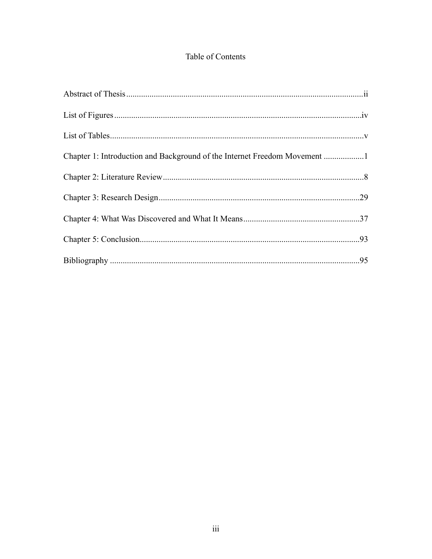# Table of Contents

| Chapter 1: Introduction and Background of the Internet Freedom Movement 1 |  |
|---------------------------------------------------------------------------|--|
|                                                                           |  |
|                                                                           |  |
|                                                                           |  |
|                                                                           |  |
|                                                                           |  |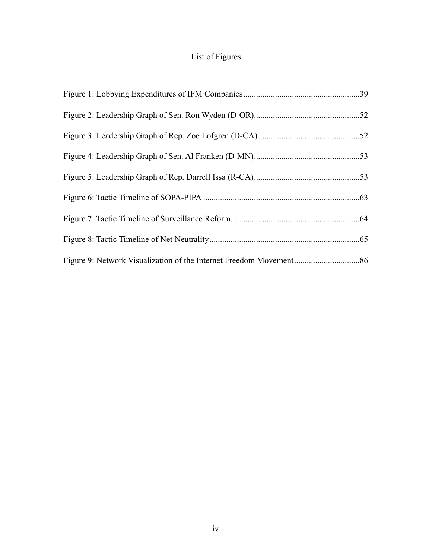# List of Figures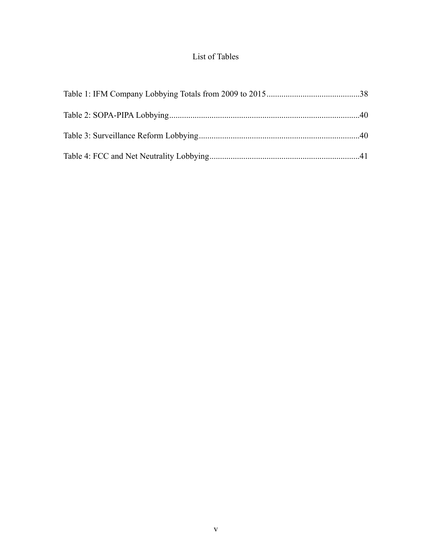# List of Tables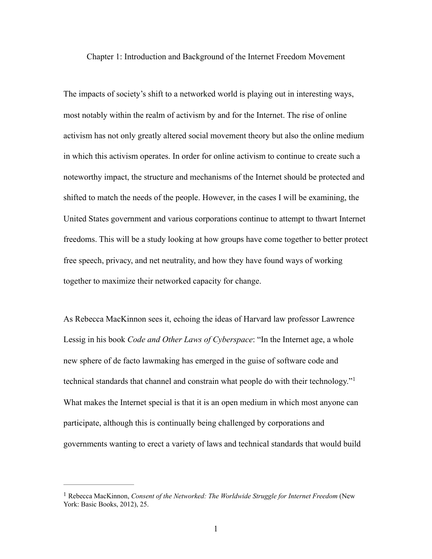Chapter 1: Introduction and Background of the Internet Freedom Movement

The impacts of society's shift to a networked world is playing out in interesting ways, most notably within the realm of activism by and for the Internet. The rise of online activism has not only greatly altered social movement theory but also the online medium in which this activism operates. In order for online activism to continue to create such a noteworthy impact, the structure and mechanisms of the Internet should be protected and shifted to match the needs of the people. However, in the cases I will be examining, the United States government and various corporations continue to attempt to thwart Internet freedoms. This will be a study looking at how groups have come together to better protect free speech, privacy, and net neutrality, and how they have found ways of working together to maximize their networked capacity for change.

<span id="page-5-1"></span>As Rebecca MacKinnon sees it, echoing the ideas of Harvard law professor Lawrence Lessig in his book *Code and Other Laws of Cyberspace*: "In the Internet age, a whole new sphere of de facto lawmaking has emerged in the guise of software code and technical standards that channel and constrain what people do with their technology."[1](#page-5-0) What makes the Internet special is that it is an open medium in which most anyone can participate, although this is continually being challenged by corporations and governments wanting to erect a variety of laws and technical standards that would build

<span id="page-5-0"></span>Rebecca MacKinnon, *Consent of the Networked: The Worldwide Struggle for Internet Freedom* (New [1](#page-5-1) York: Basic Books, 2012), 25.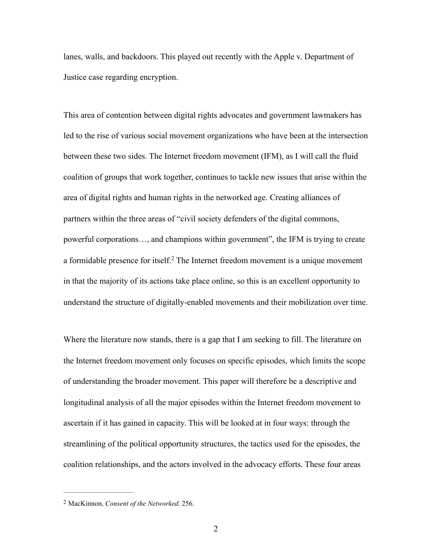lanes, walls, and backdoors. This played out recently with the Apple v. Department of Justice case regarding encryption.

This area of contention between digital rights advocates and government lawmakers has led to the rise of various social movement organizations who have been at the intersection between these two sides. The Internet freedom movement (IFM), as I will call the fluid coalition of groups that work together, continues to tackle new issues that arise within the area of digital rights and human rights in the networked age. Creating alliances of partners within the three areas of "civil society defenders of the digital commons, powerful corporations…, and champions within government", the IFM is trying to create aformidable presence for itself.<sup>[2](#page-6-0)</sup> The Internet freedom movement is a unique movement in that the majority of its actions take place online, so this is an excellent opportunity to understand the structure of digitally-enabled movements and their mobilization over time.

<span id="page-6-1"></span>Where the literature now stands, there is a gap that I am seeking to fill. The literature on the Internet freedom movement only focuses on specific episodes, which limits the scope of understanding the broader movement. This paper will therefore be a descriptive and longitudinal analysis of all the major episodes within the Internet freedom movement to ascertain if it has gained in capacity. This will be looked at in four ways: through the streamlining of the political opportunity structures, the tactics used for the episodes, the coalition relationships, and the actors involved in the advocacy efforts. These four areas

<span id="page-6-0"></span>MacKinnon, *Consent of the Networked,* 256. [2](#page-6-1)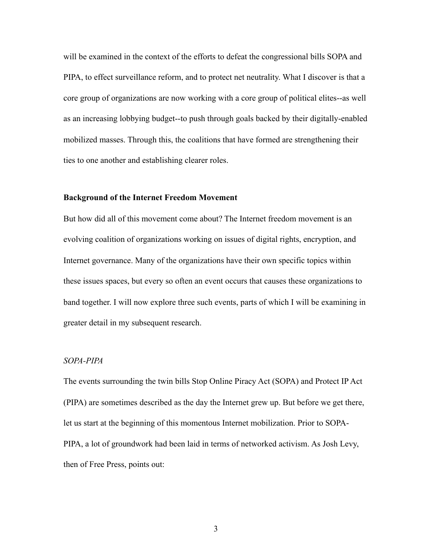will be examined in the context of the efforts to defeat the congressional bills SOPA and PIPA, to effect surveillance reform, and to protect net neutrality. What I discover is that a core group of organizations are now working with a core group of political elites--as well as an increasing lobbying budget--to push through goals backed by their digitally-enabled mobilized masses. Through this, the coalitions that have formed are strengthening their ties to one another and establishing clearer roles.

#### **Background of the Internet Freedom Movement**

But how did all of this movement come about? The Internet freedom movement is an evolving coalition of organizations working on issues of digital rights, encryption, and Internet governance. Many of the organizations have their own specific topics within these issues spaces, but every so often an event occurs that causes these organizations to band together. I will now explore three such events, parts of which I will be examining in greater detail in my subsequent research.

# *SOPA-PIPA*

The events surrounding the twin bills Stop Online Piracy Act (SOPA) and Protect IP Act (PIPA) are sometimes described as the day the Internet grew up. But before we get there, let us start at the beginning of this momentous Internet mobilization. Prior to SOPA-PIPA, a lot of groundwork had been laid in terms of networked activism. As Josh Levy, then of Free Press, points out: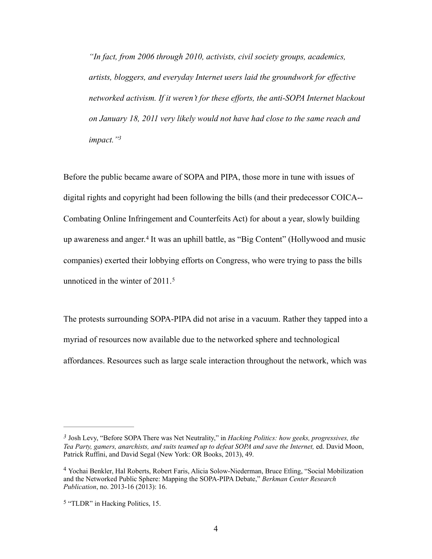*"In fact, from 2006 through 2010, activists, civil society groups, academics, artists, bloggers, and everyday Internet users laid the groundwork for effective networked activism. If it weren't for these efforts, the anti-SOPA Internet blackout on January 18, 2011 very likely would not have had close to the same reach and impact.["3](#page-8-0)*

<span id="page-8-4"></span><span id="page-8-3"></span>Before the public became aware of SOPA and PIPA, those more in tune with issues of digital rights and copyright had been following the bills (and their predecessor COICA-- Combating Online Infringement and Counterfeits Act) for about a year, slowly building upawareness and anger.<sup>[4](#page-8-1)</sup> It was an uphill battle, as "Big Content" (Hollywood and music companies) exerted their lobbying efforts on Congress, who were trying to pass the bills unnoticed in the winter of 2011.<sup>[5](#page-8-2)</sup>

<span id="page-8-5"></span>The protests surrounding SOPA-PIPA did not arise in a vacuum. Rather they tapped into a myriad of resources now available due to the networked sphere and technological affordances. Resources such as large scale interaction throughout the network, which was

<span id="page-8-0"></span>Josh Levy, "Before SOPA There was Net Neutrality," in *Hacking Politics: how geeks, progressives, the [3](#page-8-3) Tea Party, gamers, anarchists, and suits teamed up to defeat SOPA and save the Internet,* ed. David Moon, Patrick Ruffini, and David Segal (New York: OR Books, 2013), 49.

<span id="page-8-1"></span>Yochai Benkler, Hal Roberts, Robert Faris, Alicia Solow-Niederman, Bruce Etling, "Social Mobilization [4](#page-8-4) and the Networked Public Sphere: Mapping the SOPA-PIPA Debate," *Berkman Center Research Publication*, no. 2013-16 (2013): 16.

<span id="page-8-2"></span><sup>&</sup>lt;sup>[5](#page-8-5)</sup> "TLDR" in Hacking Politics, 15.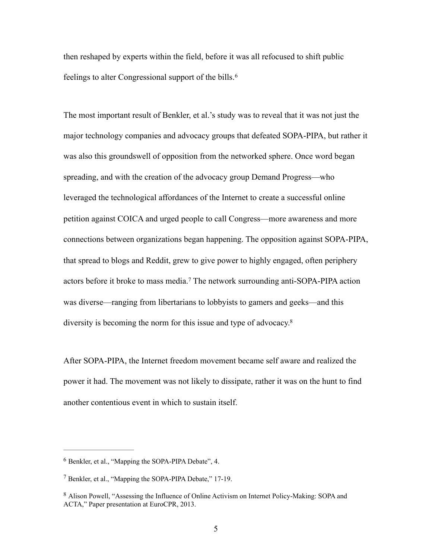<span id="page-9-3"></span>then reshaped by experts within the field, before it was all refocused to shift public feelings to alter Congressional support of the bills.[6](#page-9-0)

The most important result of Benkler, et al.'s study was to reveal that it was not just the major technology companies and advocacy groups that defeated SOPA-PIPA, but rather it was also this groundswell of opposition from the networked sphere. Once word began spreading, and with the creation of the advocacy group Demand Progress—who leveraged the technological affordances of the Internet to create a successful online petition against COICA and urged people to call Congress—more awareness and more connections between organizations began happening. The opposition against SOPA-PIPA, that spread to blogs and Reddit, grew to give power to highly engaged, often periphery actorsbefore it broke to mass media.<sup>[7](#page-9-1)</sup> The network surrounding anti-SOPA-PIPA action was diverse—ranging from libertarians to lobbyists to gamers and geeks—and this diversity is becoming the norm for this issue and type of advocacy[.8](#page-9-2)

<span id="page-9-5"></span><span id="page-9-4"></span>After SOPA-PIPA, the Internet freedom movement became self aware and realized the power it had. The movement was not likely to dissipate, rather it was on the hunt to find another contentious event in which to sustain itself.

<span id="page-9-0"></span> $6$  Benkler, et al., "Mapping the SOPA-PIPA Debate", 4.

<span id="page-9-1"></span><sup>&</sup>lt;sup>[7](#page-9-4)</sup> Benkler, et al., "Mapping the SOPA-PIPA Debate," 17-19.

<span id="page-9-2"></span><sup>&</sup>lt;sup>[8](#page-9-5)</sup> Alison Powell, "Assessing the Influence of Online Activism on Internet Policy-Making: SOPA and ACTA," Paper presentation at EuroCPR, 2013.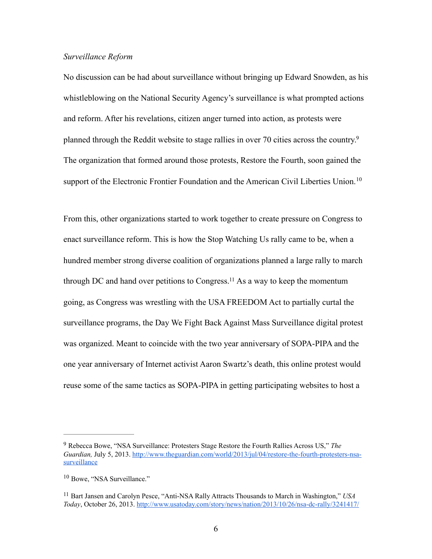# *Surveillance Reform*

No discussion can be had about surveillance without bringing up Edward Snowden, as his whistleblowing on the National Security Agency's surveillance is what prompted actions and reform. After his revelations, citizen anger turned into action, as protests were planned through the Reddit website to stage rallies in over 70 cities across the country[.9](#page-10-0) The organization that formed around those protests, Restore the Fourth, soon gained the support of the Electronic Frontier Foundation and the American Civil Liberties Union.<sup>[10](#page-10-1)</sup>

<span id="page-10-5"></span><span id="page-10-4"></span><span id="page-10-3"></span>From this, other organizations started to work together to create pressure on Congress to enact surveillance reform. This is how the Stop Watching Us rally came to be, when a hundred member strong diverse coalition of organizations planned a large rally to march through DC and hand over petitions to Congress[.](#page-10-2)<sup>[11](#page-10-2)</sup> As a way to keep the momentum going, as Congress was wrestling with the USA FREEDOM Act to partially curtal the surveillance programs, the Day We Fight Back Against Mass Surveillance digital protest was organized. Meant to coincide with the two year anniversary of SOPA-PIPA and the one year anniversary of Internet activist Aaron Swartz's death, this online protest would reuse some of the same tactics as SOPA-PIPA in getting participating websites to host a

<span id="page-10-0"></span>Rebecca Bowe, "NSA Surveillance: Protesters Stage Restore the Fourth Rallies Across US," *The* [9](#page-10-3) *Guardian,* [July 5, 2013. http://www.theguardian.com/world/2013/jul/04/restore-the-fourth-protesters-nsa](http://www.theguardian.com/world/2013/jul/04/restore-the-fourth-protesters-nsa-surveillance)surveillance

<span id="page-10-1"></span><sup>&</sup>lt;sup>[10](#page-10-4)</sup> Bowe, "NSA Surveillance."

<span id="page-10-2"></span><sup>&</sup>lt;sup>[11](#page-10-5)</sup> Bart Jansen and Carolyn Pesce, "Anti-NSA Rally Attracts Thousands to March in Washington," *USA Today*, October 26, 2013. <http://www.usatoday.com/story/news/nation/2013/10/26/nsa-dc-rally/3241417/>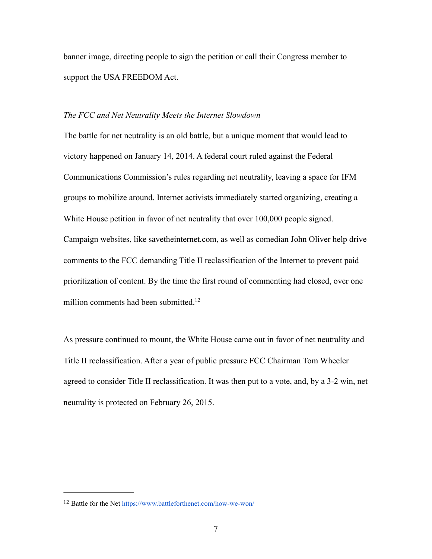banner image, directing people to sign the petition or call their Congress member to support the USA FREEDOM Act.

#### *The FCC and Net Neutrality Meets the Internet Slowdown*

The battle for net neutrality is an old battle, but a unique moment that would lead to victory happened on January 14, 2014. A federal court ruled against the Federal Communications Commission's rules regarding net neutrality, leaving a space for IFM groups to mobilize around. Internet activists immediately started organizing, creating a White House petition in favor of net neutrality that over 100,000 people signed. Campaign websites, like savetheinternet.com, as well as comedian John Oliver help drive comments to the FCC demanding Title II reclassification of the Internet to prevent paid prioritization of content. By the time the first round of commenting had closed, over one million comments had been submitted.<sup>12</sup>

<span id="page-11-1"></span>As pressure continued to mount, the White House came out in favor of net neutrality and Title II reclassification. After a year of public pressure FCC Chairman Tom Wheeler agreed to consider Title II reclassification. It was then put to a vote, and, by a 3-2 win, net neutrality is protected on February 26, 2015.

<span id="page-11-0"></span><sup>&</sup>lt;sup>12</sup> Battle for the Net <https://www.battleforthenet.com/how-we-won/>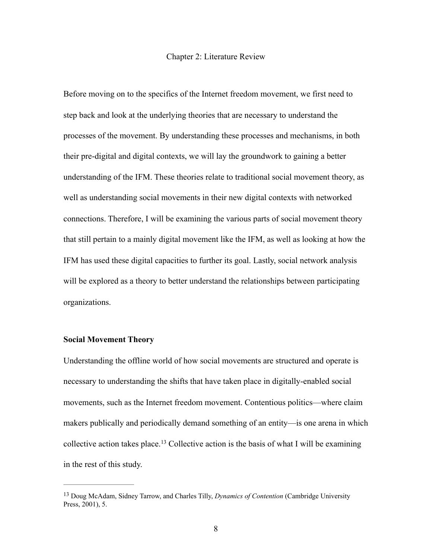#### Chapter 2: Literature Review

Before moving on to the specifics of the Internet freedom movement, we first need to step back and look at the underlying theories that are necessary to understand the processes of the movement. By understanding these processes and mechanisms, in both their pre-digital and digital contexts, we will lay the groundwork to gaining a better understanding of the IFM. These theories relate to traditional social movement theory, as well as understanding social movements in their new digital contexts with networked connections. Therefore, I will be examining the various parts of social movement theory that still pertain to a mainly digital movement like the IFM, as well as looking at how the IFM has used these digital capacities to further its goal. Lastly, social network analysis will be explored as a theory to better understand the relationships between participating organizations.

# **Social Movement Theory**

Understanding the offline world of how social movements are structured and operate is necessary to understanding the shifts that have taken place in digitally-enabled social movements, such as the Internet freedom movement. Contentious politics—where claim makers publically and periodically demand something of an entity—is one arena in which collectiveaction takes place.<sup>[13](#page-12-0)</sup> Collective action is the basis of what I will be examining in the rest of this study.

<span id="page-12-1"></span><span id="page-12-0"></span><sup>&</sup>lt;sup>[13](#page-12-1)</sup> Doug McAdam, Sidney Tarrow, and Charles Tilly, *Dynamics of Contention* (Cambridge University Press, 2001), 5.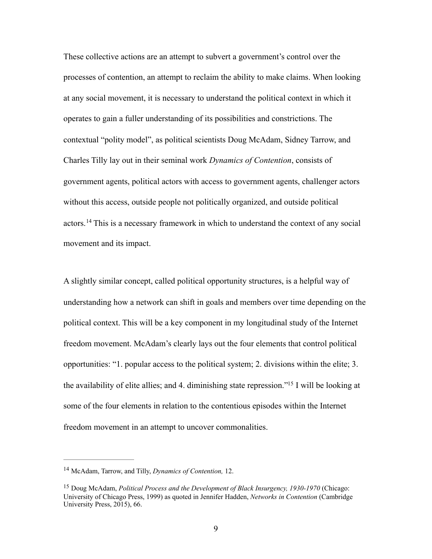These collective actions are an attempt to subvert a government's control over the processes of contention, an attempt to reclaim the ability to make claims. When looking at any social movement, it is necessary to understand the political context in which it operates to gain a fuller understanding of its possibilities and constrictions. The contextual "polity model", as political scientists Doug McAdam, Sidney Tarrow, and Charles Tilly lay out in their seminal work *Dynamics of Contention*, consists of government agents, political actors with access to government agents, challenger actors without this access, outside people not politically organized, and outside political actors.<sup>14</sup>This is a necessary framework in which to understand the context of any social movement and its impact.

<span id="page-13-2"></span>A slightly similar concept, called political opportunity structures, is a helpful way of understanding how a network can shift in goals and members over time depending on the political context. This will be a key component in my longitudinal study of the Internet freedom movement. McAdam's clearly lays out the four elements that control political opportunities: "1. popular access to the political system; 2. divisions within the elite; 3. the availability of elite allies; and 4. diminishing state repression.["](#page-13-1)<sup>[15](#page-13-1)</sup> I will be looking at some of the four elements in relation to the contentious episodes within the Internet freedom movement in an attempt to uncover commonalities.

<span id="page-13-3"></span><span id="page-13-0"></span><sup>&</sup>lt;sup>[14](#page-13-2)</sup> McAdam, Tarrow, and Tilly, *Dynamics of Contention*, 12.

<span id="page-13-1"></span><sup>&</sup>lt;sup>[15](#page-13-3)</sup> Doug McAdam, *Political Process and the Development of Black Insurgency, 1930-1970* (Chicago: University of Chicago Press, 1999) as quoted in Jennifer Hadden, *Networks in Contention* (Cambridge University Press, 2015), 66.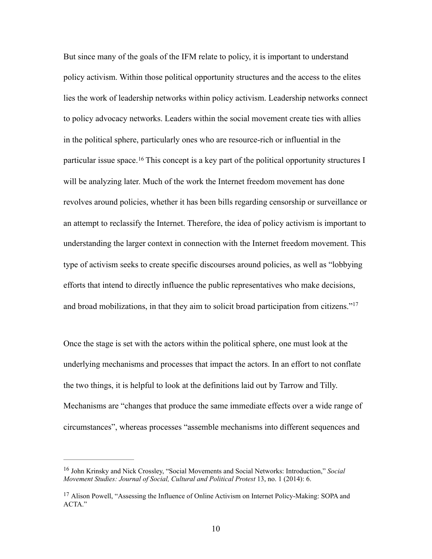<span id="page-14-2"></span>But since many of the goals of the IFM relate to policy, it is important to understand policy activism. Within those political opportunity structures and the access to the elites lies the work of leadership networks within policy activism. Leadership networks connect to policy advocacy networks. Leaders within the social movement create ties with allies in the political sphere, particularly ones who are resource-rich or influential in the particularissue space. <sup>[16](#page-14-0)</sup> This concept is a key part of the political opportunity structures I will be analyzing later. Much of the work the Internet freedom movement has done revolves around policies, whether it has been bills regarding censorship or surveillance or an attempt to reclassify the Internet. Therefore, the idea of policy activism is important to understanding the larger context in connection with the Internet freedom movement. This type of activism seeks to create specific discourses around policies, as well as "lobbying efforts that intend to directly influence the public representatives who make decisions, and broad mobilizations, in that they aim to solicit broad participation from citizens."[17](#page-14-1)

<span id="page-14-3"></span>Once the stage is set with the actors within the political sphere, one must look at the underlying mechanisms and processes that impact the actors. In an effort to not conflate the two things, it is helpful to look at the definitions laid out by Tarrow and Tilly. Mechanisms are "changes that produce the same immediate effects over a wide range of circumstances", whereas processes "assemble mechanisms into different sequences and

<span id="page-14-0"></span><sup>&</sup>lt;sup>[16](#page-14-2)</sup> John Krinsky and Nick Crossley, "Social Movements and Social Networks: Introduction," Social *Movement Studies: Journal of Social, Cultural and Political Protest* 13, no. 1 (2014): 6.

<span id="page-14-1"></span><sup>&</sup>lt;sup>[17](#page-14-3)</sup> Alison Powell, "Assessing the Influence of Online Activism on Internet Policy-Making: SOPA and ACTA."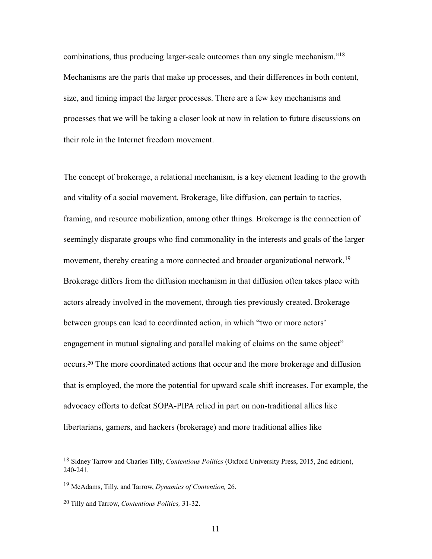<span id="page-15-3"></span>combinations, thus producing larger-scale outcomes than any single mechanism.["18](#page-15-0) Mechanisms are the parts that make up processes, and their differences in both content, size, and timing impact the larger processes. There are a few key mechanisms and processes that we will be taking a closer look at now in relation to future discussions on their role in the Internet freedom movement.

<span id="page-15-4"></span>The concept of brokerage, a relational mechanism, is a key element leading to the growth and vitality of a social movement. Brokerage, like diffusion, can pertain to tactics, framing, and resource mobilization, among other things. Brokerage is the connection of seemingly disparate groups who find commonality in the interests and goals of the larger movement, thereby creating a more connected and broader organizational network.<sup>[19](#page-15-1)</sup> Brokerage differs from the diffusion mechanism in that diffusion often takes place with actors already involved in the movement, through ties previously created. Brokerage between groups can lead to coordinated action, in which "two or more actors' engagement in mutual signaling and parallel making of claims on the same object" occurs[.](#page-15-2)<sup>[20](#page-15-2)</sup> The more coordinated actions that occur and the more brokerage and diffusion that is employed, the more the potential for upward scale shift increases. For example, the advocacy efforts to defeat SOPA-PIPA relied in part on non-traditional allies like libertarians, gamers, and hackers (brokerage) and more traditional allies like

<span id="page-15-5"></span><span id="page-15-0"></span><sup>&</sup>lt;sup>[18](#page-15-3)</sup> Sidney Tarrow and Charles Tilly, *Contentious Politics* (Oxford University Press, 2015, 2nd edition), 240-241.

<span id="page-15-1"></span><sup>&</sup>lt;sup>[19](#page-15-4)</sup> McAdams, Tilly, and Tarrow, *Dynamics of Contention*, 26.

<span id="page-15-2"></span><sup>&</sup>lt;sup>[20](#page-15-5)</sup> Tilly and Tarrow, *Contentious Politics*, 31-32.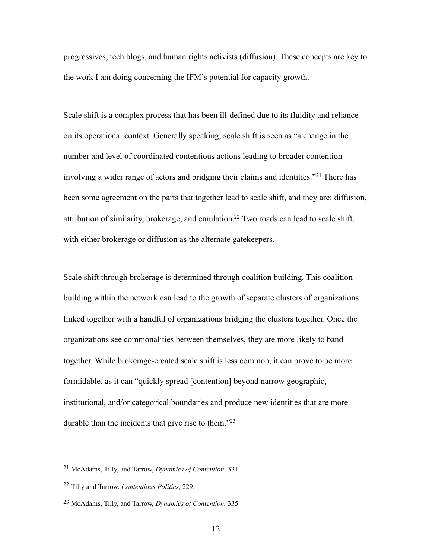progressives, tech blogs, and human rights activists (diffusion). These concepts are key to the work I am doing concerning the IFM's potential for capacity growth.

<span id="page-16-3"></span>Scale shift is a complex process that has been ill-defined due to its fluidity and reliance on its operational context. Generally speaking, scale shift is seen as "a change in the number and level of coordinated contentious actions leading to broader contention involvinga wider range of actors and bridging their claims and identities."<sup>[21](#page-16-0)</sup> There has been some agreement on the parts that together lead to scale shift, and they are: diffusion, attribution of similarity, brokerage, and emulation[.](#page-16-1)<sup>[22](#page-16-1)</sup> Two roads can lead to scale shift, with either brokerage or diffusion as the alternate gatekeepers.

<span id="page-16-4"></span>Scale shift through brokerage is determined through coalition building. This coalition building within the network can lead to the growth of separate clusters of organizations linked together with a handful of organizations bridging the clusters together. Once the organizations see commonalities between themselves, they are more likely to band together. While brokerage-created scale shift is less common, it can prove to be more formidable, as it can "quickly spread [contention] beyond narrow geographic, institutional, and/or categorical boundaries and produce new identities that are more durable than the incidents that give rise to them.<sup>["23](#page-16-2)</sup>

<span id="page-16-5"></span><span id="page-16-0"></span><sup>&</sup>lt;sup>[21](#page-16-3)</sup> McAdams, Tilly, and Tarrow, *Dynamics of Contention*, 331.

<span id="page-16-1"></span><sup>&</sup>lt;sup>[22](#page-16-4)</sup> Tilly and Tarrow, *Contentious Politics*, 229.

<span id="page-16-2"></span><sup>&</sup>lt;sup>[23](#page-16-5)</sup> McAdams, Tilly, and Tarrow, *Dynamics of Contention*, 335.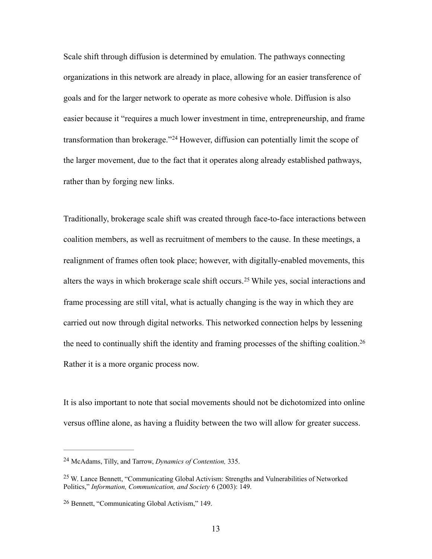Scale shift through diffusion is determined by emulation. The pathways connecting organizations in this network are already in place, allowing for an easier transference of goals and for the larger network to operate as more cohesive whole. Diffusion is also easier because it "requires a much lower investment in time, entrepreneurship, and frame transformationthan brokerage."<sup>[24](#page-17-0)</sup> However, diffusion can potentially limit the scope of the larger movement, due to the fact that it operates along already established pathways, rather than by forging new links.

<span id="page-17-4"></span><span id="page-17-3"></span>Traditionally, brokerage scale shift was created through face-to-face interactions between coalition members, as well as recruitment of members to the cause. In these meetings, a realignment of frames often took place; however, with digitally-enabled movements, this altersthe ways in which brokerage scale shift occurs.<sup>[25](#page-17-1)</sup> While yes, social interactions and frame processing are still vital, what is actually changing is the way in which they are carried out now through digital networks. This networked connection helps by lessening the need to continually shift the identity and framing processes of the shifting coalition.<sup>[26](#page-17-2)</sup> Rather it is a more organic process now.

<span id="page-17-5"></span>It is also important to note that social movements should not be dichotomized into online versus offline alone, as having a fluidity between the two will allow for greater success.

<span id="page-17-0"></span>McAdams, Tilly, and Tarrow, *Dynamics of Contention,* 335. [24](#page-17-3)

<span id="page-17-1"></span> $^{25}$  $^{25}$  $^{25}$  W. Lance Bennett, "Communicating Global Activism: Strengths and Vulnerabilities of Networked Politics," *Information, Communication, and Society* 6 (2003): 149.

<span id="page-17-2"></span><sup>&</sup>lt;sup>[26](#page-17-5)</sup> Bennett, "Communicating Global Activism," 149.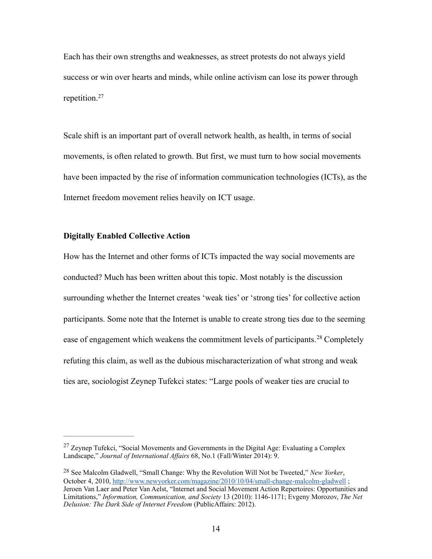Each has their own strengths and weaknesses, as street protests do not always yield success or win over hearts and minds, while online activism can lose its power through repetition.[27](#page-18-0)

<span id="page-18-2"></span>Scale shift is an important part of overall network health, as health, in terms of social movements, is often related to growth. But first, we must turn to how social movements have been impacted by the rise of information communication technologies (ICTs), as the Internet freedom movement relies heavily on ICT usage.

# **Digitally Enabled Collective Action**

<span id="page-18-3"></span>How has the Internet and other forms of ICTs impacted the way social movements are conducted? Much has been written about this topic. Most notably is the discussion surrounding whether the Internet creates 'weak ties' or 'strong ties' for collective action participants. Some note that the Internet is unable to create strong ties due to the seeming easeof engagement which weakens the commitment levels of participants.<sup>[28](#page-18-1)</sup> Completely refuting this claim, as well as the dubious mischaracterization of what strong and weak ties are, sociologist Zeynep Tufekci states: "Large pools of weaker ties are crucial to

<span id="page-18-0"></span><sup>&</sup>lt;sup>[27](#page-18-2)</sup> Zeynep Tufekci, "Social Movements and Governments in the Digital Age: Evaluating a Complex Landscape," *Journal of International Affairs* 68, No.1 (Fall/Winter 2014): 9.

<span id="page-18-1"></span><sup>&</sup>lt;sup>[28](#page-18-3)</sup> See Malcolm Gladwell, "Small Change: Why the Revolution Will Not be Tweeted," *New Yorker*, October 4, 2010, <http://www.newyorker.com/magazine/2010/10/04/small-change-malcolm-gladwell>; Jeroen Van Laer and Peter Van Aelst, "Internet and Social Movement Action Repertoires: Opportunities and Limitations," *Information, Communication, and Society* 13 (2010): 1146-1171; Evgeny Morozov, *The Net Delusion: The Dark Side of Internet Freedom* (PublicAffairs: 2012).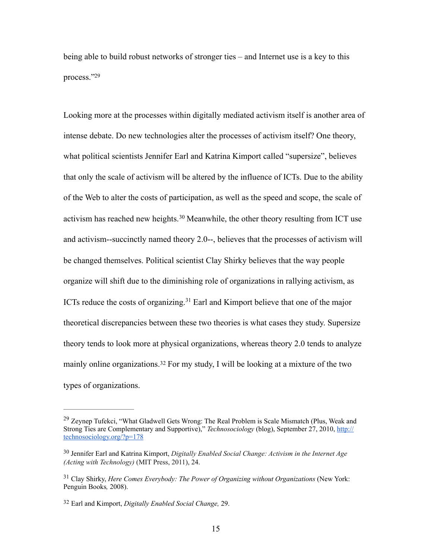<span id="page-19-4"></span>being able to build robust networks of stronger ties – and Internet use is a key to this process.["29](#page-19-0)

<span id="page-19-5"></span>Looking more at the processes within digitally mediated activism itself is another area of intense debate. Do new technologies alter the processes of activism itself? One theory, what political scientists Jennifer Earl and Katrina Kimport called "supersize", believes that only the scale of activism will be altered by the influence of ICTs. Due to the ability of the Web to alter the costs of participation, as well as the speed and scope, the scale of activismhas reached new heights.<sup>[30](#page-19-1)</sup> Meanwhile, the other theory resulting from ICT use and activism--succinctly named theory 2.0--, believes that the processes of activism will be changed themselves. Political scientist Clay Shirky believes that the way people organize will shift due to the diminishing role of organizations in rallying activism, as ICTsreduce the costs of organizing.<sup>[31](#page-19-2)</sup> Earl and Kimport believe that one of the major theoretical discrepancies between these two theories is what cases they study. Supersize theory tends to look more at physical organizations, whereas theory 2.0 tends to analyze mainlyonline organizations.<sup>[32](#page-19-3)</sup> For my study, I will be looking at a mixture of the two types of organizations.

<span id="page-19-7"></span><span id="page-19-6"></span><span id="page-19-0"></span> $29$  Zeynep Tufekci, "What Gladwell Gets Wrong: The Real Problem is Scale Mismatch (Plus, Weak and [Strong Ties are Complementary and Supportive\),"](http://technosociology.org/?p=178) *Technosociology* (blog), September 27, 2010, http:// technosociology.org/?p=178

<span id="page-19-1"></span><sup>&</sup>lt;sup>[30](#page-19-5)</sup> Jennifer Earl and Katrina Kimport, *Digitally Enabled Social Change: Activism in the Internet Age (Acting with Technology)* (MIT Press, 2011), 24.

<span id="page-19-2"></span><sup>&</sup>lt;sup>[31](#page-19-6)</sup> Clay Shirky, *Here Comes Everybody: The Power of Organizing without Organizations* (New York: Penguin Books*,* 2008).

<span id="page-19-3"></span>Earl and Kimport, *Digitally Enabled Social Change,* 29. [32](#page-19-7)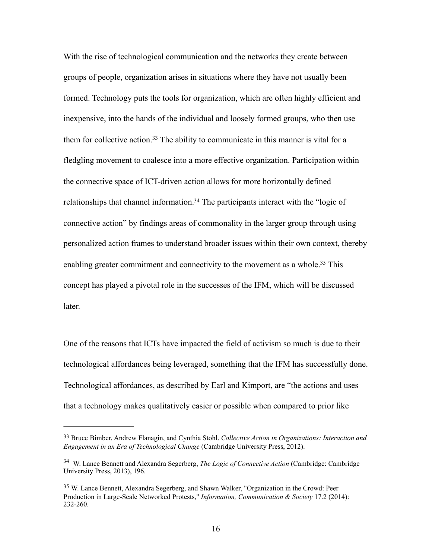<span id="page-20-3"></span>With the rise of technological communication and the networks they create between groups of people, organization arises in situations where they have not usually been formed. Technology puts the tools for organization, which are often highly efficient and inexpensive, into the hands of the individual and loosely formed groups, who then use themfor collective action.<sup>[33](#page-20-0)</sup> The ability to communicate in this manner is vital for a fledgling movement to coalesce into a more effective organization. Participation within the connective space of ICT-driven action allows for more horizontally defined relationships that channel information[.](#page-20-1)<sup>[34](#page-20-1)</sup> The participants interact with the "logic of connective action" by findings areas of commonality in the larger group through using personalized action frames to understand broader issues within their own context, thereby enabling greater commitment and connectivity to the movement as a whole[.](#page-20-2)<sup>[35](#page-20-2)</sup> This concept has played a pivotal role in the successes of the IFM, which will be discussed later.

<span id="page-20-5"></span><span id="page-20-4"></span>One of the reasons that ICTs have impacted the field of activism so much is due to their technological affordances being leveraged, something that the IFM has successfully done. Technological affordances, as described by Earl and Kimport, are "the actions and uses that a technology makes qualitatively easier or possible when compared to prior like

<span id="page-20-0"></span><sup>&</sup>lt;sup>[33](#page-20-3)</sup> Bruce Bimber, Andrew Flanagin, and Cynthia Stohl. *Collective Action in Organizations: Interaction and Engagement in an Era of Technological Change* (Cambridge University Press, 2012).

<span id="page-20-1"></span><sup>&</sup>lt;sup>[34](#page-20-4)</sup> W. Lance Bennett and Alexandra Segerberg, *The Logic of Connective Action* (Cambridge: Cambridge University Press, 2013), 196.

<span id="page-20-2"></span><sup>&</sup>lt;sup>[35](#page-20-5)</sup> W. Lance Bennett, Alexandra Segerberg, and Shawn Walker, "Organization in the Crowd: Peer Production in Large-Scale Networked Protests," *Information, Communication & Society* 17.2 (2014): 232-260.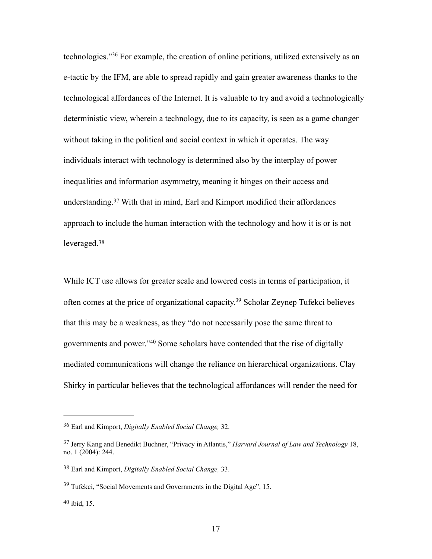<span id="page-21-5"></span>technologies."<sup>36</sup>For example, the creation of online petitions, utilized extensively as an e-tactic by the IFM, are able to spread rapidly and gain greater awareness thanks to the technological affordances of the Internet. It is valuable to try and avoid a technologically deterministic view, wherein a technology, due to its capacity, is seen as a game changer without taking in the political and social context in which it operates. The way individuals interact with technology is determined also by the interplay of power inequalities and information asymmetry, meaning it hinges on their access and understanding.<sup>37</sup>With that in mind, Earl and Kimport modified their affordances approach to include the human interaction with the technology and how it is or is not leveraged.[38](#page-21-2)

<span id="page-21-9"></span><span id="page-21-8"></span><span id="page-21-7"></span><span id="page-21-6"></span>While ICT use allows for greater scale and lowered costs in terms of participation, it often comes at the price of organizational capacity[.](#page-21-3)<sup>[39](#page-21-3)</sup> Scholar Zeynep Tufekci believes that this may be a weakness, as they "do not necessarily pose the same threat to governmentsand power."<sup>[40](#page-21-4)</sup> Some scholars have contended that the rise of digitally mediated communications will change the reliance on hierarchical organizations. Clay Shirky in particular believes that the technological affordances will render the need for

<span id="page-21-0"></span><sup>&</sup>lt;sup>[36](#page-21-5)</sup> Earl and Kimport, *Digitally Enabled Social Change*, 32.

<span id="page-21-1"></span>Jerry Kang and Benedikt Buchner, "Privacy in Atlantis," *Harvard Journal of Law and Technology* 18, [37](#page-21-6) no. 1 (2004): 244.

<span id="page-21-2"></span><sup>&</sup>lt;sup>[38](#page-21-7)</sup> Earl and Kimport, *Digitally Enabled Social Change*, 33.

<span id="page-21-3"></span> $39$  Tufekci, "Social Movements and Governments in the Digital Age", 15.

<span id="page-21-4"></span> $40$  ibid, 15.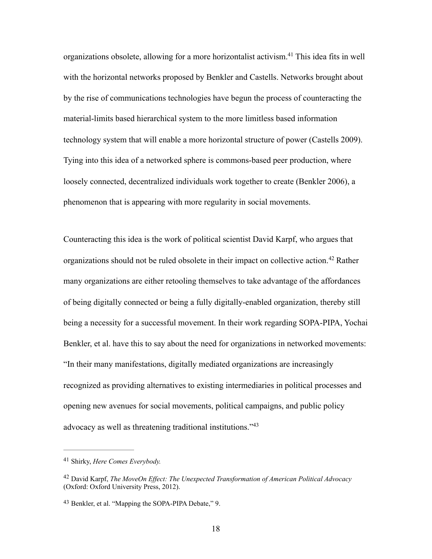<span id="page-22-3"></span>organizations obsolete, allowing for a more horizontalist activism[.](#page-22-0)<sup>[41](#page-22-0)</sup> This idea fits in well with the horizontal networks proposed by Benkler and Castells. Networks brought about by the rise of communications technologies have begun the process of counteracting the material-limits based hierarchical system to the more limitless based information technology system that will enable a more horizontal structure of power (Castells 2009). Tying into this idea of a networked sphere is commons-based peer production, where loosely connected, decentralized individuals work together to create (Benkler 2006), a phenomenon that is appearing with more regularity in social movements.

<span id="page-22-4"></span>Counteracting this idea is the work of political scientist David Karpf, who argues that organizationsshould not be ruled obsolete in their impact on collective action.<sup>[42](#page-22-1)</sup> Rather many organizations are either retooling themselves to take advantage of the affordances of being digitally connected or being a fully digitally-enabled organization, thereby still being a necessity for a successful movement. In their work regarding SOPA-PIPA, Yochai Benkler, et al. have this to say about the need for organizations in networked movements: "In their many manifestations, digitally mediated organizations are increasingly recognized as providing alternatives to existing intermediaries in political processes and opening new avenues for social movements, political campaigns, and public policy advocacy as well as threatening traditional institutions."[43](#page-22-2)

<span id="page-22-5"></span><span id="page-22-0"></span><sup>&</sup>lt;sup>[41](#page-22-3)</sup> Shirky, *Here Comes Everybody*.

<span id="page-22-1"></span>David Karpf, *The MoveOn Effect: The Unexpected Transformation of American Political Advocacy* [42](#page-22-4) (Oxford: Oxford University Press, 2012).

<span id="page-22-2"></span><sup>&</sup>lt;sup>[43](#page-22-5)</sup> Benkler, et al. "Mapping the SOPA-PIPA Debate," 9.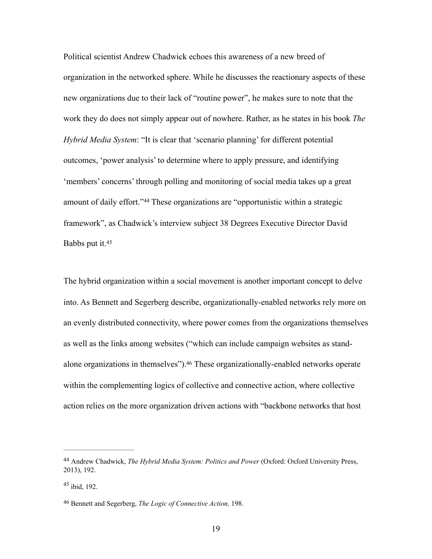Political scientist Andrew Chadwick echoes this awareness of a new breed of organization in the networked sphere. While he discusses the reactionary aspects of these new organizations due to their lack of "routine power", he makes sure to note that the work they do does not simply appear out of nowhere. Rather, as he states in his book *The Hybrid Media System*: "It is clear that 'scenario planning' for different potential outcomes, 'power analysis' to determine where to apply pressure, and identifying 'members' concerns' through polling and monitoring of social media takes up a great amountof daily effort."<sup>[44](#page-23-0)</sup> These organizations are "opportunistic within a strategic framework", as Chadwick's interview subject 38 Degrees Executive Director David Babbs put it[.45](#page-23-1)

<span id="page-23-4"></span><span id="page-23-3"></span>The hybrid organization within a social movement is another important concept to delve into. As Bennett and Segerberg describe, organizationally-enabled networks rely more on an evenly distributed connectivity, where power comes from the organizations themselves as well as the links among websites ("which can include campaign websites as stand-alone organizations in themselves")[.](#page-23-2)<sup>[46](#page-23-2)</sup> These organizationally-enabled networks operate within the complementing logics of collective and connective action, where collective action relies on the more organization driven actions with "backbone networks that host

<span id="page-23-5"></span><span id="page-23-0"></span>Andrew Chadwick, *The Hybrid Media System: Politics and Power* (Oxford: Oxford University Press, [44](#page-23-3) 2013), 192.

<span id="page-23-1"></span> $45$  ibid, 192.

<span id="page-23-2"></span>Bennett and Segerberg, *The Logic of Connective Action,* 198. [46](#page-23-5)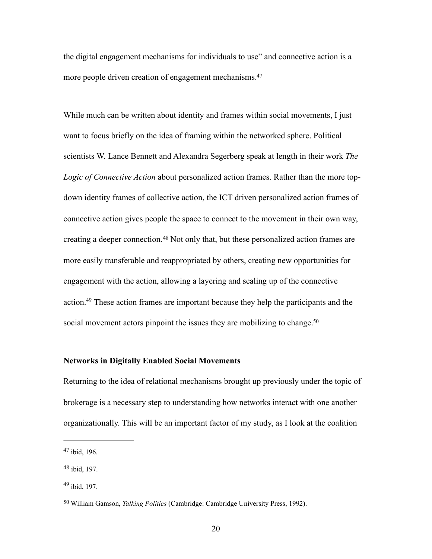<span id="page-24-4"></span>the digital engagement mechanisms for individuals to use" and connective action is a more people driven creation of engagement mechanisms.<sup>47</sup>

While much can be written about identity and frames within social movements, I just want to focus briefly on the idea of framing within the networked sphere. Political scientists W. Lance Bennett and Alexandra Segerberg speak at length in their work *The Logic of Connective Action* about personalized action frames. Rather than the more topdown identity frames of collective action, the ICT driven personalized action frames of connective action gives people the space to connect to the movement in their own way, creatinga deeper connection.<sup>[48](#page-24-1)</sup> Not only that, but these personalized action frames are more easily transferable and reappropriated by others, creating new opportunities for engagement with the action, allowing a layering and scaling up of the connective action[.](#page-24-2)<sup>[49](#page-24-2)</sup> These action frames are important because they help the participants and the social movement actors pinpoint the issues they are mobilizing to change.<sup>50</sup>

# <span id="page-24-7"></span><span id="page-24-6"></span><span id="page-24-5"></span>**Networks in Digitally Enabled Social Movements**

Returning to the idea of relational mechanisms brought up previously under the topic of brokerage is a necessary step to understanding how networks interact with one another organizationally. This will be an important factor of my study, as I look at the coalition

<span id="page-24-0"></span> $47$  ibid, 196.

<span id="page-24-1"></span> $48$  ibid, 197.

<span id="page-24-2"></span> $49$  ibid, 197.

<span id="page-24-3"></span><sup>&</sup>lt;sup>[50](#page-24-7)</sup> William Gamson, *Talking Politics* (Cambridge: Cambridge University Press, 1992).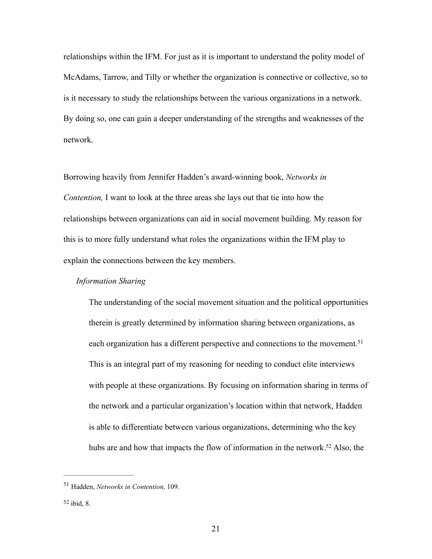relationships within the IFM. For just as it is important to understand the polity model of McAdams, Tarrow, and Tilly or whether the organization is connective or collective, so to is it necessary to study the relationships between the various organizations in a network. By doing so, one can gain a deeper understanding of the strengths and weaknesses of the network.

Borrowing heavily from Jennifer Hadden's award-winning book, *Networks in Contention,* I want to look at the three areas she lays out that tie into how the relationships between organizations can aid in social movement building. My reason for this is to more fully understand what roles the organizations within the IFM play to explain the connections between the key members.

# *Information Sharing*

<span id="page-25-2"></span>The understanding of the social movement situation and the political opportunities therein is greatly determined by information sharing between organizations, as each organization has a different perspective and connections to the movement.<sup>51</sup> This is an integral part of my reasoning for needing to conduct elite interviews with people at these organizations. By focusing on information sharing in terms of the network and a particular organization's location within that network, Hadden is able to differentiate between various organizations, determining who the key hubs are and how that impacts the flow of information in the network[.](#page-25-1)<sup>[52](#page-25-1)</sup> Also, the

<span id="page-25-3"></span><span id="page-25-0"></span><sup>&</sup>lt;sup>[51](#page-25-2)</sup> Hadden, *Networks in Contention*, 109.

<span id="page-25-1"></span> $52$  ibid, 8.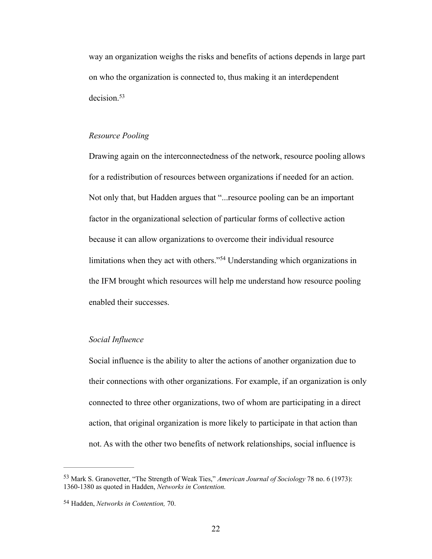way an organization weighs the risks and benefits of actions depends in large part on who the organization is connected to, thus making it an interdependent decision.<sup>[53](#page-26-0)</sup>

# <span id="page-26-2"></span>*Resource Pooling*

Drawing again on the interconnectedness of the network, resource pooling allows for a redistribution of resources between organizations if needed for an action. Not only that, but Hadden argues that "...resource pooling can be an important factor in the organizational selection of particular forms of collective action because it can allow organizations to overcome their individual resource limitationswhen they act with others."<sup> $54$ </sup> Understanding which organizations in the IFM brought which resources will help me understand how resource pooling enabled their successes.

# <span id="page-26-3"></span>*Social Influence*

Social influence is the ability to alter the actions of another organization due to their connections with other organizations. For example, if an organization is only connected to three other organizations, two of whom are participating in a direct action, that original organization is more likely to participate in that action than not. As with the other two benefits of network relationships, social influence is

<span id="page-26-0"></span>Mark S. Granovetter, "The Strength of Weak Ties," *American Journal of Sociology* 78 no. 6 (1973): [53](#page-26-2) 1360-1380 as quoted in Hadden, *Networks in Contention.*

<span id="page-26-1"></span>Hadden, *Networks in Contention,* 70. [54](#page-26-3)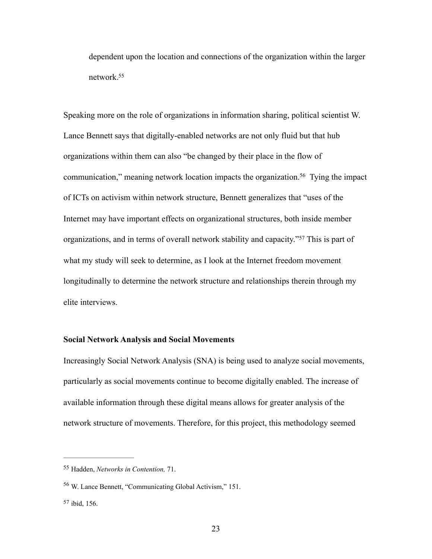<span id="page-27-3"></span>dependent upon the location and connections of the organization within the larger network[.55](#page-27-0)

<span id="page-27-4"></span>Speaking more on the role of organizations in information sharing, political scientist W. Lance Bennett says that digitally-enabled networks are not only fluid but that hub organizations within them can also "be changed by their place in the flow of communication," meaning network location impacts the organization.<sup>[56](#page-27-1)</sup> Tying the impact of ICTs on activism within network structure, Bennett generalizes that "uses of the Internet may have important effects on organizational structures, both inside member organizations,and in terms of overall network stability and capacity."<sup>[57](#page-27-2)</sup> This is part of what my study will seek to determine, as I look at the Internet freedom movement longitudinally to determine the network structure and relationships therein through my elite interviews.

# <span id="page-27-5"></span>**Social Network Analysis and Social Movements**

Increasingly Social Network Analysis (SNA) is being used to analyze social movements, particularly as social movements continue to become digitally enabled. The increase of available information through these digital means allows for greater analysis of the network structure of movements. Therefore, for this project, this methodology seemed

<span id="page-27-0"></span>[<sup>55</sup>](#page-27-3) Hadden, *Networks in Contention*, 71.

<span id="page-27-1"></span><sup>&</sup>lt;sup>[56](#page-27-4)</sup> W. Lance Bennett, "Communicating Global Activism," 151.

<span id="page-27-2"></span> $57$  ibid, 156.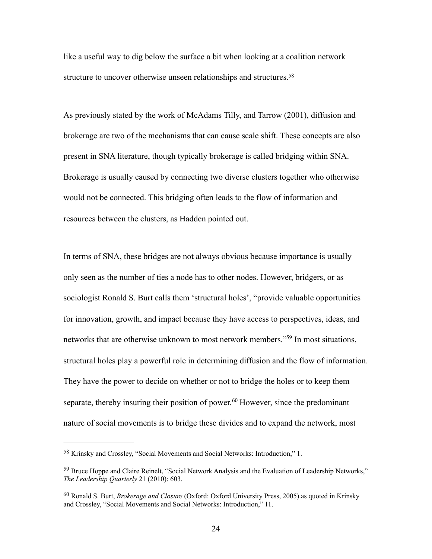<span id="page-28-3"></span>like a useful way to dig below the surface a bit when looking at a coalition network structure to uncover otherwise unseen relationships and structures.<sup>58</sup>

As previously stated by the work of McAdams Tilly, and Tarrow (2001), diffusion and brokerage are two of the mechanisms that can cause scale shift. These concepts are also present in SNA literature, though typically brokerage is called bridging within SNA. Brokerage is usually caused by connecting two diverse clusters together who otherwise would not be connected. This bridging often leads to the flow of information and resources between the clusters, as Hadden pointed out.

<span id="page-28-4"></span>In terms of SNA, these bridges are not always obvious because importance is usually only seen as the number of ties a node has to other nodes. However, bridgers, or as sociologist Ronald S. Burt calls them 'structural holes', "provide valuable opportunities for innovation, growth, and impact because they have access to perspectives, ideas, and networks that are otherwise unknown to most network members.["](#page-28-1)<sup>[59](#page-28-1)</sup> In most situations, structural holes play a powerful role in determining diffusion and the flow of information. They have the power to decide on whether or not to bridge the holes or to keep them separate,thereby insuring their position of power.<sup>[60](#page-28-2)</sup> However, since the predominant nature of social movements is to bridge these divides and to expand the network, most

<span id="page-28-5"></span><span id="page-28-0"></span><sup>&</sup>lt;sup>[58](#page-28-3)</sup> Krinsky and Crossley, "Social Movements and Social Networks: Introduction," 1.

<span id="page-28-1"></span><sup>&</sup>lt;sup>[59](#page-28-4)</sup> Bruce Hoppe and Claire Reinelt, "Social Network Analysis and the Evaluation of Leadership Networks," *The Leadership Quarterly* 21 (2010): 603.

<span id="page-28-2"></span>Ronald S. Burt, *Brokerage and Closure* (Oxford: Oxford University Press, 2005).as quoted in Krinsky [60](#page-28-5) and Crossley, "Social Movements and Social Networks: Introduction," 11.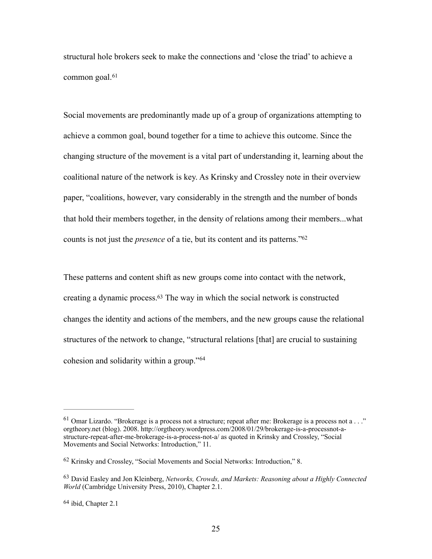<span id="page-29-4"></span>structural hole brokers seek to make the connections and 'close the triad' to achieve a common goal.<sup>[61](#page-29-0)</sup>

Social movements are predominantly made up of a group of organizations attempting to achieve a common goal, bound together for a time to achieve this outcome. Since the changing structure of the movement is a vital part of understanding it, learning about the coalitional nature of the network is key. As Krinsky and Crossley note in their overview paper, "coalitions, however, vary considerably in the strength and the number of bonds that hold their members together, in the density of relations among their members...what counts is not just the *presence* of a tie, but its content and its patterns.["62](#page-29-1)

<span id="page-29-6"></span><span id="page-29-5"></span>These patterns and content shift as new groups come into contact with the network, creating a dynamic process[.](#page-29-2) $63$  The way in which the social network is constructed changes the identity and actions of the members, and the new groups cause the relational structures of the network to change, "structural relations [that] are crucial to sustaining cohesion and solidarity within a group."[64](#page-29-3)

<span id="page-29-7"></span><span id="page-29-0"></span><sup>&</sup>lt;sup>[61](#page-29-4)</sup> Omar Lizardo. "Brokerage is a process not a structure; repeat after me: Brokerage is a process not a . . ." orgtheory.net (blog). 2008. http://orgtheory.wordpress.com/2008/01/29/brokerage-is-a-processnot-astructure-repeat-after-me-brokerage-is-a-process-not-a/ as quoted in Krinsky and Crossley, "Social Movements and Social Networks: Introduction," 11.

<span id="page-29-1"></span><sup>&</sup>lt;sup>[62](#page-29-5)</sup> Krinsky and Crossley, "Social Movements and Social Networks: Introduction," 8.

<span id="page-29-2"></span><sup>&</sup>lt;sup>[63](#page-29-6)</sup> David Easley and Jon Kleinberg, *Networks, Crowds, and Markets: Reasoning about a Highly Connected World* (Cambridge University Press, 2010), Chapter 2.1.

<span id="page-29-3"></span> $64$  ibid, Chapter 2.1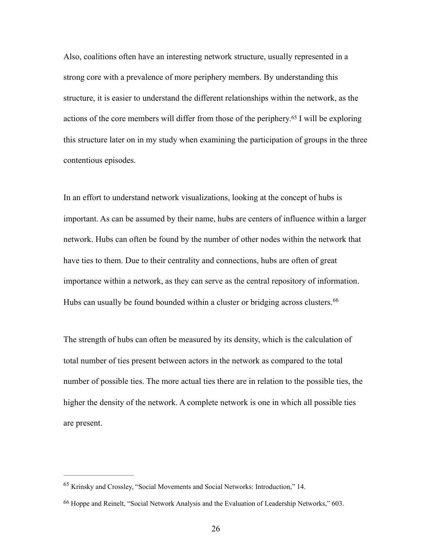<span id="page-30-2"></span>Also, coalitions often have an interesting network structure, usually represented in a strong core with a prevalence of more periphery members. By understanding this structure, it is easier to understand the different relationships within the network, as the actionsof the core members will differ from those of the periphery.<sup>[65](#page-30-0)</sup> I will be exploring this structure later on in my study when examining the participation of groups in the three contentious episodes.

In an effort to understand network visualizations, looking at the concept of hubs is important. As can be assumed by their name, hubs are centers of influence within a larger network. Hubs can often be found by the number of other nodes within the network that have ties to them. Due to their centrality and connections, hubs are often of great importance within a network, as they can serve as the central repository of information. Hubs can usually be found bounded within a cluster or bridging across clusters.<sup>[66](#page-30-1)</sup>

<span id="page-30-3"></span>The strength of hubs can often be measured by its density, which is the calculation of total number of ties present between actors in the network as compared to the total number of possible ties. The more actual ties there are in relation to the possible ties, the higher the density of the network. A complete network is one in which all possible ties are present.

<span id="page-30-0"></span> $65$  Krinsky and Crossley, "Social Movements and Social Networks: Introduction," 14.

<span id="page-30-1"></span><sup>&</sup>lt;sup>[66](#page-30-3)</sup> Hoppe and Reinelt, "Social Network Analysis and the Evaluation of Leadership Networks," 603.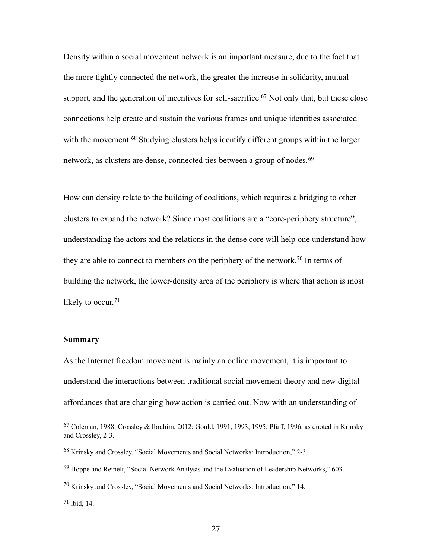<span id="page-31-5"></span>Density within a social movement network is an important measure, due to the fact that the more tightly connected the network, the greater the increase in solidarity, mutual support, and the generation of incentives for self-sacrifice[.](#page-31-0)<sup>[67](#page-31-0)</sup> Not only that, but these close connections help create and sustain the various frames and unique identities associated withthe movement.<sup>[68](#page-31-1)</sup> Studying clusters helps identify different groups within the larger network, as clusters are dense, connected ties between a group of nodes.<sup>[69](#page-31-2)</sup>

<span id="page-31-7"></span><span id="page-31-6"></span>How can density relate to the building of coalitions, which requires a bridging to other clusters to expand the network? Since most coalitions are a "core-periphery structure", understanding the actors and the relations in the dense core will help one understand how theyare able to connect to members on the periphery of the network.<sup>[70](#page-31-3)</sup> In terms of building the network, the lower-density area of the periphery is where that action is most likely to occur. $71$ 

#### <span id="page-31-9"></span><span id="page-31-8"></span>**Summary**

As the Internet freedom movement is mainly an online movement, it is important to understand the interactions between traditional social movement theory and new digital affordances that are changing how action is carried out. Now with an understanding of

<span id="page-31-4"></span> $71$  ibid, 14.

<span id="page-31-0"></span> $67$  Coleman, 1988; Crossley & Ibrahim, 2012; Gould, 1991, 1993, 1995; Pfaff, 1996, as quoted in Krinsky and Crossley, 2-3.

<span id="page-31-1"></span><sup>&</sup>lt;sup>[68](#page-31-6)</sup> Krinsky and Crossley, "Social Movements and Social Networks: Introduction," 2-3.

<span id="page-31-2"></span> $^{69}$  $^{69}$  $^{69}$  Hoppe and Reinelt, "Social Network Analysis and the Evaluation of Leadership Networks,"  $603$ .

<span id="page-31-3"></span> $^{70}$  $^{70}$  $^{70}$  Krinsky and Crossley, "Social Movements and Social Networks: Introduction," 14.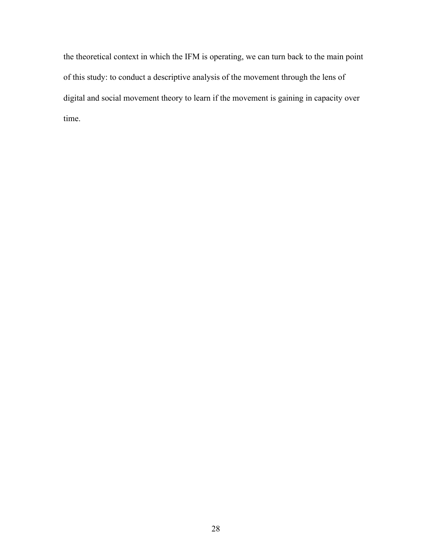the theoretical context in which the IFM is operating, we can turn back to the main point of this study: to conduct a descriptive analysis of the movement through the lens of digital and social movement theory to learn if the movement is gaining in capacity over time.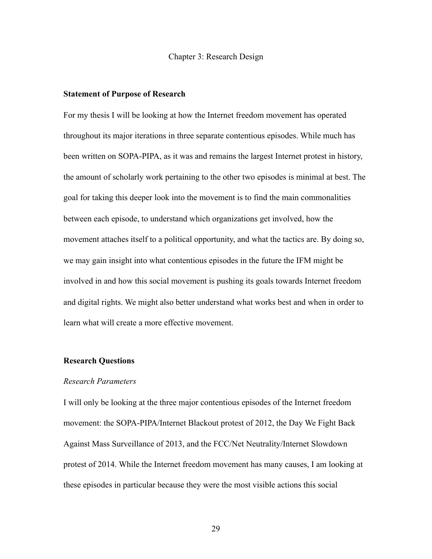Chapter 3: Research Design

#### **Statement of Purpose of Research**

For my thesis I will be looking at how the Internet freedom movement has operated throughout its major iterations in three separate contentious episodes. While much has been written on SOPA-PIPA, as it was and remains the largest Internet protest in history, the amount of scholarly work pertaining to the other two episodes is minimal at best. The goal for taking this deeper look into the movement is to find the main commonalities between each episode, to understand which organizations get involved, how the movement attaches itself to a political opportunity, and what the tactics are. By doing so, we may gain insight into what contentious episodes in the future the IFM might be involved in and how this social movement is pushing its goals towards Internet freedom and digital rights. We might also better understand what works best and when in order to learn what will create a more effective movement.

# **Research Questions**

#### *Research Parameters*

I will only be looking at the three major contentious episodes of the Internet freedom movement: the SOPA-PIPA/Internet Blackout protest of 2012, the Day We Fight Back Against Mass Surveillance of 2013, and the FCC/Net Neutrality/Internet Slowdown protest of 2014. While the Internet freedom movement has many causes, I am looking at these episodes in particular because they were the most visible actions this social

29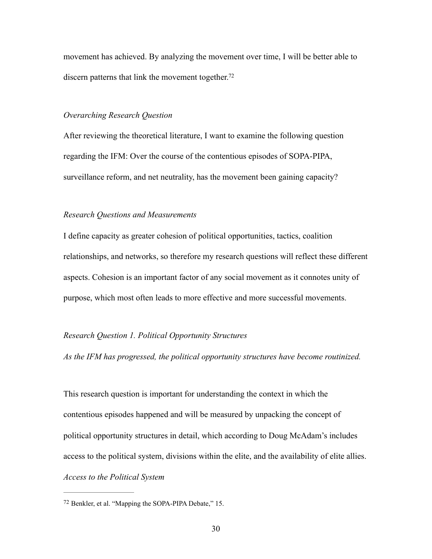movement has achieved. By analyzing the movement over time, I will be better able to discern patterns that link the movement together.<sup>72</sup>

#### <span id="page-34-1"></span>*Overarching Research Question*

After reviewing the theoretical literature, I want to examine the following question regarding the IFM: Over the course of the contentious episodes of SOPA-PIPA, surveillance reform, and net neutrality, has the movement been gaining capacity?

### *Research Questions and Measurements*

I define capacity as greater cohesion of political opportunities, tactics, coalition relationships, and networks, so therefore my research questions will reflect these different aspects. Cohesion is an important factor of any social movement as it connotes unity of purpose, which most often leads to more effective and more successful movements.

#### *Research Question 1. Political Opportunity Structures*

*As the IFM has progressed, the political opportunity structures have become routinized.* 

This research question is important for understanding the context in which the contentious episodes happened and will be measured by unpacking the concept of political opportunity structures in detail, which according to Doug McAdam's includes access to the political system, divisions within the elite, and the availability of elite allies. *Access to the Political System*

<span id="page-34-0"></span><sup>&</sup>lt;sup>[72](#page-34-1)</sup> Benkler, et al. "Mapping the SOPA-PIPA Debate," 15.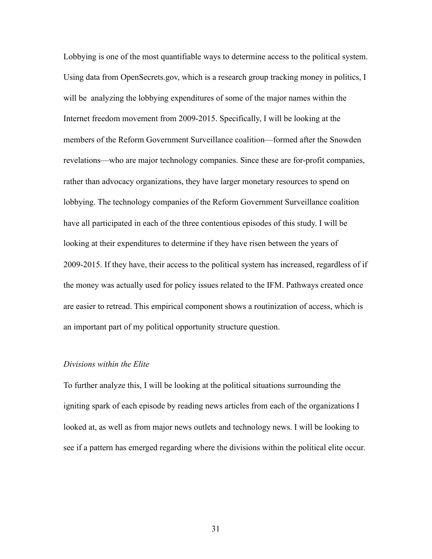Lobbying is one of the most quantifiable ways to determine access to the political system. Using data from OpenSecrets.gov, which is a research group tracking money in politics, I will be analyzing the lobbying expenditures of some of the major names within the Internet freedom movement from 2009-2015. Specifically, I will be looking at the members of the Reform Government Surveillance coalition—formed after the Snowden revelations—who are major technology companies. Since these are for-profit companies, rather than advocacy organizations, they have larger monetary resources to spend on lobbying. The technology companies of the Reform Government Surveillance coalition have all participated in each of the three contentious episodes of this study. I will be looking at their expenditures to determine if they have risen between the years of 2009-2015. If they have, their access to the political system has increased, regardless of if the money was actually used for policy issues related to the IFM. Pathways created once are easier to retread. This empirical component shows a routinization of access, which is an important part of my political opportunity structure question.

# *Divisions within the Elite*

To further analyze this, I will be looking at the political situations surrounding the igniting spark of each episode by reading news articles from each of the organizations I looked at, as well as from major news outlets and technology news. I will be looking to see if a pattern has emerged regarding where the divisions within the political elite occur.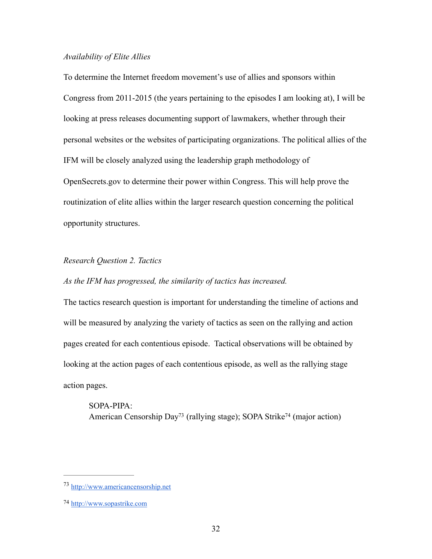## *Availability of Elite Allies*

To determine the Internet freedom movement's use of allies and sponsors within Congress from 2011-2015 (the years pertaining to the episodes I am looking at), I will be looking at press releases documenting support of lawmakers, whether through their personal websites or the websites of participating organizations. The political allies of the IFM will be closely analyzed using the leadership graph methodology of OpenSecrets.gov to determine their power within Congress. This will help prove the routinization of elite allies within the larger research question concerning the political opportunity structures.

## *Research Question 2. Tactics*

## *As the IFM has progressed, the similarity of tactics has increased.*

The tactics research question is important for understanding the timeline of actions and will be measured by analyzing the variety of tactics as seen on the rallying and action pages created for each contentious episode. Tactical observations will be obtained by looking at the action pages of each contentious episode, as well as the rallying stage action pages.

<span id="page-36-3"></span><span id="page-36-2"></span>SOPA-PIPA: American Censorship Da[y](#page-36-0)<sup>73</sup> (rallying stag[e](#page-36-1)); SOPA Strike<sup>74</sup> (major action)

<span id="page-36-0"></span><http://www.americancensorship.net> [73](#page-36-2)

<span id="page-36-1"></span>[<sup>74</sup>](#page-36-3) <http://www.sopastrike.com>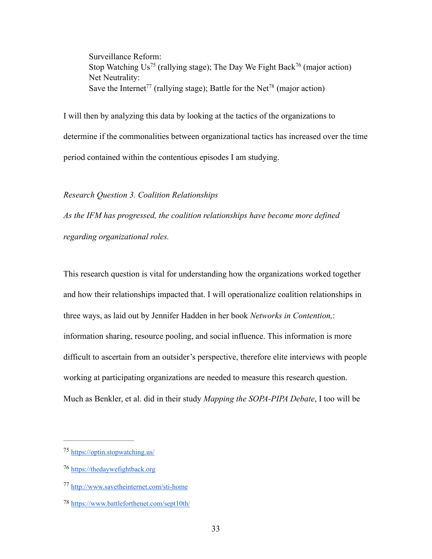<span id="page-37-7"></span><span id="page-37-6"></span><span id="page-37-5"></span><span id="page-37-4"></span>Surveillance Reform: StopWatching Us<sup>75</sup> (rallying stage); The Day We Fight Bac[k](#page-37-1)<sup>76</sup> (major action) Net Neutrality: Save [t](#page-37-3)he Internet<sup>77</sup> (rallying stage); Battle for the Net<sup>78</sup> (major action)

I will then by analyzing this data by looking at the tactics of the organizations to determine if the commonalities between organizational tactics has increased over the time period contained within the contentious episodes I am studying.

*Research Question 3. Coalition Relationships*

*As the IFM has progressed, the coalition relationships have become more defined regarding organizational roles.*

This research question is vital for understanding how the organizations worked together and how their relationships impacted that. I will operationalize coalition relationships in three ways, as laid out by Jennifer Hadden in her book *Networks in Contention,*: information sharing, resource pooling, and social influence. This information is more difficult to ascertain from an outsider's perspective, therefore elite interviews with people working at participating organizations are needed to measure this research question. Much as Benkler, et al. did in their study *Mapping the SOPA-PIPA Debate*, I too will be

<span id="page-37-0"></span><https://optin.stopwatching.us/> [75](#page-37-4)

<span id="page-37-1"></span><https://thedaywefightback.org> [76](#page-37-5)

<span id="page-37-2"></span><http://www.savetheinternet.com/sti-home> [77](#page-37-6)

<span id="page-37-3"></span><https://www.battleforthenet.com/sept10th/> [78](#page-37-7)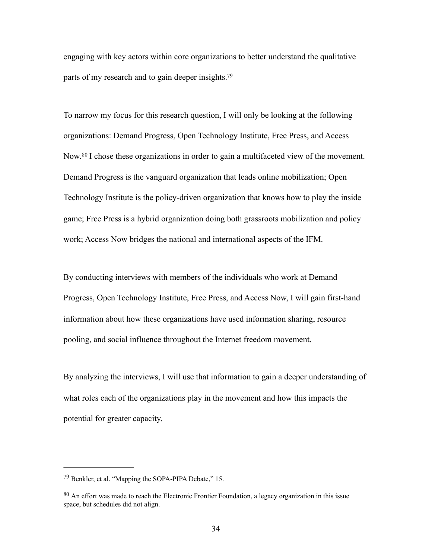engaging with key actors within core organizations to better understand the qualitative parts of my research and to gain deeper insights.<sup>79</sup>

<span id="page-38-3"></span><span id="page-38-2"></span>To narrow my focus for this research question, I will only be looking at the following organizations: Demand Progress, Open Technology Institute, Free Press, and Access Now.<sup>80</sup>I chose these organizations in order to gain a multifaceted view of the movement. Demand Progress is the vanguard organization that leads online mobilization; Open Technology Institute is the policy-driven organization that knows how to play the inside game; Free Press is a hybrid organization doing both grassroots mobilization and policy work; Access Now bridges the national and international aspects of the IFM.

By conducting interviews with members of the individuals who work at Demand Progress, Open Technology Institute, Free Press, and Access Now, I will gain first-hand information about how these organizations have used information sharing, resource pooling, and social influence throughout the Internet freedom movement.

By analyzing the interviews, I will use that information to gain a deeper understanding of what roles each of the organizations play in the movement and how this impacts the potential for greater capacity.

<span id="page-38-0"></span> $^{79}$  $^{79}$  $^{79}$  Benkler, et al. "Mapping the SOPA-PIPA Debate," 15.

<span id="page-38-1"></span> $80$  An effort was made to reach the Electronic Frontier Foundation, a legacy organization in this issue space, but schedules did not align.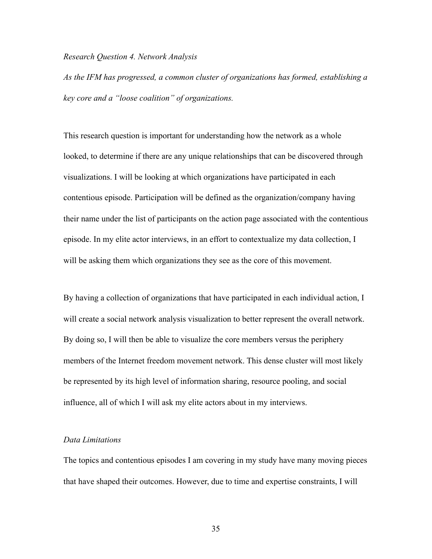#### *Research Question 4. Network Analysis*

*As the IFM has progressed, a common cluster of organizations has formed, establishing a key core and a "loose coalition" of organizations.*

This research question is important for understanding how the network as a whole looked, to determine if there are any unique relationships that can be discovered through visualizations. I will be looking at which organizations have participated in each contentious episode. Participation will be defined as the organization/company having their name under the list of participants on the action page associated with the contentious episode. In my elite actor interviews, in an effort to contextualize my data collection, I will be asking them which organizations they see as the core of this movement.

By having a collection of organizations that have participated in each individual action, I will create a social network analysis visualization to better represent the overall network. By doing so, I will then be able to visualize the core members versus the periphery members of the Internet freedom movement network. This dense cluster will most likely be represented by its high level of information sharing, resource pooling, and social influence, all of which I will ask my elite actors about in my interviews.

## *Data Limitations*

The topics and contentious episodes I am covering in my study have many moving pieces that have shaped their outcomes. However, due to time and expertise constraints, I will

35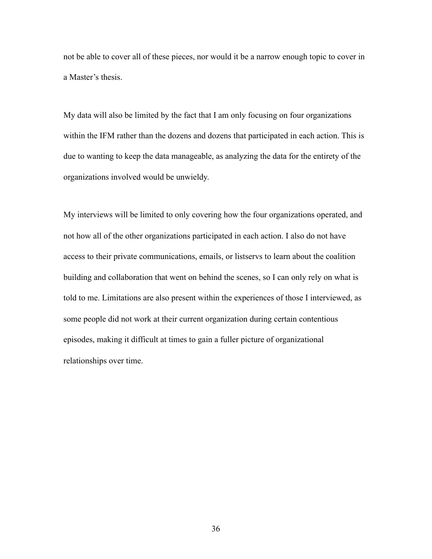not be able to cover all of these pieces, nor would it be a narrow enough topic to cover in a Master's thesis.

My data will also be limited by the fact that I am only focusing on four organizations within the IFM rather than the dozens and dozens that participated in each action. This is due to wanting to keep the data manageable, as analyzing the data for the entirety of the organizations involved would be unwieldy.

My interviews will be limited to only covering how the four organizations operated, and not how all of the other organizations participated in each action. I also do not have access to their private communications, emails, or listservs to learn about the coalition building and collaboration that went on behind the scenes, so I can only rely on what is told to me. Limitations are also present within the experiences of those I interviewed, as some people did not work at their current organization during certain contentious episodes, making it difficult at times to gain a fuller picture of organizational relationships over time.

36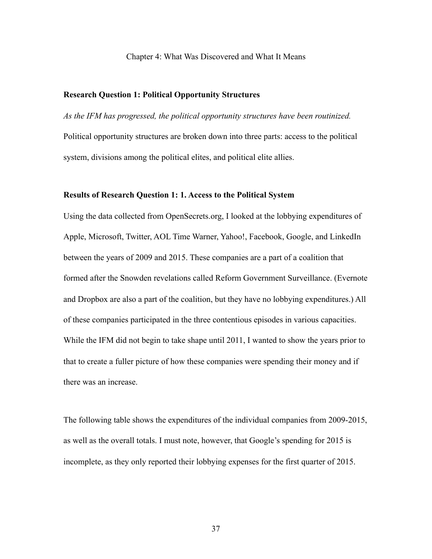#### Chapter 4: What Was Discovered and What It Means

## **Research Question 1: Political Opportunity Structures**

*As the IFM has progressed, the political opportunity structures have been routinized.* Political opportunity structures are broken down into three parts: access to the political system, divisions among the political elites, and political elite allies.

#### **Results of Research Question 1: 1. Access to the Political System**

Using the data collected from OpenSecrets.org, I looked at the lobbying expenditures of Apple, Microsoft, Twitter, AOL Time Warner, Yahoo!, Facebook, Google, and LinkedIn between the years of 2009 and 2015. These companies are a part of a coalition that formed after the Snowden revelations called Reform Government Surveillance. (Evernote and Dropbox are also a part of the coalition, but they have no lobbying expenditures.) All of these companies participated in the three contentious episodes in various capacities. While the IFM did not begin to take shape until 2011, I wanted to show the years prior to that to create a fuller picture of how these companies were spending their money and if there was an increase.

The following table shows the expenditures of the individual companies from 2009-2015, as well as the overall totals. I must note, however, that Google's spending for 2015 is incomplete, as they only reported their lobbying expenses for the first quarter of 2015.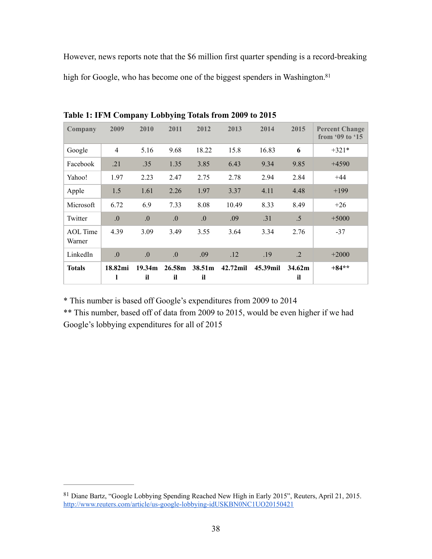However, news reports note that the \$6 million first quarter spending is a record-breaking high for Google, who has become one of the biggest spenders in Washington.<sup>81</sup>

| Company                   | 2009             | 2010             | 2011             | 2012         | 2013     | 2014     | 2015                     | <b>Percent Change</b><br>from $\cdot$ 09 to $\cdot$ 15 |
|---------------------------|------------------|------------------|------------------|--------------|----------|----------|--------------------------|--------------------------------------------------------|
| Google                    | $\overline{4}$   | 5.16             | 9.68             | 18.22        | 15.8     | 16.83    | 6                        | $+321*$                                                |
| Facebook                  | .21              | .35              | 1.35             | 3.85         | 6.43     | 9.34     | 9.85                     | $+4590$                                                |
| Yahoo!                    | 1.97             | 2.23             | 2.47             | 2.75         | 2.78     | 2.94     | 2.84                     | $+44$                                                  |
| Apple                     | 1.5              | 1.61             | 2.26             | 1.97         | 3.37     | 4.11     | 4.48                     | $+199$                                                 |
| Microsoft                 | 6.72             | 6.9              | 7.33             | 8.08         | 10.49    | 8.33     | 8.49                     | $+26$                                                  |
| Twitter                   | $\overline{0}$ . | 0.               | $\overline{0}$ . | 0.           | .09      | .31      | .5                       | $+5000$                                                |
| <b>AOL</b> Time<br>Warner | 4.39             | 3.09             | 3.49             | 3.55         | 3.64     | 3.34     | 2.76                     | $-37$                                                  |
| LinkedIn                  | $\overline{0}$ . | $\overline{0}$ . | $\overline{0}$ . | .09          | .12      | .19      | $\cdot$ .2               | $+2000$                                                |
| <b>Totals</b>             | 18.82mi<br>l     | 19.34m<br>il     | 26.58m<br>il     | 38.51m<br>il | 42.72mil | 45.39mil | 34.62 <sub>m</sub><br>il | $+84**$                                                |

<span id="page-42-1"></span>**Table 1: IFM Company Lobbying Totals from 2009 to 2015**

\* This number is based off Google's expenditures from 2009 to 2014

\*\* This number, based off of data from 2009 to 2015, would be even higher if we had Google's lobbying expenditures for all of 2015

<span id="page-42-0"></span><sup>&</sup>lt;sup>[81](#page-42-1)</sup> Diane Bartz, "Google Lobbying Spending Reached New High in Early 2015", Reuters, April 21, 2015. <http://www.reuters.com/article/us-google-lobbying-idUSKBN0NC1UO20150421>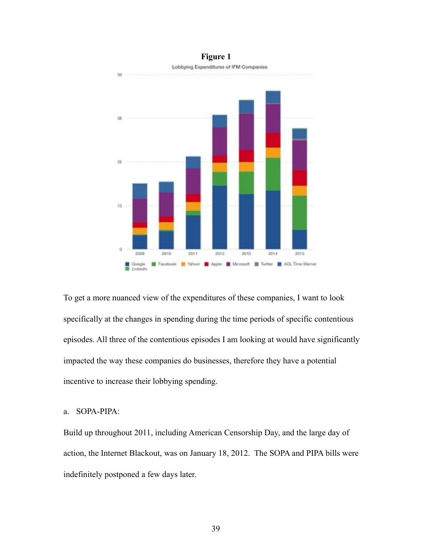

**Figure 1**

To get a more nuanced view of the expenditures of these companies, I want to look specifically at the changes in spending during the time periods of specific contentious episodes. All three of the contentious episodes I am looking at would have significantly impacted the way these companies do businesses, therefore they have a potential incentive to increase their lobbying spending.

## a. SOPA-PIPA:

Build up throughout 2011, including American Censorship Day, and the large day of action, the Internet Blackout, was on January 18, 2012. The SOPA and PIPA bills were indefinitely postponed a few days later.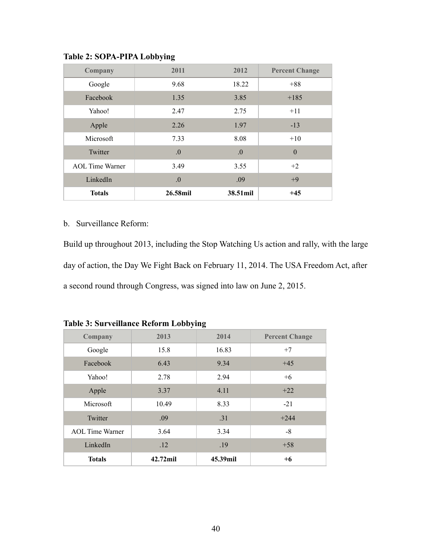| Company                | 2011     | 2012             | <b>Percent Change</b> |
|------------------------|----------|------------------|-----------------------|
| Google                 | 9.68     | 18.22            | $+88$                 |
| Facebook               | 1.35     | 3.85             | $+185$                |
| Yahoo!                 | 2.47     | 2.75             | $+11$                 |
| Apple                  | 2.26     | 1.97             | $-13$                 |
| Microsoft              | 7.33     | 8.08             | $+10$                 |
| Twitter                | .0       | $\overline{0}$ . | $\theta$              |
| <b>AOL</b> Time Warner | 3.49     | 3.55             | $+2$                  |
| LinkedIn               | $\Omega$ | .09              | $+9$                  |
| <b>Totals</b>          | 26.58mil | 38.51mil         | $+45$                 |

**Table 2: SOPA-PIPA Lobbying**

## b. Surveillance Reform:

Build up throughout 2013, including the Stop Watching Us action and rally, with the large day of action, the Day We Fight Back on February 11, 2014. The USA Freedom Act, after a second round through Congress, was signed into law on June 2, 2015.

| Company                | 2013     | 2014     | <b>Percent Change</b> |
|------------------------|----------|----------|-----------------------|
| Google                 | 15.8     | 16.83    | $+7$                  |
| Facebook               | 6.43     | 9.34     | $+45$                 |
| Yahoo!                 | 2.78     | 2.94     | $+6$                  |
| Apple                  | 3.37     | 4.11     | $+22$                 |
| Microsoft              | 10.49    | 8.33     | $-21$                 |
| Twitter                | .09      | .31      | $+244$                |
| <b>AOL</b> Time Warner | 3.64     | 3.34     | $-8$                  |
| LinkedIn               | .12      | .19      | $+58$                 |
| <b>Totals</b>          | 42.72mil | 45.39mil | $+6$                  |

| <b>Table 3: Surveillance Reform Lobbying</b> |  |
|----------------------------------------------|--|
|                                              |  |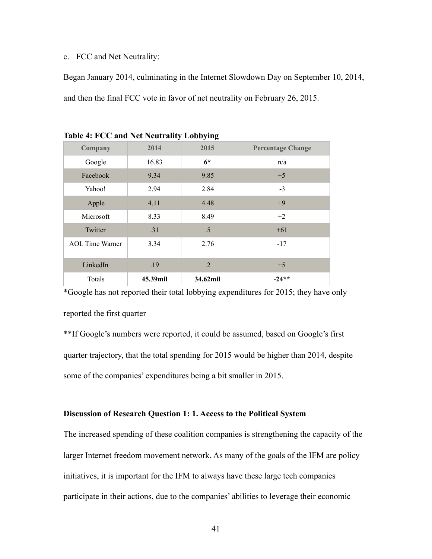c. FCC and Net Neutrality:

Began January 2014, culminating in the Internet Slowdown Day on September 10, 2014, and then the final FCC vote in favor of net neutrality on February 26, 2015.

| Company                | $\cdot$<br>2014 | $\overline{\mathbf{v}}$<br>-<br>2015 | <b>Percentage Change</b> |
|------------------------|-----------------|--------------------------------------|--------------------------|
| Google                 | 16.83           | $6*$                                 | n/a                      |
| Facebook               | 9.34            | 9.85                                 | $+5$                     |
| Yahoo!                 | 2.94            | 2.84                                 | $-3$                     |
| Apple                  | 4.11            | 4.48                                 | $+9$                     |
| Microsoft              | 8.33            | 8.49                                 | $+2$                     |
| Twitter                | .31             | $.5\,$                               | $+61$                    |
| <b>AOL</b> Time Warner | 3.34            | 2.76                                 | $-17$                    |
| LinkedIn               | .19             | $\cdot$ .2                           | $+5$                     |
| Totals                 | 45.39mil        | 34.62mil                             | $-24**$                  |

**Table 4: FCC and Net Neutrality Lobbying**

\*Google has not reported their total lobbying expenditures for 2015; they have only reported the first quarter

\*\*If Google's numbers were reported, it could be assumed, based on Google's first quarter trajectory, that the total spending for 2015 would be higher than 2014, despite some of the companies' expenditures being a bit smaller in 2015.

## **Discussion of Research Question 1: 1. Access to the Political System**

The increased spending of these coalition companies is strengthening the capacity of the larger Internet freedom movement network. As many of the goals of the IFM are policy initiatives, it is important for the IFM to always have these large tech companies participate in their actions, due to the companies' abilities to leverage their economic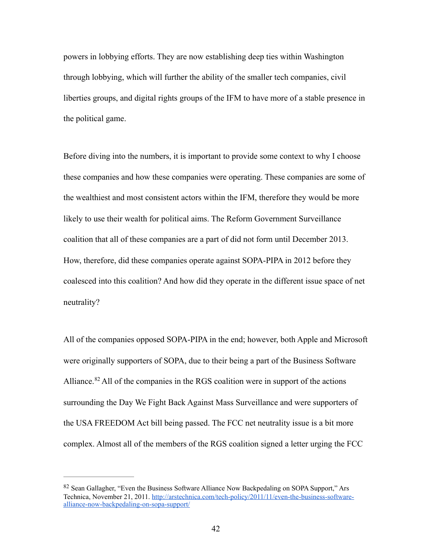powers in lobbying efforts. They are now establishing deep ties within Washington through lobbying, which will further the ability of the smaller tech companies, civil liberties groups, and digital rights groups of the IFM to have more of a stable presence in the political game.

Before diving into the numbers, it is important to provide some context to why I choose these companies and how these companies were operating. These companies are some of the wealthiest and most consistent actors within the IFM, therefore they would be more likely to use their wealth for political aims. The Reform Government Surveillance coalition that all of these companies are a part of did not form until December 2013. How, therefore, did these companies operate against SOPA-PIPA in 2012 before they coalesced into this coalition? And how did they operate in the different issue space of net neutrality?

<span id="page-46-1"></span>All of the companies opposed SOPA-PIPA in the end; however, both Apple and Microsoft were originally supporters of SOPA, due to their being a part of the Business Software Alliance. $82$  All of the companies in the RGS coalition were in support of the actions surrounding the Day We Fight Back Against Mass Surveillance and were supporters of the USA FREEDOM Act bill being passed. The FCC net neutrality issue is a bit more complex. Almost all of the members of the RGS coalition signed a letter urging the FCC

<span id="page-46-0"></span>[<sup>82</sup>](#page-46-1) Sean Gallagher, "Even the Business Software Alliance Now Backpedaling on SOPA Support," Ars [Technica, November 21, 2011. http://arstechnica.com/tech-policy/2011/11/even-the-business-software](http://arstechnica.com/tech-policy/2011/11/even-the-business-software-alliance-now-backpedaling-on-sopa-support/)alliance-now-backpedaling-on-sopa-support/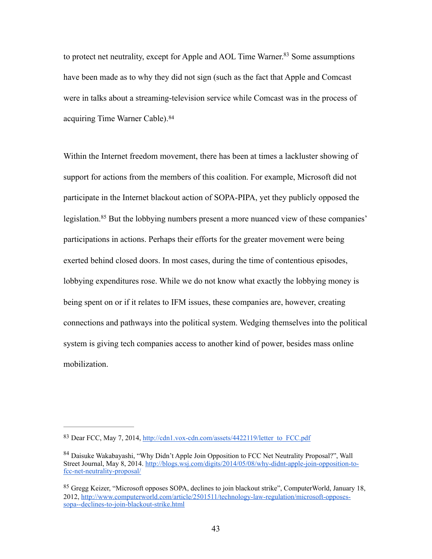<span id="page-47-3"></span>to protect net neutrality, except for Apple and AOL Time Warner[.](#page-47-0)<sup>[83](#page-47-0)</sup> Some assumptions have been made as to why they did not sign (such as the fact that Apple and Comcast were in talks about a streaming-television service while Comcast was in the process of acquiring Time Warner Cable).[84](#page-47-1)

<span id="page-47-5"></span><span id="page-47-4"></span>Within the Internet freedom movement, there has been at times a lackluster showing of support for actions from the members of this coalition. For example, Microsoft did not participate in the Internet blackout action of SOPA-PIPA, yet they publicly opposed the legislation.<sup>85</sup>But the lobbying numbers present a more nuanced view of these companies' participations in actions. Perhaps their efforts for the greater movement were being exerted behind closed doors. In most cases, during the time of contentious episodes, lobbying expenditures rose. While we do not know what exactly the lobbying money is being spent on or if it relates to IFM issues, these companies are, however, creating connections and pathways into the political system. Wedging themselves into the political system is giving tech companies access to another kind of power, besides mass online mobilization.

<span id="page-47-0"></span><sup>83</sup> Dear FCC, May 7, 2014, [http://cdn1.vox-cdn.com/assets/4422119/letter\\_to\\_FCC.pdf](http://cdn1.vox-cdn.com/assets/4422119/letter_to_FCC.pdf)

<span id="page-47-1"></span><sup>&</sup>lt;sup>[84](#page-47-4)</sup> Daisuke Wakabayashi, "Why Didn't Apple Join Opposition to FCC Net Neutrality Proposal?", Wall [Street Journal, May 8, 2014. http://blogs.wsj.com/digits/2014/05/08/why-didnt-apple-join-opposition-to](http://blogs.wsj.com/digits/2014/05/08/why-didnt-apple-join-opposition-to-fcc-net-neutrality-proposal/)fcc-net-neutrality-proposal/

<span id="page-47-2"></span><sup>&</sup>lt;sup>[85](#page-47-5)</sup> Gregg Keizer, "Microsoft opposes SOPA, declines to join blackout strike", ComputerWorld, January 18, [2012, http://www.computerworld.com/article/2501511/technology-law-regulation/microsoft-opposes](http://www.computerworld.com/article/2501511/technology-law-regulation/microsoft-opposes-sopa--declines-to-join-blackout-strike.html)sopa--declines-to-join-blackout-strike.html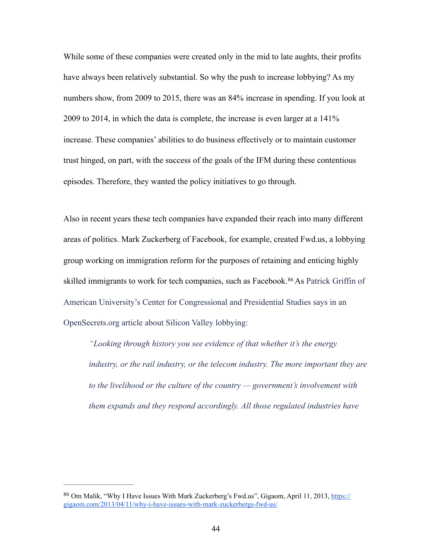While some of these companies were created only in the mid to late aughts, their profits have always been relatively substantial. So why the push to increase lobbying? As my numbers show, from 2009 to 2015, there was an 84% increase in spending. If you look at 2009 to 2014, in which the data is complete, the increase is even larger at a 141% increase. These companies' abilities to do business effectively or to maintain customer trust hinged, on part, with the success of the goals of the IFM during these contentious episodes. Therefore, they wanted the policy initiatives to go through.

Also in recent years these tech companies have expanded their reach into many different areas of politics. Mark Zuckerberg of Facebook, for example, created Fwd.us, a lobbying group working on immigration reform for the purposes of retaining and enticing highly skilledimmigrants to work for tech companies, such as Facebook.<sup>[86](#page-48-0)</sup> As Patrick Griffin of American University's Center for Congressional and Presidential Studies says in an OpenSecrets.org article about Silicon Valley lobbying:

<span id="page-48-1"></span>*"Looking through history you see evidence of that whether it's the energy industry, or the rail industry, or the telecom industry. The more important they are to the livelihood or the culture of the country — government's involvement with them expands and they respond accordingly. All those regulated industries have* 

<span id="page-48-0"></span><sup>86</sup> [Om Malik, "Why I Have Issues With Mark Zuckerberg's Fwd.us", Gigaom, April 11, 2013, https://](https://gigaom.com/2013/04/11/why-i-have-issues-with-mark-zuckerbergs-fwd-us/) gigaom.com/2013/04/11/why-i-have-issues-with-mark-zuckerbergs-fwd-us/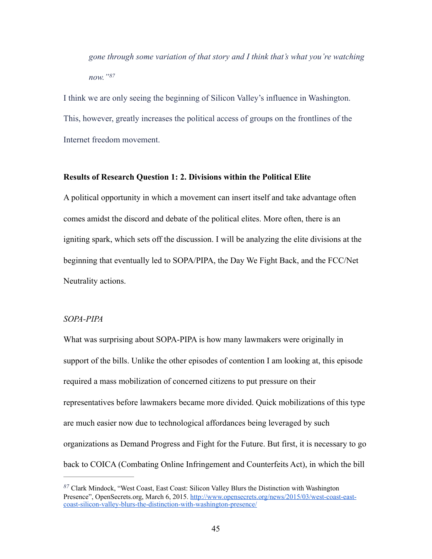<span id="page-49-1"></span>*gone through some variation of that story and I think that's what you're watching now."[87](#page-49-0)*

I think we are only seeing the beginning of Silicon Valley's influence in Washington. This, however, greatly increases the political access of groups on the frontlines of the Internet freedom movement.

### **Results of Research Question 1: 2. Divisions within the Political Elite**

A political opportunity in which a movement can insert itself and take advantage often comes amidst the discord and debate of the political elites. More often, there is an igniting spark, which sets off the discussion. I will be analyzing the elite divisions at the beginning that eventually led to SOPA/PIPA, the Day We Fight Back, and the FCC/Net Neutrality actions.

#### *SOPA-PIPA*

What was surprising about SOPA-PIPA is how many lawmakers were originally in support of the bills. Unlike the other episodes of contention I am looking at, this episode required a mass mobilization of concerned citizens to put pressure on their representatives before lawmakers became more divided. Quick mobilizations of this type are much easier now due to technological affordances being leveraged by such organizations as Demand Progress and Fight for the Future. But first, it is necessary to go back to COICA (Combating Online Infringement and Counterfeits Act), in which the bill

<span id="page-49-0"></span>Clark Mindock, "West Coast, East Coast: Silicon Valley Blurs the Distinction with Washington *[87](#page-49-1)* [Presence", OpenSecrets.org, March 6, 2015. http://www.opensecrets.org/news/2015/03/west-coast-east](http://www.opensecrets.org/news/2015/03/west-coast-east-coast-silicon-valley-blurs-the-distinction-with-washington-presence/)coast-silicon-valley-blurs-the-distinction-with-washington-presence/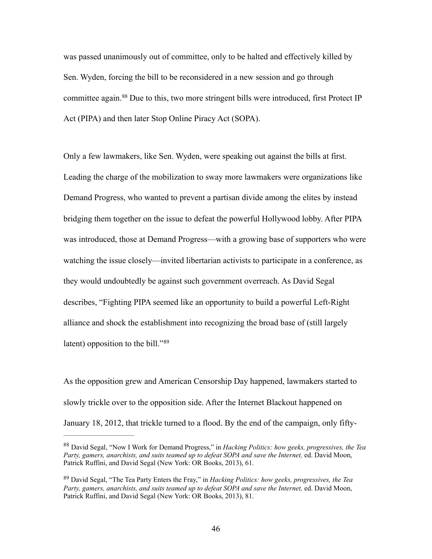<span id="page-50-2"></span>was passed unanimously out of committee, only to be halted and effectively killed by Sen. Wyden, forcing the bill to be reconsidered in a new session and go through committeeagain.  $88$  Due to this, two more stringent bills were introduced, first Protect IP Act (PIPA) and then later Stop Online Piracy Act (SOPA).

Only a few lawmakers, like Sen. Wyden, were speaking out against the bills at first. Leading the charge of the mobilization to sway more lawmakers were organizations like Demand Progress, who wanted to prevent a partisan divide among the elites by instead bridging them together on the issue to defeat the powerful Hollywood lobby. After PIPA was introduced, those at Demand Progress—with a growing base of supporters who were watching the issue closely—invited libertarian activists to participate in a conference, as they would undoubtedly be against such government overreach. As David Segal describes, "Fighting PIPA seemed like an opportunity to build a powerful Left-Right alliance and shock the establishment into recognizing the broad base of (still largely latent) opposition to the bill."[89](#page-50-1)

<span id="page-50-3"></span>As the opposition grew and American Censorship Day happened, lawmakers started to slowly trickle over to the opposition side. After the Internet Blackout happened on January 18, 2012, that trickle turned to a flood. By the end of the campaign, only fifty-

<span id="page-50-0"></span>David Segal, "Now I Work for Demand Progress," in *Hacking Politics: how geeks, progressives, the Tea* [88](#page-50-2) *Party, gamers, anarchists, and suits teamed up to defeat SOPA and save the Internet,* ed. David Moon, Patrick Ruffini, and David Segal (New York: OR Books, 2013), 61.

<span id="page-50-1"></span>David Segal, "The Tea Party Enters the Fray," in *Hacking Politics: how geeks, progressives, the Tea* [89](#page-50-3) *Party, gamers, anarchists, and suits teamed up to defeat SOPA and save the Internet,* ed. David Moon, Patrick Ruffini, and David Segal (New York: OR Books, 2013), 81.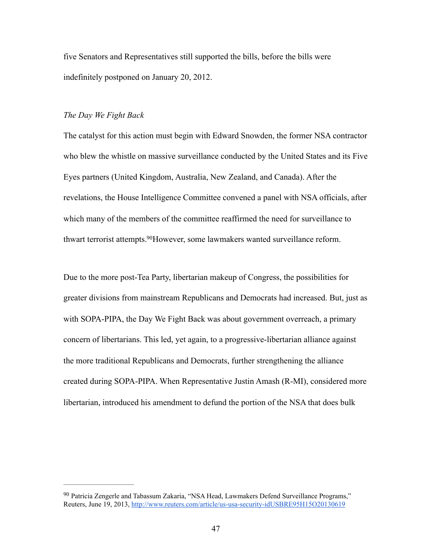five Senators and Representatives still supported the bills, before the bills were indefinitely postponed on January 20, 2012.

#### *The Day We Fight Back*

The catalyst for this action must begin with Edward Snowden, the former NSA contractor who blew the whistle on massive surveillance conducted by the United States and its Five Eyes partners (United Kingdom, Australia, New Zealand, and Canada). After the revelations, the House Intelligence Committee convened a panel with NSA officials, after which many of the members of the committee reaffirmed the need for surveillance to thwart terrorist attempts.<sup>[90](#page-51-0)</sup>However, some lawmakers wanted surveillance reform.

<span id="page-51-1"></span>Due to the more post-Tea Party, libertarian makeup of Congress, the possibilities for greater divisions from mainstream Republicans and Democrats had increased. But, just as with SOPA-PIPA, the Day We Fight Back was about government overreach, a primary concern of libertarians. This led, yet again, to a progressive-libertarian alliance against the more traditional Republicans and Democrats, further strengthening the alliance created during SOPA-PIPA. When Representative Justin Amash (R-MI), considered more libertarian, introduced his amendment to defund the portion of the NSA that does bulk

<span id="page-51-0"></span><sup>&</sup>lt;sup>[90](#page-51-1)</sup> Patricia Zengerle and Tabassum Zakaria, "NSA Head, Lawmakers Defend Surveillance Programs," Reuters, June 19, 2013,<http://www.reuters.com/article/us-usa-security-idUSBRE95H15O20130619>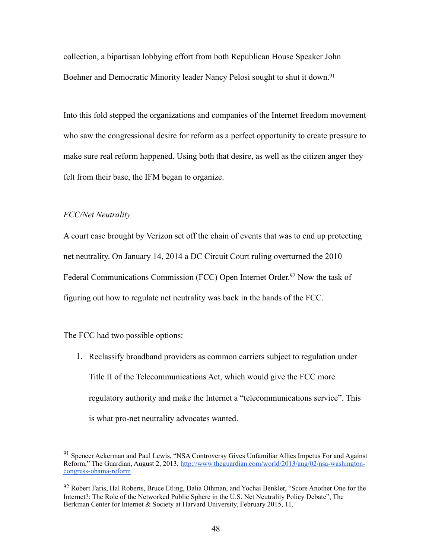<span id="page-52-2"></span>collection, a bipartisan lobbying effort from both Republican House Speaker John Boehner and Democratic Minority leader Nancy Pelosi sought to shut it down.<sup>91</sup>

Into this fold stepped the organizations and companies of the Internet freedom movement who saw the congressional desire for reform as a perfect opportunity to create pressure to make sure real reform happened. Using both that desire, as well as the citizen anger they felt from their base, the IFM began to organize.

## *FCC/Net Neutrality*

A court case brought by Verizon set off the chain of events that was to end up protecting net neutrality. On January 14, 2014 a DC Circuit Court ruling overturned the 2010 FederalCommunications Commission (FCC) Open Internet Order.<sup>[92](#page-52-1)</sup> Now the task of figuring out how to regulate net neutrality was back in the hands of the FCC.

The FCC had two possible options:

<span id="page-52-3"></span>1. Reclassify broadband providers as common carriers subject to regulation under Title II of the Telecommunications Act, which would give the FCC more regulatory authority and make the Internet a "telecommunications service". This is what pro-net neutrality advocates wanted.

<span id="page-52-0"></span><sup>&</sup>lt;sup>[91](#page-52-2)</sup> Spencer Ackerman and Paul Lewis, "NSA Controversy Gives Unfamiliar Allies Impetus For and Against [Reform," The Guardian, August 2, 2013, http://www.theguardian.com/world/2013/aug/02/nsa-washington](http://www.theguardian.com/world/2013/aug/02/nsa-washington-congress-obama-reform)congress-obama-reform

<span id="page-52-1"></span>[<sup>92</sup>](#page-52-3) Robert Faris, Hal Roberts, Bruce Etling, Dalia Othman, and Yochai Benkler, "Score Another One for the Internet?: The Role of the Networked Public Sphere in the U.S. Net Neutrality Policy Debate", The Berkman Center for Internet & Society at Harvard University, February 2015, 11.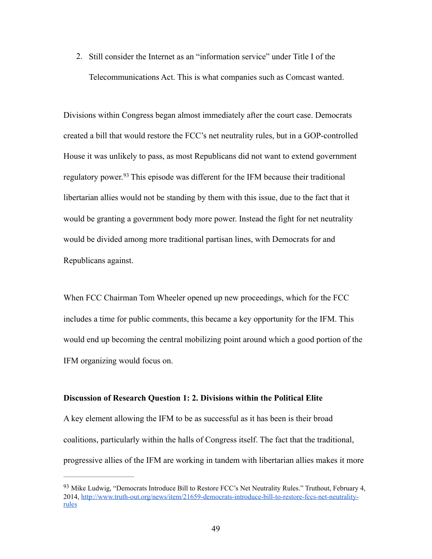2. Still consider the Internet as an "information service" under Title I of the Telecommunications Act. This is what companies such as Comcast wanted.

<span id="page-53-1"></span>Divisions within Congress began almost immediately after the court case. Democrats created a bill that would restore the FCC's net neutrality rules, but in a GOP-controlled House it was unlikely to pass, as most Republicans did not want to extend government regulatorypower.<sup>[93](#page-53-0)</sup> This episode was different for the IFM because their traditional libertarian allies would not be standing by them with this issue, due to the fact that it would be granting a government body more power. Instead the fight for net neutrality would be divided among more traditional partisan lines, with Democrats for and Republicans against.

When FCC Chairman Tom Wheeler opened up new proceedings, which for the FCC includes a time for public comments, this became a key opportunity for the IFM. This would end up becoming the central mobilizing point around which a good portion of the IFM organizing would focus on.

#### **Discussion of Research Question 1: 2. Divisions within the Political Elite**

A key element allowing the IFM to be as successful as it has been is their broad coalitions, particularly within the halls of Congress itself. The fact that the traditional, progressive allies of the IFM are working in tandem with libertarian allies makes it more

<span id="page-53-0"></span><sup>&</sup>lt;sup>[93](#page-53-1)</sup> Mike Ludwig, "Democrats Introduce Bill to Restore FCC's Net Neutrality Rules." Truthout, February 4, [2014, http://www.truth-out.org/news/item/21659-democrats-introduce-bill-to-restore-fccs-net-neutrality](http://www.truth-out.org/news/item/21659-democrats-introduce-bill-to-restore-fccs-net-neutrality-rules)rules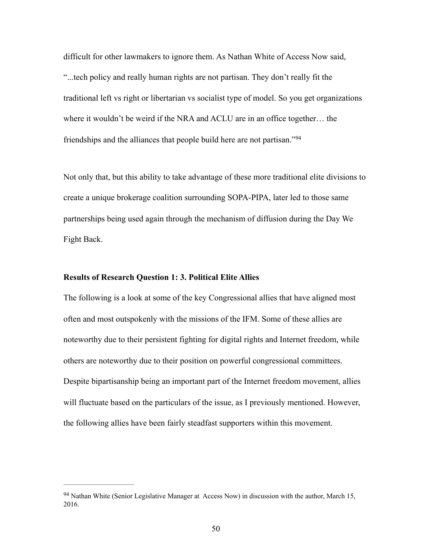difficult for other lawmakers to ignore them. As Nathan White of Access Now said, "...tech policy and really human rights are not partisan. They don't really fit the traditional left vs right or libertarian vs socialist type of model. So you get organizations where it wouldn't be weird if the NRA and ACLU are in an office together… the friendships and the alliances that people build here are not partisan."[94](#page-54-0)

<span id="page-54-1"></span>Not only that, but this ability to take advantage of these more traditional elite divisions to create a unique brokerage coalition surrounding SOPA-PIPA, later led to those same partnerships being used again through the mechanism of diffusion during the Day We Fight Back.

## **Results of Research Question 1: 3. Political Elite Allies**

The following is a look at some of the key Congressional allies that have aligned most often and most outspokenly with the missions of the IFM. Some of these allies are noteworthy due to their persistent fighting for digital rights and Internet freedom, while others are noteworthy due to their position on powerful congressional committees. Despite bipartisanship being an important part of the Internet freedom movement, allies will fluctuate based on the particulars of the issue, as I previously mentioned. However, the following allies have been fairly steadfast supporters within this movement.

<span id="page-54-0"></span> $94$  Nathan White (Senior Legislative Manager at Access Now) in discussion with the author, March 15, 2016.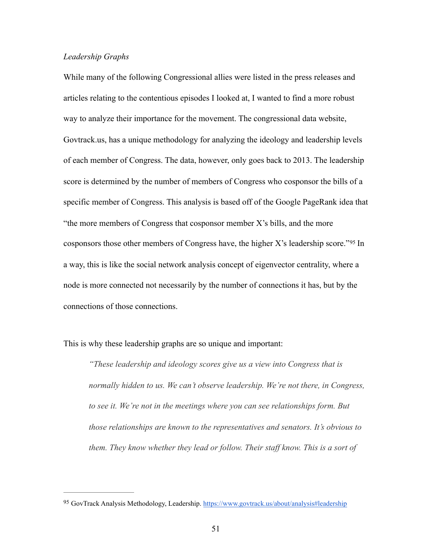## *Leadership Graphs*

While many of the following Congressional allies were listed in the press releases and articles relating to the contentious episodes I looked at, I wanted to find a more robust way to analyze their importance for the movement. The congressional data website, Govtrack.us, has a unique methodology for analyzing the ideology and leadership levels of each member of Congress. The data, however, only goes back to 2013. The leadership score is determined by the number of members of Congress who cosponsor the bills of a specific member of Congress. This analysis is based off of the Google PageRank idea that "the more members of Congress that cosponsor member  $X$ 's bills, and the more cosponsorsthose other members of Congress have, the higher X's leadership score."<sup>[95](#page-55-0)</sup> In a way, this is like the social network analysis concept of eigenvector centrality, where a node is more connected not necessarily by the number of connections it has, but by the connections of those connections.

This is why these leadership graphs are so unique and important:

<span id="page-55-1"></span>*"These leadership and ideology scores give us a view into Congress that is normally hidden to us. We can't observe leadership. We're not there, in Congress, to see it. We're not in the meetings where you can see relationships form. But those relationships are known to the representatives and senators. It's obvious to them. They know whether they lead or follow. Their staff know. This is a sort of* 

<span id="page-55-0"></span><sup>95</sup> GovTrack Analysis Methodology, Leadership. [https://www.govtrack.us/about/analysis#leadership](https://www.govtrack.us/about/analysis%23leadership)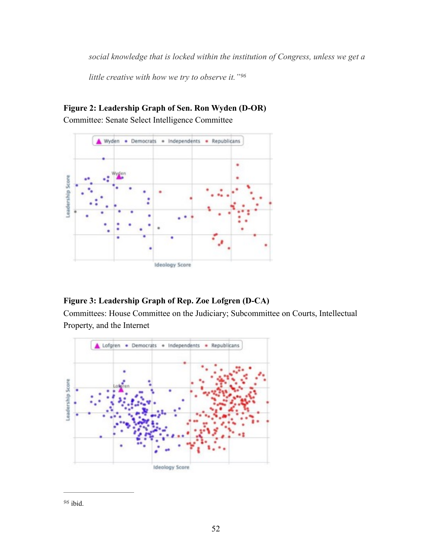*social knowledge that is locked within the institution of Congress, unless we get a* 

<span id="page-56-1"></span>*little creative with how we try to observe it."[96](#page-56-0)*



# **Figure 2: Leadership Graph of Sen. Ron Wyden (D-OR)** Committee: Senate Select Intelligence Committee

# **Figure 3: Leadership Graph of Rep. Zoe Lofgren (D-CA)**

Committees: House Committee on the Judiciary; Subcommittee on Courts, Intellectual Property, and the Internet



<span id="page-56-0"></span>ibid. *[96](#page-56-1)*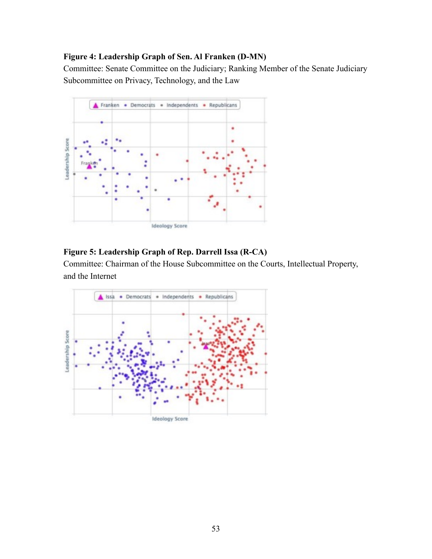## **Figure 4: Leadership Graph of Sen. Al Franken (D-MN)**

Committee: Senate Committee on the Judiciary; Ranking Member of the Senate Judiciary Subcommittee on Privacy, Technology, and the Law



## **Figure 5: Leadership Graph of Rep. Darrell Issa (R-CA)**

Committee: Chairman of the House Subcommittee on the Courts, Intellectual Property, and the Internet

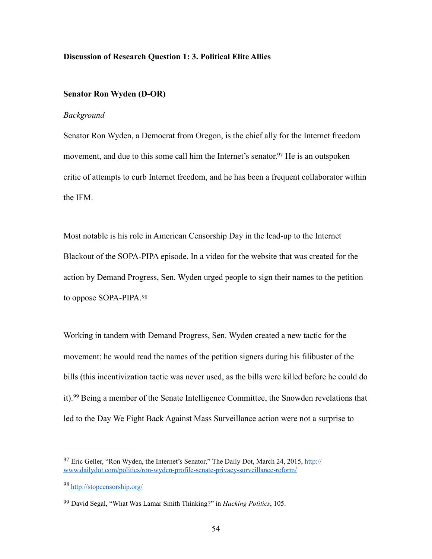#### **Discussion of Research Question 1: 3. Political Elite Allies**

## **Senator Ron Wyden (D-OR)**

#### *Background*

<span id="page-58-3"></span>Senator Ron Wyden, a Democrat from Oregon, is the chief ally for the Internet freedom movement, and due to this some call him the Internet's senator[.](#page-58-0)<sup>[97](#page-58-0)</sup> He is an outspoken critic of attempts to curb Internet freedom, and he has been a frequent collaborator within the IFM.

Most notable is his role in American Censorship Day in the lead-up to the Internet Blackout of the SOPA-PIPA episode. In a video for the website that was created for the action by Demand Progress, Sen. Wyden urged people to sign their names to the petition to oppose SOPA-PIPA.[98](#page-58-1)

<span id="page-58-4"></span>Working in tandem with Demand Progress, Sen. Wyden created a new tactic for the movement: he would read the names of the petition signers during his filibuster of the bills (this incentivization tactic was never used, as the bills were killed before he could do it). $99$  Being a member of the Senate Intelligence Committee, the Snowden revelations that led to the Day We Fight Back Against Mass Surveillance action were not a surprise to

<span id="page-58-5"></span><span id="page-58-0"></span> $97$  [Eric Geller, "Ron Wyden, the Internet's Senator," The Daily Dot, March 24, 2015, http://](http://www.dailydot.com/politics/ron-wyden-profile-senate-privacy-surveillance-reform/) www.dailydot.com/politics/ron-wyden-profile-senate-privacy-surveillance-reform/

<span id="page-58-1"></span><http://stopcensorship.org/> [98](#page-58-4)

<span id="page-58-2"></span>David Segal, "What Was Lamar Smith Thinking?" in *Hacking Politics*, 105. [99](#page-58-5)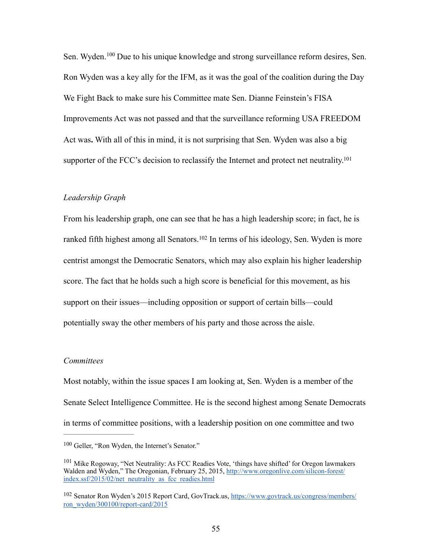<span id="page-59-3"></span>Sen.Wyden.<sup>[100](#page-59-0)</sup> Due to his unique knowledge and strong surveillance reform desires, Sen. Ron Wyden was a key ally for the IFM, as it was the goal of the coalition during the Day We Fight Back to make sure his Committee mate Sen. Dianne Feinstein's FISA Improvements Act was not passed and that the surveillance reforming USA FREEDOM Act was**.** With all of this in mind, it is not surprising that Sen. Wyden was also a big supporter of the FCC's decision to reclassify the Internet and protect net neutrality.<sup>101</sup>

#### <span id="page-59-4"></span>*Leadership Graph*

<span id="page-59-5"></span>From his leadership graph, one can see that he has a high leadership score; in fact, he is rankedfifth highest among all Senators.<sup>[102](#page-59-2)</sup> In terms of his ideology, Sen. Wyden is more centrist amongst the Democratic Senators, which may also explain his higher leadership score. The fact that he holds such a high score is beneficial for this movement, as his support on their issues—including opposition or support of certain bills—could potentially sway the other members of his party and those across the aisle.

## *Committees*

Most notably, within the issue spaces I am looking at, Sen. Wyden is a member of the Senate Select Intelligence Committee. He is the second highest among Senate Democrats in terms of committee positions, with a leadership position on one committee and two

<span id="page-59-0"></span> $100$  Geller, "Ron Wyden, the Internet's Senator."

<span id="page-59-1"></span> $101$  Mike Rogoway, "Net Neutrality: As FCC Readies Vote, 'things have shifted' for Oregon lawmakers [Walden and Wyden," The Oregonian, February 25, 2015, http://www.oregonlive.com/silicon-forest/](http://www.oregonlive.com/silicon-forest/index.ssf/2015/02/net_neutrality_as_fcc_readies.html) index.ssf/2015/02/net\_neutrality\_as\_fcc\_readies.html

<span id="page-59-2"></span><sup>&</sup>lt;sup>102</sup> [Senator Ron Wyden's 2015 Report Card, GovTrack.us, https://www.govtrack.us/congress/members/](https://www.govtrack.us/congress/members/ron_wyden/300100/report-card/2015) ron\_wyden/300100/report-card/2015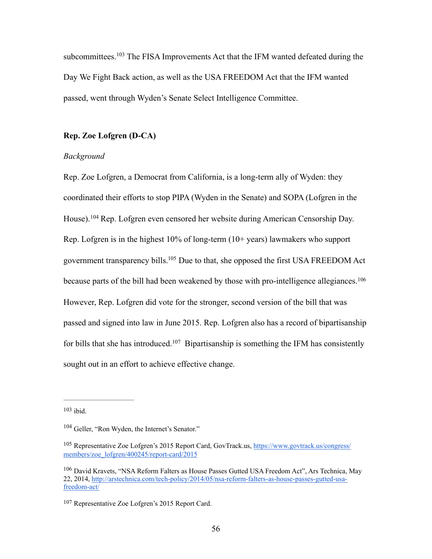<span id="page-60-5"></span>subcommittees. $103$  The FISA Improvements Act that the IFM wanted defeated during the Day We Fight Back action, as well as the USA FREEDOM Act that the IFM wanted passed, went through Wyden's Senate Select Intelligence Committee.

## **Rep. Zoe Lofgren (D-CA)**

#### *Background*

<span id="page-60-8"></span><span id="page-60-7"></span><span id="page-60-6"></span>Rep. Zoe Lofgren, a Democrat from California, is a long-term ally of Wyden: they coordinated their efforts to stop PIPA (Wyden in the Senate) and SOPA (Lofgren in the House).<sup>[104](#page-60-1)</sup> Rep. Lofgren even censored her website during American Censorship Day. Rep. Lofgren is in the highest  $10\%$  of long-term  $(10+)$  years) lawmakers who support government transparency bills[.](#page-60-2)  $105$  Due to that, she opposed the first USA FREEDOM Act because parts of the bill had been weakened by those with pro-intelligence allegiances.<sup>[106](#page-60-3)</sup> However, Rep. Lofgren did vote for the stronger, second version of the bill that was passed and signed into law in June 2015. Rep. Lofgren also has a record of bipartisanship forbills that she has introduced.<sup>[107](#page-60-4)</sup> Bipartisanship is something the IFM has consistently sought out in an effort to achieve effective change.

<span id="page-60-9"></span><span id="page-60-0"></span> $103$  ibid.

<span id="page-60-1"></span><sup>&</sup>lt;sup>[104](#page-60-6)</sup> Geller, "Ron Wyden, the Internet's Senator."

<span id="page-60-2"></span><sup>&</sup>lt;sup>105</sup> [Representative Zoe Lofgren's 2015 Report Card, GovTrack.us, https://www.govtrack.us/congress/](https://www.govtrack.us/congress/members/zoe_lofgren/400245/report-card/2015) members/zoe\_lofgren/400245/report-card/2015

<span id="page-60-3"></span><sup>&</sup>lt;sup>[106](#page-60-8)</sup> David Kravets, "NSA Reform Falters as House Passes Gutted USA Freedom Act", Ars Technica, May [22, 2014, http://arstechnica.com/tech-policy/2014/05/nsa-reform-falters-as-house-passes-gutted-usa](http://arstechnica.com/tech-policy/2014/05/nsa-reform-falters-as-house-passes-gutted-usa-freedom-act/)freedom-act/

<span id="page-60-4"></span><sup>&</sup>lt;sup>[107](#page-60-9)</sup> Representative Zoe Lofgren's 2015 Report Card.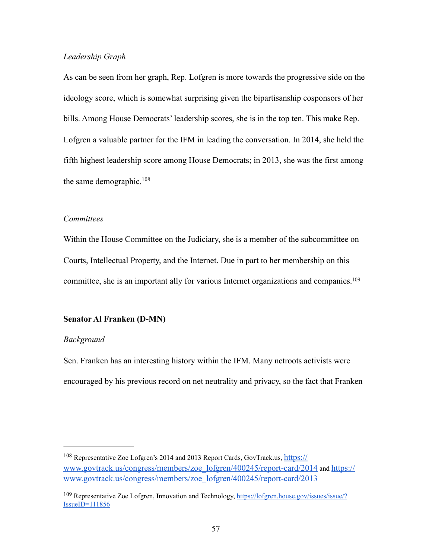## *Leadership Graph*

As can be seen from her graph, Rep. Lofgren is more towards the progressive side on the ideology score, which is somewhat surprising given the bipartisanship cosponsors of her bills. Among House Democrats' leadership scores, she is in the top ten. This make Rep. Lofgren a valuable partner for the IFM in leading the conversation. In 2014, she held the fifth highest leadership score among House Democrats; in 2013, she was the first among the same demographic.<sup>[108](#page-61-0)</sup>

#### <span id="page-61-2"></span>*Committees*

Within the House Committee on the Judiciary, she is a member of the subcommittee on Courts, Intellectual Property, and the Internet. Due in part to her membership on this committee, she is an important ally for various Internet organizations and companies[.109](#page-61-1)

## <span id="page-61-3"></span>**Senator Al Franken (D-MN)**

#### *Background*

Sen. Franken has an interesting history within the IFM. Many netroots activists were encouraged by his previous record on net neutrality and privacy, so the fact that Franken

<span id="page-61-0"></span><sup>&</sup>lt;sup>[108](#page-61-2)</sup> Representative Zoe Lofgren's 2014 and 2013 Report Cards, GovTrack.us, https:// [www.govtrack.us/congress/members/zoe\\_lofgren/400245/report-card/2014 and https://](https://www.govtrack.us/congress/members/zoe_lofgren/400245/report-card/2013) www.govtrack.us/congress/members/zoe\_lofgren/400245/report-card/2013

<span id="page-61-1"></span><sup>109</sup> [Representative Zoe Lofgren, Innovation and Technology, https://lofgren.house.gov/issues/issue/?](https://lofgren.house.gov/issues/issue/?IssueID=111856) IssueID=111856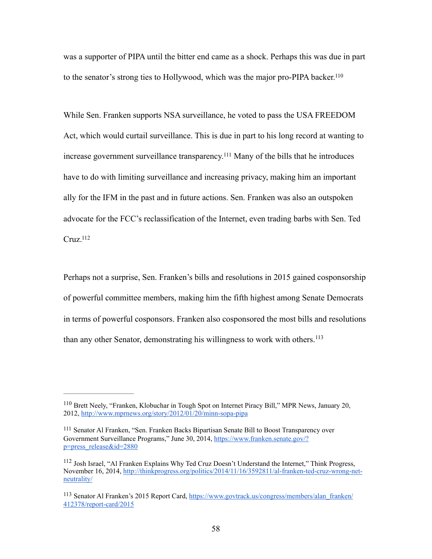<span id="page-62-4"></span>was a supporter of PIPA until the bitter end came as a shock. Perhaps this was due in part to the senator's strong ties to Hollywood, which was the major pro-PIPA backer[.110](#page-62-0)

<span id="page-62-5"></span>While Sen. Franken supports NSA surveillance, he voted to pass the USA FREEDOM Act, which would curtail surveillance. This is due in part to his long record at wanting to increase government surveillance transparency.<sup>[111](#page-62-1)</sup> Many of the bills that he introduces have to do with limiting surveillance and increasing privacy, making him an important ally for the IFM in the past and in future actions. Sen. Franken was also an outspoken advocate for the FCC's reclassification of the Internet, even trading barbs with Sen. Ted  $C$ ruz.<sup>112</sup>

<span id="page-62-6"></span>Perhaps not a surprise, Sen. Franken's bills and resolutions in 2015 gained cosponsorship of powerful committee members, making him the fifth highest among Senate Democrats in terms of powerful cosponsors. Franken also cosponsored the most bills and resolutions than any other Senator, demonstrating his willingness to work with others.<sup>[113](#page-62-3)</sup>

<span id="page-62-7"></span><span id="page-62-0"></span><sup>&</sup>lt;sup>[110](#page-62-4)</sup> Brett Neely, "Franken, Klobuchar in Tough Spot on Internet Piracy Bill," MPR News, January 20, 2012, <http://www.mprnews.org/story/2012/01/20/minn-sopa-pipa>

<span id="page-62-1"></span><sup>&</sup>lt;sup>[111](#page-62-5)</sup> Senator Al Franken, "Sen. Franken Backs Bipartisan Senate Bill to Boost Transparency over [Government Surveillance Programs," June 30, 2014, https://www.franken.senate.gov/?](https://www.franken.senate.gov/?p=press_release&id=2880) p=press\_release&id=2880

<span id="page-62-2"></span><sup>&</sup>lt;sup>[112](#page-62-6)</sup> Josh Israel, "Al Franken Explains Why Ted Cruz Doesn't Understand the Internet," Think Progress, [November 16, 2014, http://thinkprogress.org/politics/2014/11/16/3592811/al-franken-ted-cruz-wrong-net](http://thinkprogress.org/politics/2014/11/16/3592811/al-franken-ted-cruz-wrong-net-neutrality/)neutrality/

<span id="page-62-3"></span><sup>&</sup>lt;sup>113</sup> [Senator Al Franken's 2015 Report Card, https://www.govtrack.us/congress/members/alan\\_franken/](https://www.govtrack.us/congress/members/alan_franken/412378/report-card/2015) 412378/report-card/2015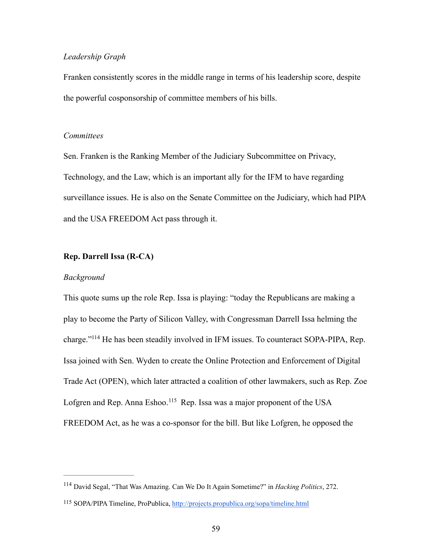## *Leadership Graph*

Franken consistently scores in the middle range in terms of his leadership score, despite the powerful cosponsorship of committee members of his bills.

## *Committees*

Sen. Franken is the Ranking Member of the Judiciary Subcommittee on Privacy, Technology, and the Law, which is an important ally for the IFM to have regarding surveillance issues. He is also on the Senate Committee on the Judiciary, which had PIPA and the USA FREEDOM Act pass through it.

## **Rep. Darrell Issa (R-CA)**

#### *Background*

<span id="page-63-2"></span>This quote sums up the role Rep. Issa is playing: "today the Republicans are making a play to become the Party of Silicon Valley, with Congressman Darrell Issa helming the charge."<sup>[114](#page-63-0)</sup> He has been steadily involved in IFM issues. To counteract SOPA-PIPA, Rep. Issa joined with Sen. Wyden to create the Online Protection and Enforcement of Digital Trade Act (OPEN), which later attracted a coalition of other lawmakers, such as Rep. Zoe Lofgren and Rep. Anna Eshoo.<sup>[115](#page-63-1)</sup> Rep. Issa was a major proponent of the USA FREEDOM Act, as he was a co-sponsor for the bill. But like Lofgren, he opposed the

<span id="page-63-3"></span><span id="page-63-0"></span><sup>&</sup>lt;sup>[114](#page-63-2)</sup> David Segal, "That Was Amazing. Can We Do It Again Sometime?" in *Hacking Politics*, 272.

<span id="page-63-1"></span><sup>115</sup> SOPA/PIPA Timeline, ProPublica,<http://projects.propublica.org/sopa/timeline.html>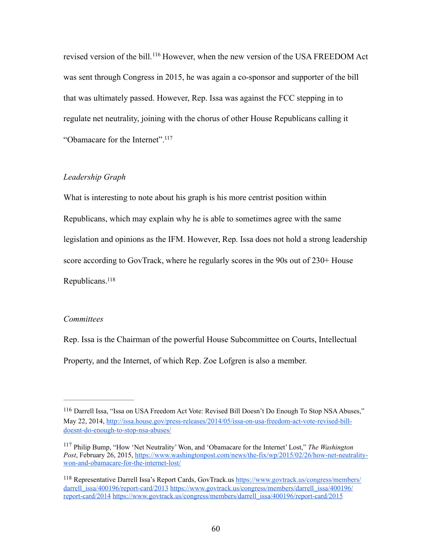<span id="page-64-3"></span>revised version of the bill.<sup>[116](#page-64-0)</sup> However, when the new version of the USA FREEDOM Act was sent through Congress in 2015, he was again a co-sponsor and supporter of the bill that was ultimately passed. However, Rep. Issa was against the FCC stepping in to regulate net neutrality, joining with the chorus of other House Republicans calling it "Obamacare for the Internet"[.117](#page-64-1)

## <span id="page-64-4"></span>*Leadership Graph*

What is interesting to note about his graph is his more centrist position within Republicans, which may explain why he is able to sometimes agree with the same legislation and opinions as the IFM. However, Rep. Issa does not hold a strong leadership score according to GovTrack, where he regularly scores in the 90s out of 230+ House Republicans[.118](#page-64-2)

#### <span id="page-64-5"></span>*Committees*

Rep. Issa is the Chairman of the powerful House Subcommittee on Courts, Intellectual Property, and the Internet, of which Rep. Zoe Lofgren is also a member.

<span id="page-64-0"></span>[<sup>116</sup>](#page-64-3) Darrell Issa, "Issa on USA Freedom Act Vote: Revised Bill Doesn't Do Enough To Stop NSA Abuses," [May 22, 2014, http://issa.house.gov/press-releases/2014/05/issa-on-usa-freedom-act-vote-revised-bill](http://issa.house.gov/press-releases/2014/05/issa-on-usa-freedom-act-vote-revised-bill-doesnt-do-enough-to-stop-nsa-abuses/)doesnt-do-enough-to-stop-nsa-abuses/

<span id="page-64-1"></span><sup>&</sup>lt;sup>[117](#page-64-4)</sup> Philip Bump, "How 'Net Neutrality' Won, and 'Obamacare for the Internet' Lost," The Washington *Post*[, February 26, 2015, https://www.washingtonpost.com/news/the-fix/wp/2015/02/26/how-net-neutrality](https://www.washingtonpost.com/news/the-fix/wp/2015/02/26/how-net-neutrality-won-and-obamacare-for-the-internet-lost/)won-and-obamacare-for-the-internet-lost/

<span id="page-64-2"></span><sup>&</sup>lt;sup>118</sup> Representative [Darrell Issa's Report Cards, GovTrack.us https://www.govtrack.us/congress/members/](https://www.govtrack.us/congress/members/darrell_issa/400196/report-card/2013) darrell\_issa/400196/report-card/2013 https://www.govtrack.us/congress/members/darrell\_issa/400196/ report-card/2014 [https://www.govtrack.us/congress/members/darrell\\_issa/400196/report-card/2015](https://www.govtrack.us/congress/members/darrell_issa/400196/report-card/2014)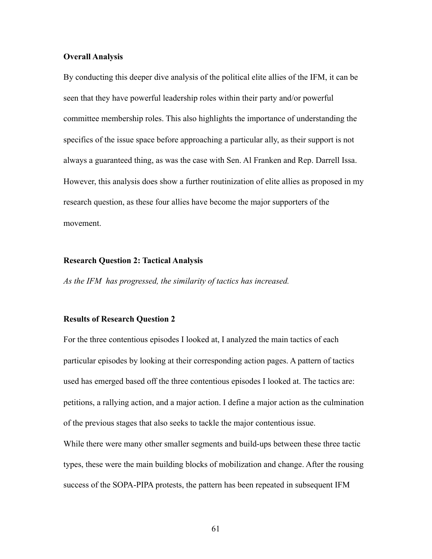## **Overall Analysis**

By conducting this deeper dive analysis of the political elite allies of the IFM, it can be seen that they have powerful leadership roles within their party and/or powerful committee membership roles. This also highlights the importance of understanding the specifics of the issue space before approaching a particular ally, as their support is not always a guaranteed thing, as was the case with Sen. Al Franken and Rep. Darrell Issa. However, this analysis does show a further routinization of elite allies as proposed in my research question, as these four allies have become the major supporters of the movement.

## **Research Question 2: Tactical Analysis**

*As the IFM has progressed, the similarity of tactics has increased.*

#### **Results of Research Question 2**

For the three contentious episodes I looked at, I analyzed the main tactics of each particular episodes by looking at their corresponding action pages. A pattern of tactics used has emerged based off the three contentious episodes I looked at. The tactics are: petitions, a rallying action, and a major action. I define a major action as the culmination of the previous stages that also seeks to tackle the major contentious issue.

While there were many other smaller segments and build-ups between these three tactic types, these were the main building blocks of mobilization and change. After the rousing success of the SOPA-PIPA protests, the pattern has been repeated in subsequent IFM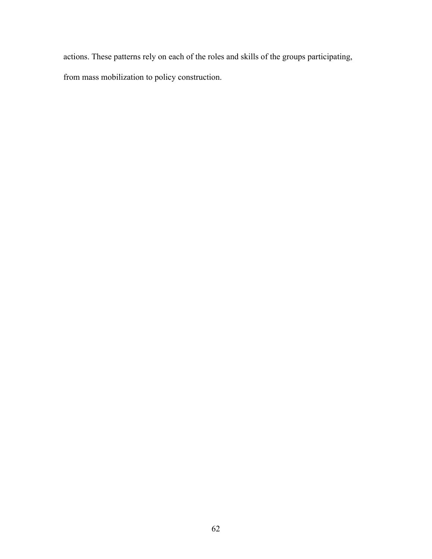actions. These patterns rely on each of the roles and skills of the groups participating,

from mass mobilization to policy construction.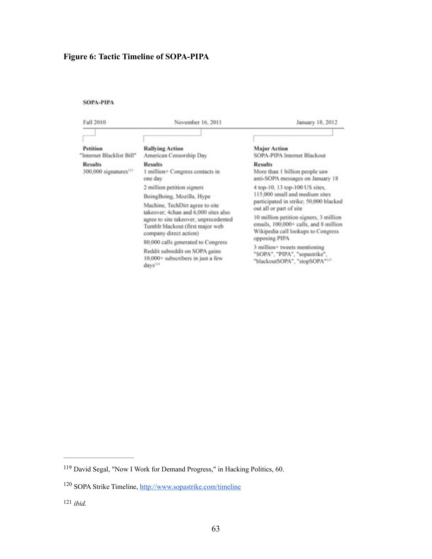# **Figure 6: Tactic Timeline of SOPA-PIPA**

## SOPA-PIPA

| Fall 2010                                           | November 16, 2011                                                                                                                                                                                                                                                                                                                                                             | January 18, 2012                                                                                                                                                                                                                                                                                                                                                                  |  |
|-----------------------------------------------------|-------------------------------------------------------------------------------------------------------------------------------------------------------------------------------------------------------------------------------------------------------------------------------------------------------------------------------------------------------------------------------|-----------------------------------------------------------------------------------------------------------------------------------------------------------------------------------------------------------------------------------------------------------------------------------------------------------------------------------------------------------------------------------|--|
| Petition<br>"Internet Blacklist Bill"               | <b>Rallying Action</b><br>American Censorship Day                                                                                                                                                                                                                                                                                                                             | <b>Major Action</b><br>SOPA-PIPA Internet Blackout                                                                                                                                                                                                                                                                                                                                |  |
| <b>Results</b><br>300,000 signatures <sup>113</sup> | <b>Results</b><br>1 million+ Congress contacts in<br>one day                                                                                                                                                                                                                                                                                                                  | <b>Results</b><br>More than 1 billion people saw<br>anti-SOPA messages on January 18                                                                                                                                                                                                                                                                                              |  |
|                                                     | 2 million petition signers<br>BoingBoing, Mozilla, Hype<br>Machine, TechDirt agree to site<br>takeover: 4chan and 6,000 sites also<br>agree to site takeover; unprecedented<br>Tumblr blackout (first major web<br>company direct action)<br>80,000 calls generated to Congress<br>Reddit subreddit on SOPA gains<br>10,000+ subscribers in just a few<br>days <sup>114</sup> | 4 top-10, 13 top-100 US sites,<br>115,000 small and medium sites<br>participated in strike; 50,000 blacked<br>out all or part of site<br>10 million petition signers, 3 million<br>emails, 100,000+ calls, and 8 million<br>Wikipedia call lookups to Congress<br>opposing PIPA<br>3 million+ tweets mentioning<br>"SOPA", "PIPA", "sopastrike",<br>"blackoutSOPA", "stopSOPA"115 |  |

<span id="page-67-5"></span><span id="page-67-4"></span><span id="page-67-3"></span><span id="page-67-0"></span><sup>&</sup>lt;sup>[119](#page-67-3)</sup> David Segal, "Now I Work for Demand Progress," in Hacking Politics, 60.

<span id="page-67-1"></span><sup>&</sup>lt;sup>[120](#page-67-4)</sup> SOPA Strike Timeline, http://www.sopastrike.com/timeline

<span id="page-67-2"></span>*ibid.* [121](#page-67-5)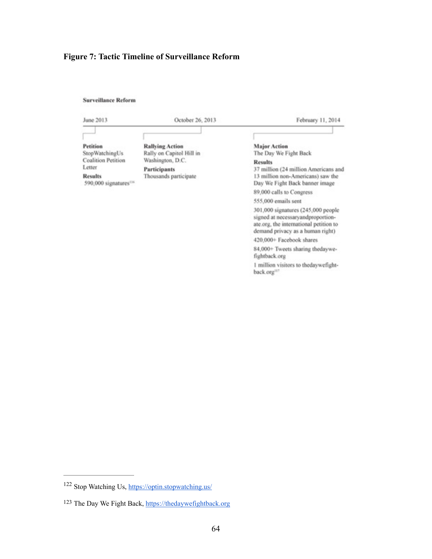# **Figure 7: Tactic Timeline of Surveillance Reform**

**Surveillance Reform** 

| June 2013                                                     | October 26, 2013                                   | February 11, 2014                                                                                                                                     |
|---------------------------------------------------------------|----------------------------------------------------|-------------------------------------------------------------------------------------------------------------------------------------------------------|
|                                                               |                                                    |                                                                                                                                                       |
| Petition<br>StopWatchingUs                                    | <b>Rallving Action</b><br>Rally on Capitol Hill in | <b>Major Action</b><br>The Day We Fight Back                                                                                                          |
| <b>Coalition Petition</b>                                     | Washington, D.C.                                   | <b>Results</b>                                                                                                                                        |
| Letter<br><b>Results</b><br>590,000 signatures <sup>116</sup> | Participants<br>Thousands participate              | 37 million (24 million Americans and<br>13 million non-Americans) saw the<br>Day We Fight Back banner image                                           |
|                                                               |                                                    | 89,000 calls to Congress                                                                                                                              |
|                                                               |                                                    | 555,000 emails sent                                                                                                                                   |
|                                                               |                                                    | 301,000 signatures (245,000 people<br>signed at necessaryandproportion-<br>ate.org, the international petition to<br>demand privacy as a human right) |
|                                                               |                                                    | 420,000+ Facebook shares                                                                                                                              |
|                                                               |                                                    | 84,000+ Tweets sharing thedaywe-<br>fightback.org                                                                                                     |
|                                                               |                                                    | 1 million visitors to thedaywefight-<br>back.org <sup>117</sup>                                                                                       |

<span id="page-68-3"></span><span id="page-68-2"></span>

<span id="page-68-0"></span><sup>122</sup> Stop Watching Us,<https://optin.stopwatching.us/>

<span id="page-68-1"></span><sup>&</sup>lt;sup>[123](#page-68-3)</sup> The Day We Fight Back, https://thedaywefightback.org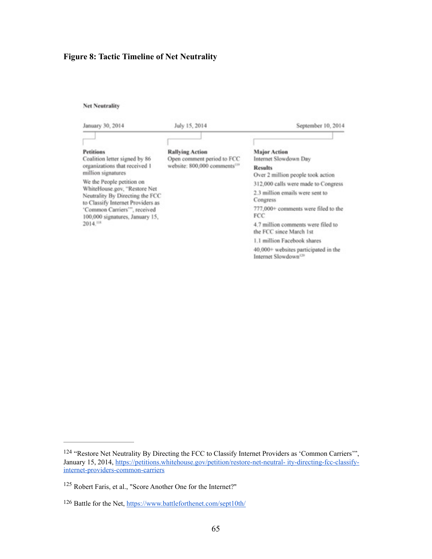# **Figure 8: Tactic Timeline of Net Neutrality**

#### **Net Neutrality**

| January 30, 2014                                                                                                                                                                                                                                                                                                             | July 15, 2014                                                                                    | September 10, 2014                                                                                                                                                                                                                                                                                                                      |
|------------------------------------------------------------------------------------------------------------------------------------------------------------------------------------------------------------------------------------------------------------------------------------------------------------------------------|--------------------------------------------------------------------------------------------------|-----------------------------------------------------------------------------------------------------------------------------------------------------------------------------------------------------------------------------------------------------------------------------------------------------------------------------------------|
| <b>Petitions</b><br>Coalition letter signed by 86<br>organizations that received 1<br>million signatures<br>We the People petition on<br>WhiteHouse.gov, "Restore Net<br>Neutrality By Directing the FCC<br>to Classify Internet Providers as<br>'Common Carriers'", received<br>100,000 signatures, January 15,<br>2014.118 | <b>Rallving Action</b><br>Open comment period to FCC<br>website: 800,000 comments <sup>119</sup> | <b>Major Action</b><br>Internet Slowdown Day<br><b>Results</b><br>Over 2 million people took action<br>312,000 calls were made to Congress<br>2.3 million emails were sent to<br>Congress<br>777,000+ comments were filed to the<br>FCC<br>4.7 million comments were filed to<br>the FCC since March 1st<br>1.1 million Facebook shares |
|                                                                                                                                                                                                                                                                                                                              |                                                                                                  | 40,000+ websites participated in the<br>Internet Slowdown <sup>120</sup>                                                                                                                                                                                                                                                                |

<span id="page-69-5"></span><span id="page-69-4"></span><span id="page-69-3"></span><span id="page-69-0"></span>[<sup>124</sup>](#page-69-3) "Restore Net Neutrality By Directing the FCC to Classify Internet Providers as 'Common Carriers'", [January 15, 2014, https://petitions.whitehouse.gov/petition/restore-net-neutral- ity-directing-fcc-classify](https://petitions.whitehouse.gov/petition/restore-net-neutral-)internet-providers-common-carriers

<span id="page-69-1"></span><sup>&</sup>lt;sup>[125](#page-69-4)</sup> Robert Faris, et al., "Score Another One for the Internet?"

<span id="page-69-2"></span><sup>126</sup> Battle for the Net,<https://www.battleforthenet.com/sept10th/>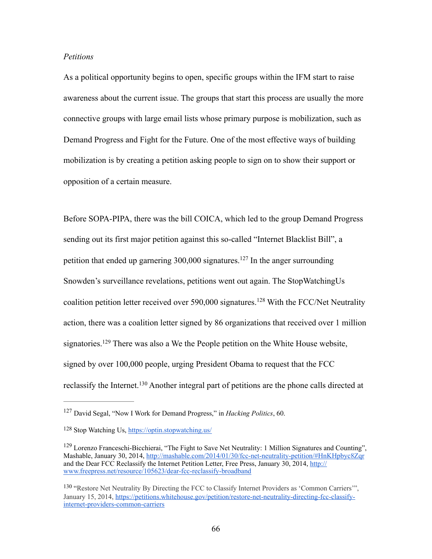## *Petitions*

As a political opportunity begins to open, specific groups within the IFM start to raise awareness about the current issue. The groups that start this process are usually the more connective groups with large email lists whose primary purpose is mobilization, such as Demand Progress and Fight for the Future. One of the most effective ways of building mobilization is by creating a petition asking people to sign on to show their support or opposition of a certain measure.

<span id="page-70-5"></span><span id="page-70-4"></span>Before SOPA-PIPA, there was the bill COICA, which led to the group Demand Progress sending out its first major petition against this so-called "Internet Blacklist Bill", a petitionthat ended up garnering 300,000 signatures.<sup>[127](#page-70-0)</sup> In the anger surrounding Snowden's surveillance revelations, petitions went out again. The StopWatchingUs coalitionpetition letter received over  $590,000$  signatures.<sup>[128](#page-70-1)</sup> With the FCC/Net Neutrality action, there was a coalition letter signed by 86 organizations that received over 1 million signatories.<sup>129</sup>There was also a We the People petition on the White House website, signed by over 100,000 people, urging President Obama to request that the FCC reclassifythe Internet.<sup>[130](#page-70-3)</sup> Another integral part of petitions are the phone calls directed at

<span id="page-70-7"></span><span id="page-70-6"></span><span id="page-70-0"></span><sup>&</sup>lt;sup>[127](#page-70-4)</sup> David Segal, "Now I Work for Demand Progress," in *Hacking Politics*, 60.

<span id="page-70-1"></span>Stop Watching Us, <https://optin.stopwatching.us/> [128](#page-70-5)

<span id="page-70-2"></span><sup>&</sup>lt;sup>[129](#page-70-6)</sup> Lorenzo Franceschi-Bicchierai, "The Fight to Save Net Neutrality: 1 Million Signatures and Counting", Mashable, January 30, 2014, [http://mashable.com/2014/01/30/fcc-net-neutrality-petition/#HnKHpbyc8Zqr](http://mashable.com/2014/01/30/fcc-net-neutrality-petition/%23HnKHpbyc8Zqr) [and the Dear FCC Reclassify the Internet Petition Letter, Free Press, January 30, 2014, http://](http://www.freepress.net/resource/105623/dear-fcc-reclassify-broadband) www.freepress.net/resource/105623/dear-fcc-reclassify-broadband

<span id="page-70-3"></span><sup>&</sup>lt;sup>[130](#page-70-7)</sup> "Restore Net Neutrality By Directing the FCC to Classify Internet Providers as 'Common Carriers'", [January 15, 2014, https://petitions.whitehouse.gov/petition/restore-net-neutrality-directing-fcc-classify](https://petitions.whitehouse.gov/petition/restore-net-neutrality-directing-fcc-classify-internet-providers-common-carriers)internet-providers-common-carriers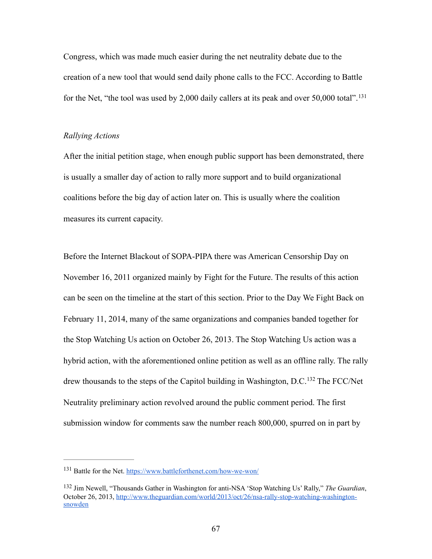Congress, which was made much easier during the net neutrality debate due to the creation of a new tool that would send daily phone calls to the FCC. According to Battle for the Net, "the tool was used by 2,000 daily callers at its peak and over 50,000 total".<sup>[131](#page-71-0)</sup>

## <span id="page-71-2"></span>*Rallying Actions*

After the initial petition stage, when enough public support has been demonstrated, there is usually a smaller day of action to rally more support and to build organizational coalitions before the big day of action later on. This is usually where the coalition measures its current capacity.

Before the Internet Blackout of SOPA-PIPA there was American Censorship Day on November 16, 2011 organized mainly by Fight for the Future. The results of this action can be seen on the timeline at the start of this section. Prior to the Day We Fight Back on February 11, 2014, many of the same organizations and companies banded together for the Stop Watching Us action on October 26, 2013. The Stop Watching Us action was a hybrid action, with the aforementioned online petition as well as an offline rally. The rally drewthousands to the steps of the Capitol building in Washington,  $D.C.<sup>132</sup>$  $D.C.<sup>132</sup>$  $D.C.<sup>132</sup>$  The FCC/Net Neutrality preliminary action revolved around the public comment period. The first submission window for comments saw the number reach 800,000, spurred on in part by

<span id="page-71-3"></span><span id="page-71-0"></span><sup>&</sup>lt;sup>131</sup> Battle for the Net.<https://www.battleforthenet.com/how-we-won/>

<span id="page-71-1"></span>[<sup>132</sup>](#page-71-3) Jim Newell, "Thousands Gather in Washington for anti-NSA 'Stop Watching Us' Rally," The Guardian, [October 26, 2013, http://www.theguardian.com/world/2013/oct/26/nsa-rally-stop-watching-washington](http://www.theguardian.com/world/2013/oct/26/nsa-rally-stop-watching-washington-snowden)snowden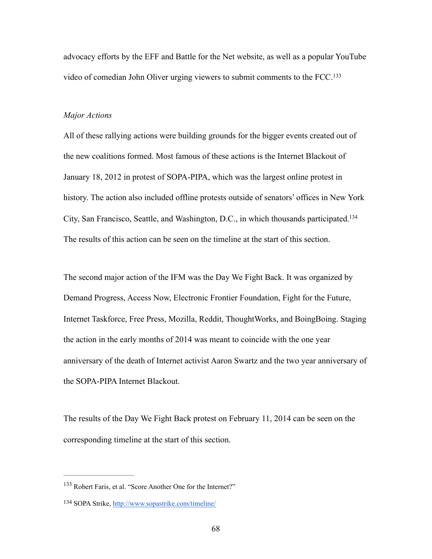<span id="page-72-2"></span>advocacy efforts by the EFF and Battle for the Net website, as well as a popular YouTube video of comedian John Oliver urging viewers to submit comments to the FCC[.133](#page-72-0)

#### *Major Actions*

All of these rallying actions were building grounds for the bigger events created out of the new coalitions formed. Most famous of these actions is the Internet Blackout of January 18, 2012 in protest of SOPA-PIPA, which was the largest online protest in history. The action also included offline protests outside of senators' offices in New York City, San Francisco, Seattle, and Washington, D.C., in which thousands participated[.134](#page-72-1) The results of this action can be seen on the timeline at the start of this section.

<span id="page-72-3"></span>The second major action of the IFM was the Day We Fight Back. It was organized by Demand Progress, Access Now, Electronic Frontier Foundation, Fight for the Future, Internet Taskforce, Free Press, Mozilla, Reddit, ThoughtWorks, and BoingBoing. Staging the action in the early months of 2014 was meant to coincide with the one year anniversary of the death of Internet activist Aaron Swartz and the two year anniversary of the SOPA-PIPA Internet Blackout.

The results of the Day We Fight Back protest on February 11, 2014 can be seen on the corresponding timeline at the start of this section.

<span id="page-72-0"></span><sup>&</sup>lt;sup>[133](#page-72-2)</sup> Robert Faris, et al. "Score Another One for the Internet?"

<span id="page-72-1"></span><sup>134</sup> SOPA Strike, <http://www.sopastrike.com/timeline/>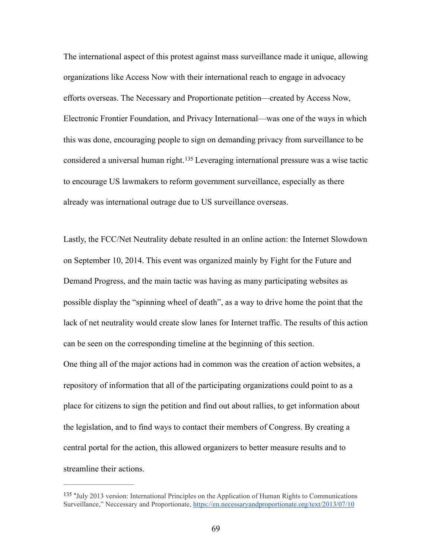The international aspect of this protest against mass surveillance made it unique, allowing organizations like Access Now with their international reach to engage in advocacy efforts overseas. The Necessary and Proportionate petition—created by Access Now, Electronic Frontier Foundation, and Privacy International—was one of the ways in which this was done, encouraging people to sign on demanding privacy from surveillance to be considereda universal human right.<sup>[135](#page-73-0)</sup> Leveraging international pressure was a wise tactic to encourage US lawmakers to reform government surveillance, especially as there already was international outrage due to US surveillance overseas.

<span id="page-73-1"></span>Lastly, the FCC/Net Neutrality debate resulted in an online action: the Internet Slowdown on September 10, 2014. This event was organized mainly by Fight for the Future and Demand Progress, and the main tactic was having as many participating websites as possible display the "spinning wheel of death", as a way to drive home the point that the lack of net neutrality would create slow lanes for Internet traffic. The results of this action can be seen on the corresponding timeline at the beginning of this section. One thing all of the major actions had in common was the creation of action websites, a repository of information that all of the participating organizations could point to as a place for citizens to sign the petition and find out about rallies, to get information about the legislation, and to find ways to contact their members of Congress. By creating a central portal for the action, this allowed organizers to better measure results and to streamline their actions.

<span id="page-73-0"></span><sup>&</sup>lt;sup>[135](#page-73-1)</sup> "July 2013 version: International Principles on the Application of Human Rights to Communications Surveillance," Neccessary and Proportionate, <https://en.necessaryandproportionate.org/text/2013/07/10>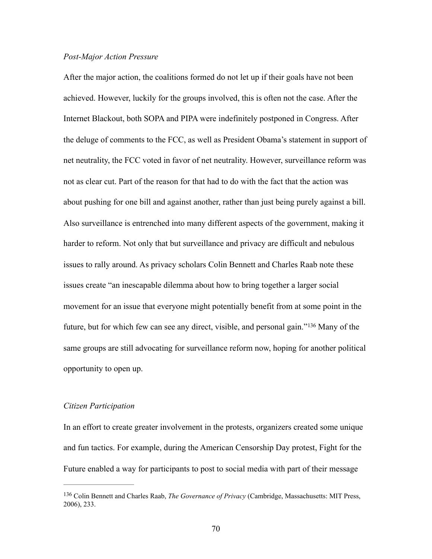### *Post-Major Action Pressure*

After the major action, the coalitions formed do not let up if their goals have not been achieved. However, luckily for the groups involved, this is often not the case. After the Internet Blackout, both SOPA and PIPA were indefinitely postponed in Congress. After the deluge of comments to the FCC, as well as President Obama's statement in support of net neutrality, the FCC voted in favor of net neutrality. However, surveillance reform was not as clear cut. Part of the reason for that had to do with the fact that the action was about pushing for one bill and against another, rather than just being purely against a bill. Also surveillance is entrenched into many different aspects of the government, making it harder to reform. Not only that but surveillance and privacy are difficult and nebulous issues to rally around. As privacy scholars Colin Bennett and Charles Raab note these issues create "an inescapable dilemma about how to bring together a larger social movement for an issue that everyone might potentially benefit from at some point in the future,but for which few can see any direct, visible, and personal gain."<sup>[136](#page-74-0)</sup> Many of the same groups are still advocating for surveillance reform now, hoping for another political opportunity to open up.

#### <span id="page-74-1"></span>*Citizen Participation*

In an effort to create greater involvement in the protests, organizers created some unique and fun tactics. For example, during the American Censorship Day protest, Fight for the Future enabled a way for participants to post to social media with part of their message

<span id="page-74-0"></span>Colin Bennett and Charles Raab, *The Governance of Privacy* (Cambridge, Massachusetts: MIT Press, [136](#page-74-1) 2006), 233.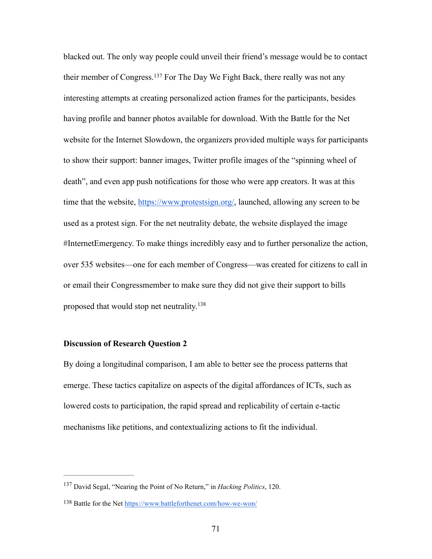<span id="page-75-2"></span>blacked out. The only way people could unveil their friend's message would be to contact theirmember of Congress.<sup>[137](#page-75-0)</sup> For The Day We Fight Back, there really was not any interesting attempts at creating personalized action frames for the participants, besides having profile and banner photos available for download. With the Battle for the Net website for the Internet Slowdown, the organizers provided multiple ways for participants to show their support: banner images, Twitter profile images of the "spinning wheel of death", and even app push notifications for those who were app creators. It was at this time that the website, [https://www.protestsign.org/,](https://www.protestsign.org/) launched, allowing any screen to be used as a protest sign. For the net neutrality debate, the website displayed the image #InternetEmergency. To make things incredibly easy and to further personalize the action, over 535 websites—one for each member of Congress—was created for citizens to call in or email their Congressmember to make sure they did not give their support to bills proposed that would stop net neutrality.[138](#page-75-1)

## <span id="page-75-3"></span>**Discussion of Research Question 2**

By doing a longitudinal comparison, I am able to better see the process patterns that emerge. These tactics capitalize on aspects of the digital affordances of ICTs, such as lowered costs to participation, the rapid spread and replicability of certain e-tactic mechanisms like petitions, and contextualizing actions to fit the individual.

<span id="page-75-0"></span><sup>&</sup>lt;sup>[137](#page-75-2)</sup> David Segal, "Nearing the Point of No Return," in *Hacking Politics*, 120.

<span id="page-75-1"></span><sup>138</sup> Battle for the Net <https://www.battleforthenet.com/how-we-won/>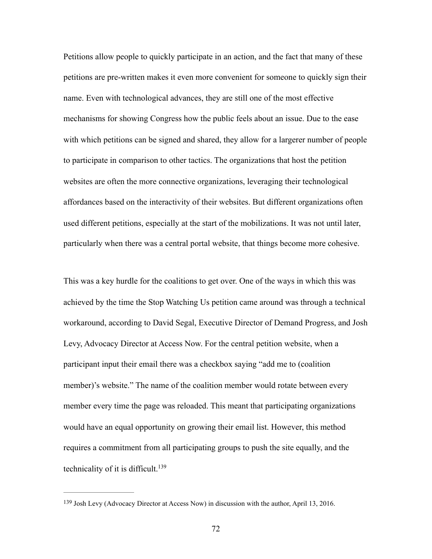Petitions allow people to quickly participate in an action, and the fact that many of these petitions are pre-written makes it even more convenient for someone to quickly sign their name. Even with technological advances, they are still one of the most effective mechanisms for showing Congress how the public feels about an issue. Due to the ease with which petitions can be signed and shared, they allow for a largerer number of people to participate in comparison to other tactics. The organizations that host the petition websites are often the more connective organizations, leveraging their technological affordances based on the interactivity of their websites. But different organizations often used different petitions, especially at the start of the mobilizations. It was not until later, particularly when there was a central portal website, that things become more cohesive.

This was a key hurdle for the coalitions to get over. One of the ways in which this was achieved by the time the Stop Watching Us petition came around was through a technical workaround, according to David Segal, Executive Director of Demand Progress, and Josh Levy, Advocacy Director at Access Now. For the central petition website, when a participant input their email there was a checkbox saying "add me to (coalition member)'s website." The name of the coalition member would rotate between every member every time the page was reloaded. This meant that participating organizations would have an equal opportunity on growing their email list. However, this method requires a commitment from all participating groups to push the site equally, and the technicality of it is difficult.<sup>139</sup>

<span id="page-76-1"></span><span id="page-76-0"></span><sup>&</sup>lt;sup>[139](#page-76-1)</sup> Josh Levy (Advocacy Director at Access Now) in discussion with the author, April 13, 2016.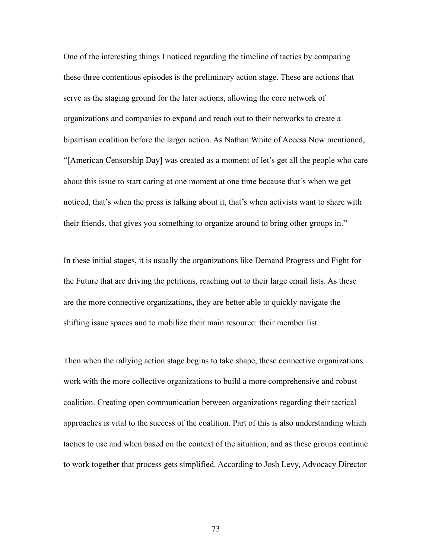One of the interesting things I noticed regarding the timeline of tactics by comparing these three contentious episodes is the preliminary action stage. These are actions that serve as the staging ground for the later actions, allowing the core network of organizations and companies to expand and reach out to their networks to create a bipartisan coalition before the larger action. As Nathan White of Access Now mentioned, "[American Censorship Day] was created as a moment of let's get all the people who care about this issue to start caring at one moment at one time because that's when we get noticed, that's when the press is talking about it, that's when activists want to share with their friends, that gives you something to organize around to bring other groups in."

In these initial stages, it is usually the organizations like Demand Progress and Fight for the Future that are driving the petitions, reaching out to their large email lists. As these are the more connective organizations, they are better able to quickly navigate the shifting issue spaces and to mobilize their main resource: their member list.

Then when the rallying action stage begins to take shape, these connective organizations work with the more collective organizations to build a more comprehensive and robust coalition. Creating open communication between organizations regarding their tactical approaches is vital to the success of the coalition. Part of this is also understanding which tactics to use and when based on the context of the situation, and as these groups continue to work together that process gets simplified. According to Josh Levy, Advocacy Director

73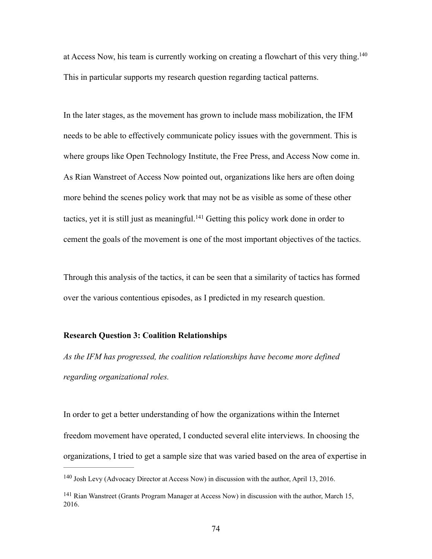<span id="page-78-2"></span>at Access Now, his team is currently working on creating a flowchart of this very thing.<sup>140</sup> This in particular supports my research question regarding tactical patterns.

In the later stages, as the movement has grown to include mass mobilization, the IFM needs to be able to effectively communicate policy issues with the government. This is where groups like Open Technology Institute, the Free Press, and Access Now come in. As Rian Wanstreet of Access Now pointed out, organizations like hers are often doing more behind the scenes policy work that may not be as visible as some of these other tactics,yet it is still just as meaningful.<sup>[141](#page-78-1)</sup> Getting this policy work done in order to cement the goals of the movement is one of the most important objectives of the tactics.

<span id="page-78-3"></span>Through this analysis of the tactics, it can be seen that a similarity of tactics has formed over the various contentious episodes, as I predicted in my research question.

## **Research Question 3: Coalition Relationships**

*As the IFM has progressed, the coalition relationships have become more defined regarding organizational roles.*

In order to get a better understanding of how the organizations within the Internet freedom movement have operated, I conducted several elite interviews. In choosing the organizations, I tried to get a sample size that was varied based on the area of expertise in

<span id="page-78-0"></span> $^{140}$  $^{140}$  $^{140}$  Josh Levy (Advocacy Director at Access Now) in discussion with the author, April 13, 2016.

<span id="page-78-1"></span><sup>&</sup>lt;sup>[141](#page-78-3)</sup> Rian Wanstreet (Grants Program Manager at Access Now) in discussion with the author, March 15, 2016.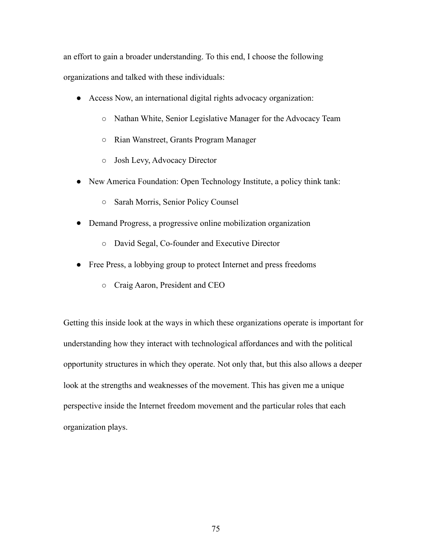an effort to gain a broader understanding. To this end, I choose the following organizations and talked with these individuals:

- Access Now, an international digital rights advocacy organization:
	- Nathan White, Senior Legislative Manager for the Advocacy Team
	- Rian Wanstreet, Grants Program Manager
	- Josh Levy, Advocacy Director
- New America Foundation: Open Technology Institute, a policy think tank:
	- Sarah Morris, Senior Policy Counsel
- Demand Progress, a progressive online mobilization organization
	- David Segal, Co-founder and Executive Director
- Free Press, a lobbying group to protect Internet and press freedoms
	- Craig Aaron, President and CEO

Getting this inside look at the ways in which these organizations operate is important for understanding how they interact with technological affordances and with the political opportunity structures in which they operate. Not only that, but this also allows a deeper look at the strengths and weaknesses of the movement. This has given me a unique perspective inside the Internet freedom movement and the particular roles that each organization plays.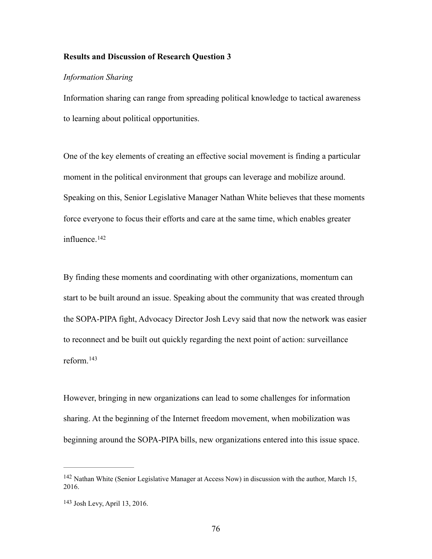### **Results and Discussion of Research Question 3**

### *Information Sharing*

Information sharing can range from spreading political knowledge to tactical awareness to learning about political opportunities.

One of the key elements of creating an effective social movement is finding a particular moment in the political environment that groups can leverage and mobilize around. Speaking on this, Senior Legislative Manager Nathan White believes that these moments force everyone to focus their efforts and care at the same time, which enables greater influence.[142](#page-80-0)

<span id="page-80-2"></span>By finding these moments and coordinating with other organizations, momentum can start to be built around an issue. Speaking about the community that was created through the SOPA-PIPA fight, Advocacy Director Josh Levy said that now the network was easier to reconnect and be built out quickly regarding the next point of action: surveillance reform.[143](#page-80-1)

<span id="page-80-3"></span>However, bringing in new organizations can lead to some challenges for information sharing. At the beginning of the Internet freedom movement, when mobilization was beginning around the SOPA-PIPA bills, new organizations entered into this issue space.

<span id="page-80-0"></span> $142$  Nathan White (Senior Legislative Manager at Access Now) in discussion with the author, March 15, 2016.

<span id="page-80-1"></span><sup>&</sup>lt;sup>[143](#page-80-3)</sup> Josh Levy, April 13, 2016.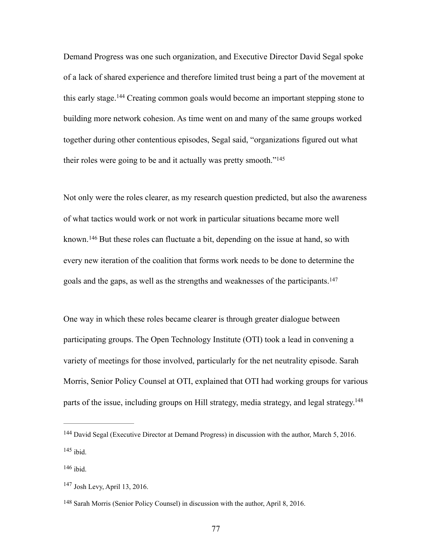<span id="page-81-5"></span>Demand Progress was one such organization, and Executive Director David Segal spoke of a lack of shared experience and therefore limited trust being a part of the movement at thisearly stage.<sup>[144](#page-81-0)</sup> Creating common goals would become an important stepping stone to building more network cohesion. As time went on and many of the same groups worked together during other contentious episodes, Segal said, "organizations figured out what their roles were going to be and it actually was pretty smooth."[145](#page-81-1)

<span id="page-81-7"></span><span id="page-81-6"></span>Not only were the roles clearer, as my research question predicted, but also the awareness of what tactics would work or not work in particular situations became more well known.<sup>146</sup>But these roles can fluctuate a bit, depending on the issue at hand, so with every new iteration of the coalition that forms work needs to be done to determine the goals and the gaps, as well as the strengths and weaknesses of the participants.[147](#page-81-3)

<span id="page-81-8"></span>One way in which these roles became clearer is through greater dialogue between participating groups. The Open Technology Institute (OTI) took a lead in convening a variety of meetings for those involved, particularly for the net neutrality episode. Sarah Morris, Senior Policy Counsel at OTI, explained that OTI had working groups for various parts of the issue, including groups on Hill strategy, media strategy, and legal strategy.<sup>148</sup>

<span id="page-81-2"></span><span id="page-81-1"></span> $146$  ibid.

<span id="page-81-9"></span><span id="page-81-0"></span><sup>&</sup>lt;sup>[144](#page-81-5)</sup> David Segal (Executive Director at Demand Progress) in discussion with the author, March 5, 2016.  $145$  ibid.

<span id="page-81-3"></span> $147$  Josh Levy, April 13, 2016.

<span id="page-81-4"></span><sup>&</sup>lt;sup>[148](#page-81-9)</sup> Sarah Morris (Senior Policy Counsel) in discussion with the author, April 8, 2016.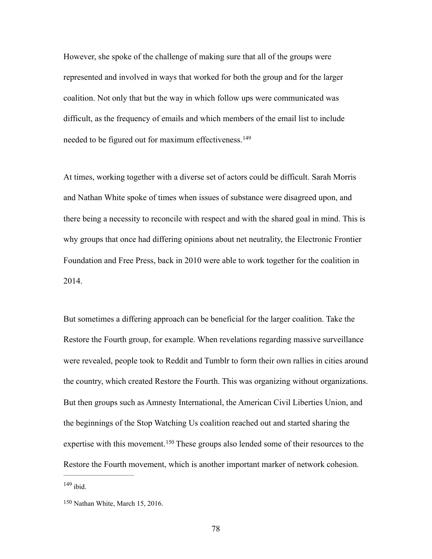However, she spoke of the challenge of making sure that all of the groups were represented and involved in ways that worked for both the group and for the larger coalition. Not only that but the way in which follow ups were communicated was difficult, as the frequency of emails and which members of the email list to include needed to be figured out for maximum effectiveness.<sup>[149](#page-82-0)</sup>

<span id="page-82-2"></span>At times, working together with a diverse set of actors could be difficult. Sarah Morris and Nathan White spoke of times when issues of substance were disagreed upon, and there being a necessity to reconcile with respect and with the shared goal in mind. This is why groups that once had differing opinions about net neutrality, the Electronic Frontier Foundation and Free Press, back in 2010 were able to work together for the coalition in 2014.

But sometimes a differing approach can be beneficial for the larger coalition. Take the Restore the Fourth group, for example. When revelations regarding massive surveillance were revealed, people took to Reddit and Tumblr to form their own rallies in cities around the country, which created Restore the Fourth. This was organizing without organizations. But then groups such as Amnesty International, the American Civil Liberties Union, and the beginnings of the Stop Watching Us coalition reached out and started sharing the expertisewith this movement.  $150$  These groups also lended some of their resources to the Restore the Fourth movement, which is another important marker of network cohesion.  $149$  ibid.

<span id="page-82-3"></span><span id="page-82-1"></span><span id="page-82-0"></span> $150$  Nathan White, March 15, 2016.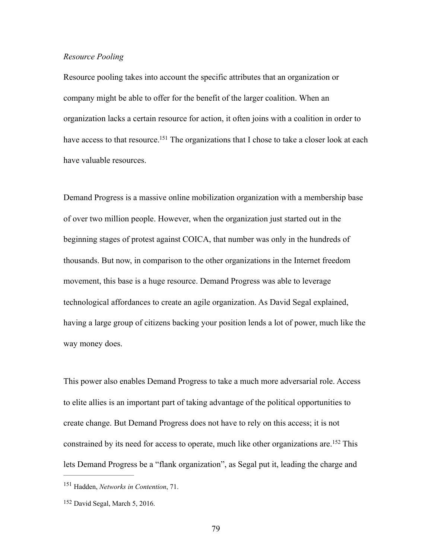### *Resource Pooling*

Resource pooling takes into account the specific attributes that an organization or company might be able to offer for the benefit of the larger coalition. When an organization lacks a certain resource for action, it often joins with a coalition in order to have access to that resource[.](#page-83-0)<sup>[151](#page-83-0)</sup> The organizations that I chose to take a closer look at each have valuable resources.

<span id="page-83-2"></span>Demand Progress is a massive online mobilization organization with a membership base of over two million people. However, when the organization just started out in the beginning stages of protest against COICA, that number was only in the hundreds of thousands. But now, in comparison to the other organizations in the Internet freedom movement, this base is a huge resource. Demand Progress was able to leverage technological affordances to create an agile organization. As David Segal explained, having a large group of citizens backing your position lends a lot of power, much like the way money does.

This power also enables Demand Progress to take a much more adversarial role. Access to elite allies is an important part of taking advantage of the political opportunities to create change. But Demand Progress does not have to rely on this access; it is not constrainedby its need for access to operate, much like other organizations are.<sup>[152](#page-83-1)</sup> This lets Demand Progress be a "flank organization", as Segal put it, leading the charge and

<span id="page-83-3"></span><span id="page-83-0"></span><sup>&</sup>lt;sup>[151](#page-83-2)</sup> Hadden, *Networks in Contention*, 71.

<span id="page-83-1"></span> $152$  David Segal, March 5, 2016.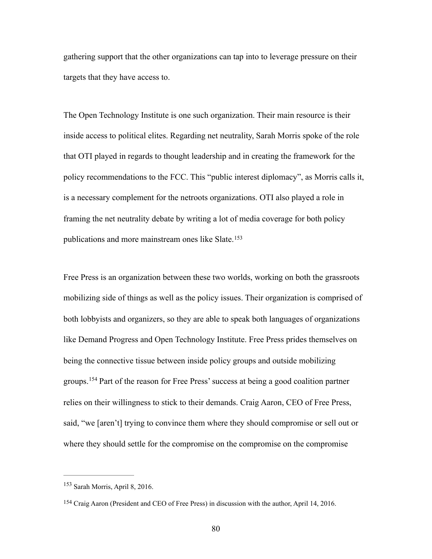gathering support that the other organizations can tap into to leverage pressure on their targets that they have access to.

The Open Technology Institute is one such organization. Their main resource is their inside access to political elites. Regarding net neutrality, Sarah Morris spoke of the role that OTI played in regards to thought leadership and in creating the framework for the policy recommendations to the FCC. This "public interest diplomacy", as Morris calls it, is a necessary complement for the netroots organizations. OTI also played a role in framing the net neutrality debate by writing a lot of media coverage for both policy publications and more mainstream ones like Slate.[153](#page-84-0)

<span id="page-84-2"></span>Free Press is an organization between these two worlds, working on both the grassroots mobilizing side of things as well as the policy issues. Their organization is comprised of both lobbyists and organizers, so they are able to speak both languages of organizations like Demand Progress and Open Technology Institute. Free Press prides themselves on being the connective tissue between inside policy groups and outside mobilizing groups.<sup>[154](#page-84-1)</sup> Part of the reason for Free Press' success at being a good coalition partner relies on their willingness to stick to their demands. Craig Aaron, CEO of Free Press, said, "we [aren't] trying to convince them where they should compromise or sell out or where they should settle for the compromise on the compromise on the compromise

<span id="page-84-3"></span><span id="page-84-0"></span> $153$  Sarah Morris, April 8, 2016.

<span id="page-84-1"></span><sup>&</sup>lt;sup>[154](#page-84-3)</sup> Craig Aaron (President and CEO of Free Press) in discussion with the author, April 14, 2016.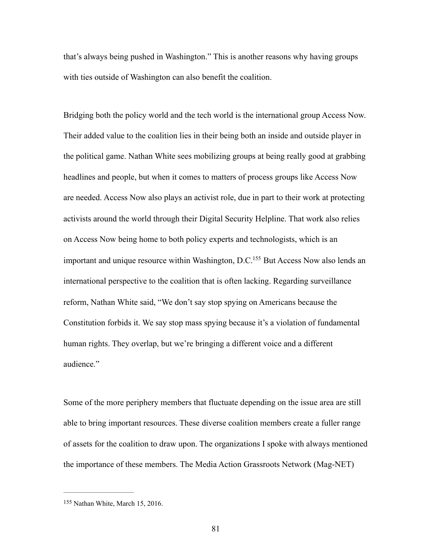that's always being pushed in Washington." This is another reasons why having groups with ties outside of Washington can also benefit the coalition.

Bridging both the policy world and the tech world is the international group Access Now. Their added value to the coalition lies in their being both an inside and outside player in the political game. Nathan White sees mobilizing groups at being really good at grabbing headlines and people, but when it comes to matters of process groups like Access Now are needed. Access Now also plays an activist role, due in part to their work at protecting activists around the world through their Digital Security Helpline. That work also relies on Access Now being home to both policy experts and technologists, which is an important and unique resource within Washington,  $D.C.<sup>155</sup>$  $D.C.<sup>155</sup>$  $D.C.<sup>155</sup>$  $D.C.<sup>155</sup>$  $D.C.<sup>155</sup>$  But Access Now also lends an international perspective to the coalition that is often lacking. Regarding surveillance reform, Nathan White said, "We don't say stop spying on Americans because the Constitution forbids it. We say stop mass spying because it's a violation of fundamental human rights. They overlap, but we're bringing a different voice and a different audience."

<span id="page-85-1"></span>Some of the more periphery members that fluctuate depending on the issue area are still able to bring important resources. These diverse coalition members create a fuller range of assets for the coalition to draw upon. The organizations I spoke with always mentioned the importance of these members. The Media Action Grassroots Network (Mag-NET)

<span id="page-85-0"></span> $155$  Nathan White, March 15, 2016.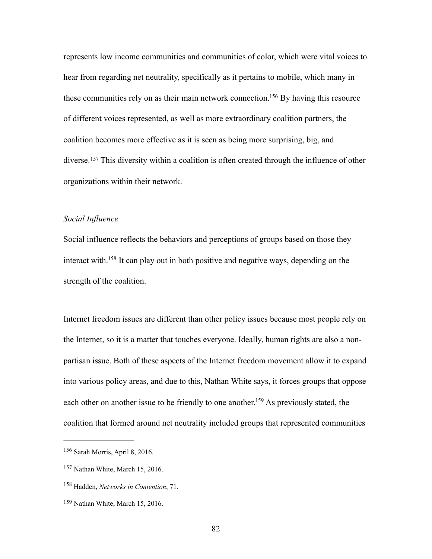<span id="page-86-4"></span>represents low income communities and communities of color, which were vital voices to hear from regarding net neutrality, specifically as it pertains to mobile, which many in these communities rely on as their main network connection[.](#page-86-0)<sup>[156](#page-86-0)</sup> By having this resource of different voices represented, as well as more extraordinary coalition partners, the coalition becomes more effective as it is seen as being more surprising, big, and diverse.<sup>[157](#page-86-1)</sup> This diversity within a coalition is often created through the influence of other organizations within their network.

## <span id="page-86-5"></span>*Social Influence*

<span id="page-86-6"></span>Social influence reflects the behaviors and perceptions of groups based on those they interact with[.](#page-86-2)<sup>[158](#page-86-2)</sup> It can play out in both positive and negative ways, depending on the strength of the coalition.

Internet freedom issues are different than other policy issues because most people rely on the Internet, so it is a matter that touches everyone. Ideally, human rights are also a nonpartisan issue. Both of these aspects of the Internet freedom movement allow it to expand into various policy areas, and due to this, Nathan White says, it forces groups that oppose each other on another issue to be friendly to one another[.](#page-86-3)<sup>[159](#page-86-3)</sup> As previously stated, the coalition that formed around net neutrality included groups that represented communities

<span id="page-86-7"></span><span id="page-86-0"></span> $156$  Sarah Morris, April 8, 2016.

<span id="page-86-1"></span><sup>&</sup>lt;sup>[157](#page-86-5)</sup> Nathan White, March 15, 2016.

<span id="page-86-2"></span><sup>&</sup>lt;sup>[158](#page-86-6)</sup> Hadden, *Networks in Contention*, 71.

<span id="page-86-3"></span><sup>&</sup>lt;sup>[159](#page-86-7)</sup> Nathan White, March 15, 2016.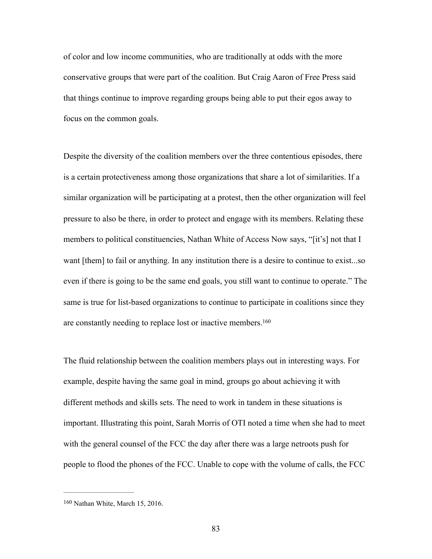of color and low income communities, who are traditionally at odds with the more conservative groups that were part of the coalition. But Craig Aaron of Free Press said that things continue to improve regarding groups being able to put their egos away to focus on the common goals.

Despite the diversity of the coalition members over the three contentious episodes, there is a certain protectiveness among those organizations that share a lot of similarities. If a similar organization will be participating at a protest, then the other organization will feel pressure to also be there, in order to protect and engage with its members. Relating these members to political constituencies, Nathan White of Access Now says, "[it's] not that I want [them] to fail or anything. In any institution there is a desire to continue to exist...so even if there is going to be the same end goals, you still want to continue to operate." The same is true for list-based organizations to continue to participate in coalitions since they are constantly needing to replace lost or inactive members[.160](#page-87-0)

<span id="page-87-1"></span>The fluid relationship between the coalition members plays out in interesting ways. For example, despite having the same goal in mind, groups go about achieving it with different methods and skills sets. The need to work in tandem in these situations is important. Illustrating this point, Sarah Morris of OTI noted a time when she had to meet with the general counsel of the FCC the day after there was a large netroots push for people to flood the phones of the FCC. Unable to cope with the volume of calls, the FCC

<span id="page-87-0"></span> $160$  Nathan White, March 15, 2016.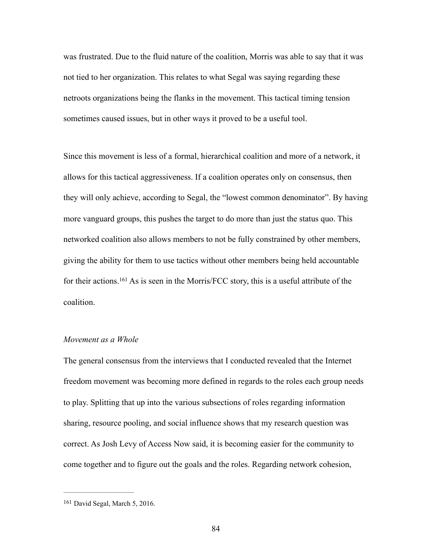was frustrated. Due to the fluid nature of the coalition, Morris was able to say that it was not tied to her organization. This relates to what Segal was saying regarding these netroots organizations being the flanks in the movement. This tactical timing tension sometimes caused issues, but in other ways it proved to be a useful tool.

Since this movement is less of a formal, hierarchical coalition and more of a network, it allows for this tactical aggressiveness. If a coalition operates only on consensus, then they will only achieve, according to Segal, the "lowest common denominator". By having more vanguard groups, this pushes the target to do more than just the status quo. This networked coalition also allows members to not be fully constrained by other members, giving the ability for them to use tactics without other members being held accountable fortheir actions.  $161$  As is seen in the Morris/FCC story, this is a useful attribute of the coalition.

### <span id="page-88-1"></span>*Movement as a Whole*

The general consensus from the interviews that I conducted revealed that the Internet freedom movement was becoming more defined in regards to the roles each group needs to play. Splitting that up into the various subsections of roles regarding information sharing, resource pooling, and social influence shows that my research question was correct. As Josh Levy of Access Now said, it is becoming easier for the community to come together and to figure out the goals and the roles. Regarding network cohesion,

<span id="page-88-0"></span> $161$  David Segal, March 5, 2016.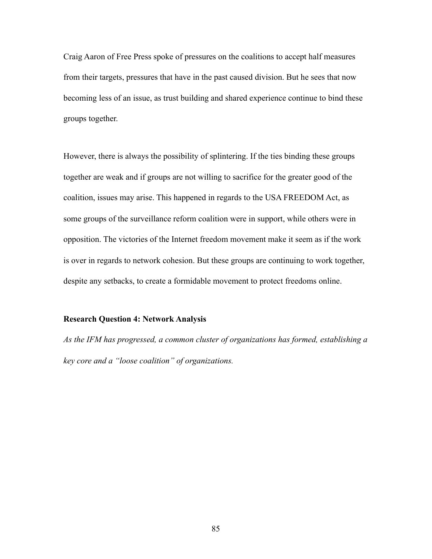Craig Aaron of Free Press spoke of pressures on the coalitions to accept half measures from their targets, pressures that have in the past caused division. But he sees that now becoming less of an issue, as trust building and shared experience continue to bind these groups together.

However, there is always the possibility of splintering. If the ties binding these groups together are weak and if groups are not willing to sacrifice for the greater good of the coalition, issues may arise. This happened in regards to the USA FREEDOM Act, as some groups of the surveillance reform coalition were in support, while others were in opposition. The victories of the Internet freedom movement make it seem as if the work is over in regards to network cohesion. But these groups are continuing to work together, despite any setbacks, to create a formidable movement to protect freedoms online.

#### **Research Question 4: Network Analysis**

*As the IFM has progressed, a common cluster of organizations has formed, establishing a key core and a "loose coalition" of organizations.*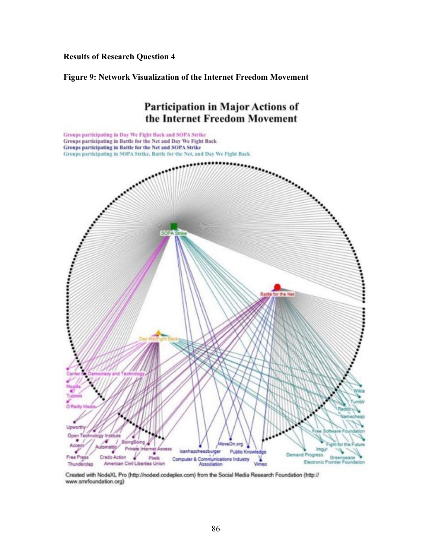## **Results of Research Question 4**

**Figure 9: Network Visualization of the Internet Freedom Movement**



Created with NodeXL Pro (http://nodexl.codeplex.com) from the Social Media Research Foundation (http:// www.smrfoundation.org)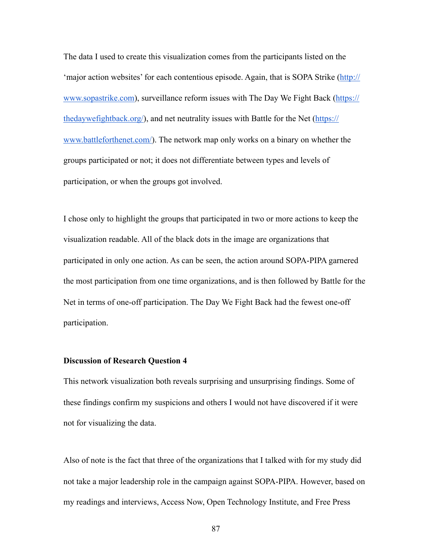The data I used to create this visualization comes from the participants listed on the ['major action websites' for each contentious episode. Again, that is SOPA Strike \(http://](http://www.sopastrike.com) [www.sopastrike.com\), surveillance reform issues with The Day We Fight Back \(https://](https://thedaywefightback.org/) [thedaywefightback.org/\), and net neutrality issues with Battle for the Net \(https://](https://www.battleforthenet.com/) www.battleforthenet.com/). The network map only works on a binary on whether the groups participated or not; it does not differentiate between types and levels of participation, or when the groups got involved.

I chose only to highlight the groups that participated in two or more actions to keep the visualization readable. All of the black dots in the image are organizations that participated in only one action. As can be seen, the action around SOPA-PIPA garnered the most participation from one time organizations, and is then followed by Battle for the Net in terms of one-off participation. The Day We Fight Back had the fewest one-off participation.

## **Discussion of Research Question 4**

This network visualization both reveals surprising and unsurprising findings. Some of these findings confirm my suspicions and others I would not have discovered if it were not for visualizing the data.

Also of note is the fact that three of the organizations that I talked with for my study did not take a major leadership role in the campaign against SOPA-PIPA. However, based on my readings and interviews, Access Now, Open Technology Institute, and Free Press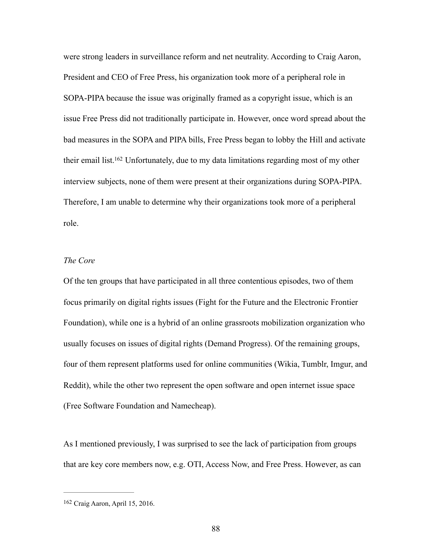were strong leaders in surveillance reform and net neutrality. According to Craig Aaron, President and CEO of Free Press, his organization took more of a peripheral role in SOPA-PIPA because the issue was originally framed as a copyright issue, which is an issue Free Press did not traditionally participate in. However, once word spread about the bad measures in the SOPA and PIPA bills, Free Press began to lobby the Hill and activate their email list[.](#page-92-0)<sup>[162](#page-92-0)</sup> Unfortunately, due to my data limitations regarding most of my other interview subjects, none of them were present at their organizations during SOPA-PIPA. Therefore, I am unable to determine why their organizations took more of a peripheral role.

# <span id="page-92-1"></span>*The Core*

Of the ten groups that have participated in all three contentious episodes, two of them focus primarily on digital rights issues (Fight for the Future and the Electronic Frontier Foundation), while one is a hybrid of an online grassroots mobilization organization who usually focuses on issues of digital rights (Demand Progress). Of the remaining groups, four of them represent platforms used for online communities (Wikia, Tumblr, Imgur, and Reddit), while the other two represent the open software and open internet issue space (Free Software Foundation and Namecheap).

As I mentioned previously, I was surprised to see the lack of participation from groups that are key core members now, e.g. OTI, Access Now, and Free Press. However, as can

<span id="page-92-0"></span><sup>&</sup>lt;sup>[162](#page-92-1)</sup> Craig Aaron, April 15, 2016.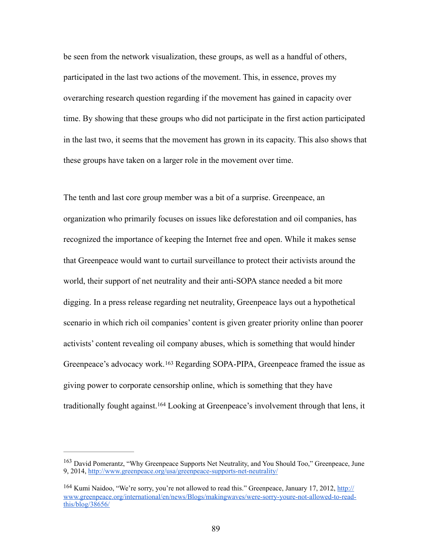be seen from the network visualization, these groups, as well as a handful of others, participated in the last two actions of the movement. This, in essence, proves my overarching research question regarding if the movement has gained in capacity over time. By showing that these groups who did not participate in the first action participated in the last two, it seems that the movement has grown in its capacity. This also shows that these groups have taken on a larger role in the movement over time.

The tenth and last core group member was a bit of a surprise. Greenpeace, an organization who primarily focuses on issues like deforestation and oil companies, has recognized the importance of keeping the Internet free and open. While it makes sense that Greenpeace would want to curtail surveillance to protect their activists around the world, their support of net neutrality and their anti-SOPA stance needed a bit more digging. In a press release regarding net neutrality, Greenpeace lays out a hypothetical scenario in which rich oil companies' content is given greater priority online than poorer activists' content revealing oil company abuses, which is something that would hinder Greenpeace'sadvocacy work.<sup>[163](#page-93-0)</sup> Regarding SOPA-PIPA, Greenpeace framed the issue as giving power to corporate censorship online, which is something that they have traditionallyfought against.<sup>[164](#page-93-1)</sup> Looking at Greenpeace's involvement through that lens, it

<span id="page-93-3"></span><span id="page-93-2"></span><span id="page-93-0"></span><sup>&</sup>lt;sup>[163](#page-93-2)</sup> David Pomerantz, "Why Greenpeace Supports Net Neutrality, and You Should Too," Greenpeace, June 9, 2014, <http://www.greenpeace.org/usa/greenpeace-supports-net-neutrality/>

<span id="page-93-1"></span><sup>&</sup>lt;sup>[164](#page-93-3)</sup> Kumi Naidoo, "We're sorry, you're not allowed to read this." Greenpeace, January 17, 2012, http:// [www.greenpeace.org/international/en/news/Blogs/makingwaves/were-sorry-youre-not-allowed-to-read](http://www.greenpeace.org/international/en/news/Blogs/makingwaves/were-sorry-youre-not-allowed-to-read-this/blog/38656/)this/blog/38656/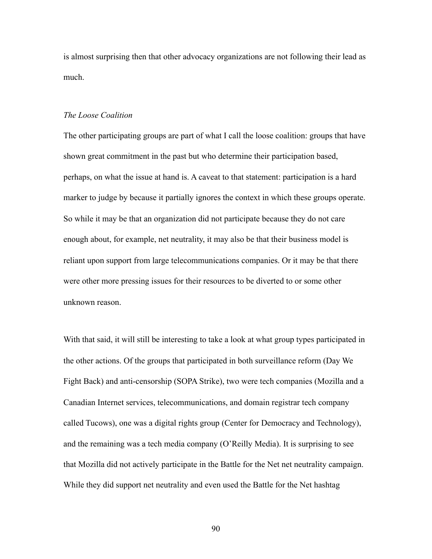is almost surprising then that other advocacy organizations are not following their lead as much.

#### *The Loose Coalition*

The other participating groups are part of what I call the loose coalition: groups that have shown great commitment in the past but who determine their participation based, perhaps, on what the issue at hand is. A caveat to that statement: participation is a hard marker to judge by because it partially ignores the context in which these groups operate. So while it may be that an organization did not participate because they do not care enough about, for example, net neutrality, it may also be that their business model is reliant upon support from large telecommunications companies. Or it may be that there were other more pressing issues for their resources to be diverted to or some other unknown reason.

With that said, it will still be interesting to take a look at what group types participated in the other actions. Of the groups that participated in both surveillance reform (Day We Fight Back) and anti-censorship (SOPA Strike), two were tech companies (Mozilla and a Canadian Internet services, telecommunications, and domain registrar tech company called Tucows), one was a digital rights group (Center for Democracy and Technology), and the remaining was a tech media company (O'Reilly Media). It is surprising to see that Mozilla did not actively participate in the Battle for the Net net neutrality campaign. While they did support net neutrality and even used the Battle for the Net hashtag

90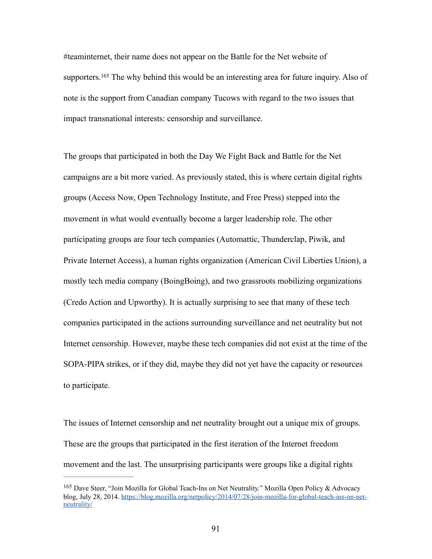<span id="page-95-1"></span>#teaminternet, their name does not appear on the Battle for the Net website of supporters. $165$  The why behind this would be an interesting area for future inquiry. Also of note is the support from Canadian company Tucows with regard to the two issues that impact transnational interests: censorship and surveillance.

The groups that participated in both the Day We Fight Back and Battle for the Net campaigns are a bit more varied. As previously stated, this is where certain digital rights groups (Access Now, Open Technology Institute, and Free Press) stepped into the movement in what would eventually become a larger leadership role. The other participating groups are four tech companies (Automattic, Thunderclap, Piwik, and Private Internet Access), a human rights organization (American Civil Liberties Union), a mostly tech media company (BoingBoing), and two grassroots mobilizing organizations (Credo Action and Upworthy). It is actually surprising to see that many of these tech companies participated in the actions surrounding surveillance and net neutrality but not Internet censorship. However, maybe these tech companies did not exist at the time of the SOPA-PIPA strikes, or if they did, maybe they did not yet have the capacity or resources to participate.

The issues of Internet censorship and net neutrality brought out a unique mix of groups. These are the groups that participated in the first iteration of the Internet freedom movement and the last. The unsurprising participants were groups like a digital rights

<span id="page-95-0"></span><sup>&</sup>lt;sup>[165](#page-95-1)</sup> Dave Steer, "Join Mozilla for Global Teach-Ins on Net Neutrality." Mozilla Open Policy & Advocacy [blog, July 28, 2014. https://blog.mozilla.org/netpolicy/2014/07/28/join-mozilla-for-global-teach-ins-on-net](https://blog.mozilla.org/netpolicy/2014/07/28/join-mozilla-for-global-teach-ins-on-net-neutrality/)neutrality/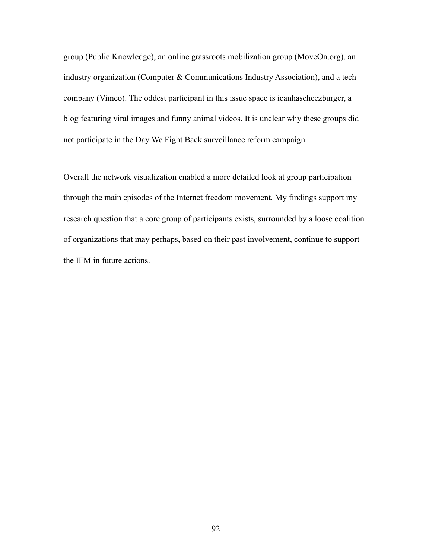group (Public Knowledge), an online grassroots mobilization group (MoveOn.org), an industry organization (Computer & Communications Industry Association), and a tech company (Vimeo). The oddest participant in this issue space is icanhascheezburger, a blog featuring viral images and funny animal videos. It is unclear why these groups did not participate in the Day We Fight Back surveillance reform campaign.

Overall the network visualization enabled a more detailed look at group participation through the main episodes of the Internet freedom movement. My findings support my research question that a core group of participants exists, surrounded by a loose coalition of organizations that may perhaps, based on their past involvement, continue to support the IFM in future actions.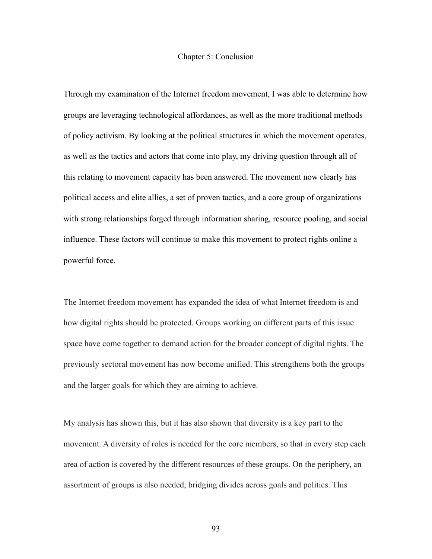#### Chapter 5: Conclusion

Through my examination of the Internet freedom movement, I was able to determine how groups are leveraging technological affordances, as well as the more traditional methods of policy activism. By looking at the political structures in which the movement operates, as well as the tactics and actors that come into play, my driving question through all of this relating to movement capacity has been answered. The movement now clearly has political access and elite allies, a set of proven tactics, and a core group of organizations with strong relationships forged through information sharing, resource pooling, and social influence. These factors will continue to make this movement to protect rights online a powerful force.

The Internet freedom movement has expanded the idea of what Internet freedom is and how digital rights should be protected. Groups working on different parts of this issue space have come together to demand action for the broader concept of digital rights. The previously sectoral movement has now become unified. This strengthens both the groups and the larger goals for which they are aiming to achieve.

My analysis has shown this, but it has also shown that diversity is a key part to the movement. A diversity of roles is needed for the core members, so that in every step each area of action is covered by the different resources of these groups. On the periphery, an assortment of groups is also needed, bridging divides across goals and politics. This

93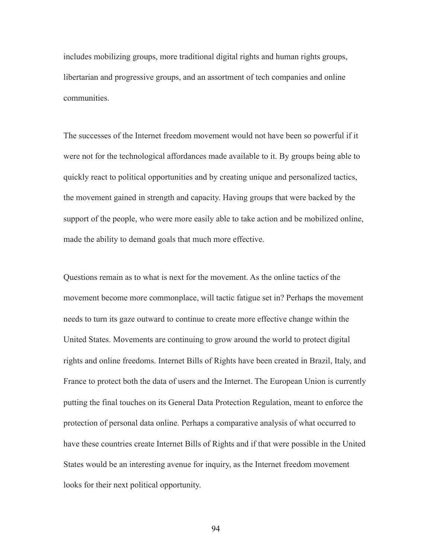includes mobilizing groups, more traditional digital rights and human rights groups, libertarian and progressive groups, and an assortment of tech companies and online communities.

The successes of the Internet freedom movement would not have been so powerful if it were not for the technological affordances made available to it. By groups being able to quickly react to political opportunities and by creating unique and personalized tactics, the movement gained in strength and capacity. Having groups that were backed by the support of the people, who were more easily able to take action and be mobilized online, made the ability to demand goals that much more effective.

Questions remain as to what is next for the movement. As the online tactics of the movement become more commonplace, will tactic fatigue set in? Perhaps the movement needs to turn its gaze outward to continue to create more effective change within the United States. Movements are continuing to grow around the world to protect digital rights and online freedoms. Internet Bills of Rights have been created in Brazil, Italy, and France to protect both the data of users and the Internet. The European Union is currently putting the final touches on its General Data Protection Regulation, meant to enforce the protection of personal data online. Perhaps a comparative analysis of what occurred to have these countries create Internet Bills of Rights and if that were possible in the United States would be an interesting avenue for inquiry, as the Internet freedom movement looks for their next political opportunity.

94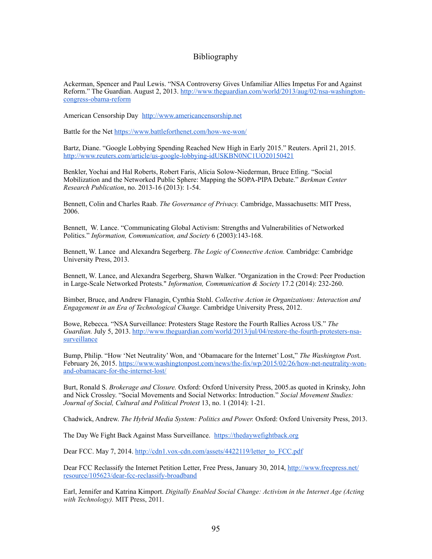## Bibliography

Ackerman, Spencer and Paul Lewis. "NSA Controversy Gives Unfamiliar Allies Impetus For and Against [Reform." The Guardian. August 2, 2013. http://www.theguardian.com/world/2013/aug/02/nsa-washington](http://www.theguardian.com/world/2013/aug/02/nsa-washington-congress-obama-reform)congress-obama-reform

American Censorship Day <http://www.americancensorship.net>

Battle for the Net<https://www.battleforthenet.com/how-we-won/>

Bartz, Diane. "Google Lobbying Spending Reached New High in Early 2015." Reuters. April 21, 2015. <http://www.reuters.com/article/us-google-lobbying-idUSKBN0NC1UO20150421>

Benkler, Yochai and Hal Roberts, Robert Faris, Alicia Solow-Niederman, Bruce Etling. "Social Mobilization and the Networked Public Sphere: Mapping the SOPA-PIPA Debate." *Berkman Center Research Publication*, no. 2013-16 (2013): 1-54.

Bennett, Colin and Charles Raab. *The Governance of Privacy.* Cambridge, Massachusetts: MIT Press, 2006.

Bennett, W. Lance. "Communicating Global Activism: Strengths and Vulnerabilities of Networked Politics." *Information, Communication, and Society* 6 (2003):143-168.

Bennett, W. Lance and Alexandra Segerberg. *The Logic of Connective Action.* Cambridge: Cambridge University Press, 2013.

Bennett, W. Lance, and Alexandra Segerberg, Shawn Walker. "Organization in the Crowd: Peer Production in Large-Scale Networked Protests." *Information, Communication & Society* 17.2 (2014): 232-260.

Bimber, Bruce, and Andrew Flanagin, Cynthia Stohl. *Collective Action in Organizations: Interaction and Engagement in an Era of Technological Change.* Cambridge University Press, 2012.

Bowe, Rebecca. "NSA Surveillance: Protesters Stage Restore the Fourth Rallies Across US." *The Guardian.* [July 5, 2013. http://www.theguardian.com/world/2013/jul/04/restore-the-fourth-protesters-nsa](http://www.theguardian.com/world/2013/jul/04/restore-the-fourth-protesters-nsa-surveillance)surveillance

Bump, Philip. "How 'Net Neutrality' Won, and 'Obamacare for the Internet' Lost," *The Washington Pos*t. [February 26, 2015. https://www.washingtonpost.com/news/the-fix/wp/2015/02/26/how-net-neutrality-won](https://www.washingtonpost.com/news/the-fix/wp/2015/02/26/how-net-neutrality-won-and-obamacare-for-the-internet-lost/)and-obamacare-for-the-internet-lost/

Burt, Ronald S. *Brokerage and Closure.* Oxford: Oxford University Press, 2005.as quoted in Krinsky, John and Nick Crossley. "Social Movements and Social Networks: Introduction." *Social Movement Studies: Journal of Social, Cultural and Political Protest* 13, no. 1 (2014): 1-21.

Chadwick, Andrew. *The Hybrid Media System: Politics and Power.* Oxford: Oxford University Press, 2013.

The Day We Fight Back Against Mass Surveillance. <https://thedaywefightback.org>

Dear FCC. May 7, 2014. [http://cdn1.vox-cdn.com/assets/4422119/letter\\_to\\_FCC.pdf](http://cdn1.vox-cdn.com/assets/4422119/letter_to_FCC.pdf)

[Dear FCC Reclassify the Internet Petition Letter, Free Press, January 30, 2014, http://www.freepress.net/](http://www.freepress.net/resource/105623/dear-fcc-reclassify-broadband) resource/105623/dear-fcc-reclassify-broadband

Earl, Jennifer and Katrina Kimport. *Digitally Enabled Social Change: Activism in the Internet Age (Acting with Technology).* MIT Press, 2011.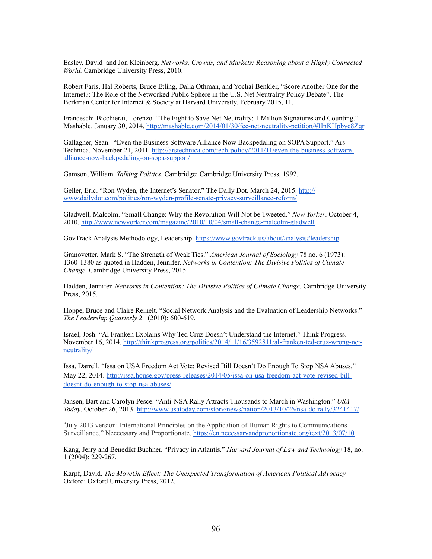Easley, David and Jon Kleinberg. *Networks, Crowds, and Markets: Reasoning about a Highly Connected World.* Cambridge University Press, 2010.

Robert Faris, Hal Roberts, Bruce Etling, Dalia Othman, and Yochai Benkler, "Score Another One for the Internet?: The Role of the Networked Public Sphere in the U.S. Net Neutrality Policy Debate", The Berkman Center for Internet & Society at Harvard University, February 2015, 11.

Franceschi-Bicchierai, Lorenzo. "The Fight to Save Net Neutrality: 1 Million Signatures and Counting." Mashable. January 30, 2014. [http://mashable.com/2014/01/30/fcc-net-neutrality-petition/#HnKHpbyc8Zqr](http://mashable.com/2014/01/30/fcc-net-neutrality-petition/%23HnKHpbyc8Zqr)

Gallagher, Sean. "Even the Business Software Alliance Now Backpedaling on SOPA Support." Ars [Technica. November 21, 2011. http://arstechnica.com/tech-policy/2011/11/even-the-business-software](http://arstechnica.com/tech-policy/2011/11/even-the-business-software-alliance-now-backpedaling-on-sopa-support/)alliance-now-backpedaling-on-sopa-support/

Gamson, William. *Talking Politics*. Cambridge: Cambridge University Press, 1992.

[Geller, Eric. "Ron Wyden, the Internet's Senator." The Daily Dot. March 24, 2015. http://](http://www.dailydot.com/politics/ron-wyden-profile-senate-privacy-surveillance-reform/) www.dailydot.com/politics/ron-wyden-profile-senate-privacy-surveillance-reform/

Gladwell, Malcolm. "Small Change: Why the Revolution Will Not be Tweeted." *New Yorker*. October 4, 2010, <http://www.newyorker.com/magazine/2010/10/04/small-change-malcolm-gladwell>

GovTrack Analysis Methodology, Leadership. [https://www.govtrack.us/about/analysis#leadership](https://www.govtrack.us/about/analysis%23leadership)

Granovetter, Mark S. "The Strength of Weak Ties." *American Journal of Sociology* 78 no. 6 (1973): 1360-1380 as quoted in Hadden, Jennifer. *Networks in Contention: The Divisive Politics of Climate Change.* Cambridge University Press, 2015.

Hadden, Jennifer. *Networks in Contention: The Divisive Politics of Climate Change*. Cambridge University Press, 2015.

Hoppe, Bruce and Claire Reinelt. "Social Network Analysis and the Evaluation of Leadership Networks." *The Leadership Quarterly* 21 (2010): 600-619.

Israel, Josh. "Al Franken Explains Why Ted Cruz Doesn't Understand the Internet." Think Progress. [November 16, 2014. http://thinkprogress.org/politics/2014/11/16/3592811/al-franken-ted-cruz-wrong-net](http://thinkprogress.org/politics/2014/11/16/3592811/al-franken-ted-cruz-wrong-net-neutrality/)neutrality/

Issa, Darrell. "Issa on USA Freedom Act Vote: Revised Bill Doesn't Do Enough To Stop NSA Abuses," [May 22, 2014. http://issa.house.gov/press-releases/2014/05/issa-on-usa-freedom-act-vote-revised-bill](http://issa.house.gov/press-releases/2014/05/issa-on-usa-freedom-act-vote-revised-bill-doesnt-do-enough-to-stop-nsa-abuses/)doesnt-do-enough-to-stop-nsa-abuses/

Jansen, Bart and Carolyn Pesce. "Anti-NSA Rally Attracts Thousands to March in Washington." *USA Today*. October 26, 2013. <http://www.usatoday.com/story/news/nation/2013/10/26/nsa-dc-rally/3241417/>

"July 2013 version: International Principles on the Application of Human Rights to Communications Surveillance." Neccessary and Proportionate. <https://en.necessaryandproportionate.org/text/2013/07/10>

Kang, Jerry and Benedikt Buchner. "Privacy in Atlantis." *Harvard Journal of Law and Technology* 18, no. 1 (2004): 229-267.

Karpf, David. *The MoveOn Effect: The Unexpected Transformation of American Political Advocacy.* Oxford: Oxford University Press, 2012.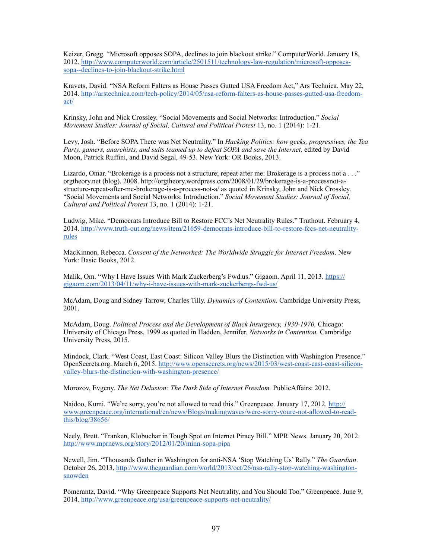Keizer, Gregg. "Microsoft opposes SOPA, declines to join blackout strike." ComputerWorld. January 18, [2012. http://www.computerworld.com/article/2501511/technology-law-regulation/microsoft-opposes](http://www.computerworld.com/article/2501511/technology-law-regulation/microsoft-opposes-sopa--declines-to-join-blackout-strike.html)sopa--declines-to-join-blackout-strike.html

Kravets, David. "NSA Reform Falters as House Passes Gutted USA Freedom Act," Ars Technica. May 22, [2014. http://arstechnica.com/tech-policy/2014/05/nsa-reform-falters-as-house-passes-gutted-usa-freedom](http://arstechnica.com/tech-policy/2014/05/nsa-reform-falters-as-house-passes-gutted-usa-freedom-act/)act/

Krinsky, John and Nick Crossley. "Social Movements and Social Networks: Introduction." *Social Movement Studies: Journal of Social, Cultural and Political Protest* 13, no. 1 (2014): 1-21.

Levy, Josh. "Before SOPA There was Net Neutrality." In *Hacking Politics: how geeks, progressives, the Tea*  Party, gamers, anarchists, and suits teamed up to defeat SOPA and save the Internet, edited by David Moon, Patrick Ruffini, and David Segal, 49-53. New York: OR Books, 2013.

Lizardo, Omar. "Brokerage is a process not a structure; repeat after me: Brokerage is a process not a . . ." orgtheory.net (blog). 2008. http://orgtheory.wordpress.com/2008/01/29/brokerage-is-a-processnot-astructure-repeat-after-me-brokerage-is-a-process-not-a/ as quoted in Krinsky, John and Nick Crossley. "Social Movements and Social Networks: Introduction." *Social Movement Studies: Journal of Social, Cultural and Political Protest* 13, no. 1 (2014): 1-21.

Ludwig, Mike. "Democrats Introduce Bill to Restore FCC's Net Neutrality Rules." Truthout. February 4, [2014. http://www.truth-out.org/news/item/21659-democrats-introduce-bill-to-restore-fccs-net-neutrality](http://www.truth-out.org/news/item/21659-democrats-introduce-bill-to-restore-fccs-net-neutrality-rules)rules

MacKinnon, Rebecca. *Consent of the Networked: The Worldwide Struggle for Internet Freedom*. New York: Basic Books, 2012.

[Malik, Om. "Why I Have Issues With Mark Zuckerberg's Fwd.us." Gigaom. April 11, 2013. https://](https://gigaom.com/2013/04/11/why-i-have-issues-with-mark-zuckerbergs-fwd-us/) gigaom.com/2013/04/11/why-i-have-issues-with-mark-zuckerbergs-fwd-us/

McAdam, Doug and Sidney Tarrow, Charles Tilly. *Dynamics of Contention.* Cambridge University Press, 2001.

McAdam, Doug. *Political Process and the Development of Black Insurgency, 1930-1970.* Chicago: University of Chicago Press, 1999 as quoted in Hadden, Jennifer. *Networks in Contention.* Cambridge University Press, 2015.

Mindock, Clark. "West Coast, East Coast: Silicon Valley Blurs the Distinction with Washington Presence." [OpenSecrets.org. March 6, 2015. http://www.opensecrets.org/news/2015/03/west-coast-east-coast-silicon](http://www.opensecrets.org/news/2015/03/west-coast-east-coast-silicon-valley-blurs-the-distinction-with-washington-presence/)valley-blurs-the-distinction-with-washington-presence/

Morozov, Evgeny. *The Net Delusion: The Dark Side of Internet Freedom.* PublicAffairs: 2012.

Naidoo, Kumi. "We're sorry, you're not allowed to read this." Greenpeace. January 17, 2012. http:// [www.greenpeace.org/international/en/news/Blogs/makingwaves/were-sorry-youre-not-allowed-to-read](http://www.greenpeace.org/international/en/news/Blogs/makingwaves/were-sorry-youre-not-allowed-to-read-this/blog/38656/)this/blog/38656/

Neely, Brett. "Franken, Klobuchar in Tough Spot on Internet Piracy Bill." MPR News. January 20, 2012. <http://www.mprnews.org/story/2012/01/20/minn-sopa-pipa>

Newell, Jim. "Thousands Gather in Washington for anti-NSA 'Stop Watching Us' Rally." *The Guardian*. [October 26, 2013, http://www.theguardian.com/world/2013/oct/26/nsa-rally-stop-watching-washington](http://www.theguardian.com/world/2013/oct/26/nsa-rally-stop-watching-washington-snowden)snowden

Pomerantz, David. "Why Greenpeace Supports Net Neutrality, and You Should Too." Greenpeace. June 9, 2014. <http://www.greenpeace.org/usa/greenpeace-supports-net-neutrality/>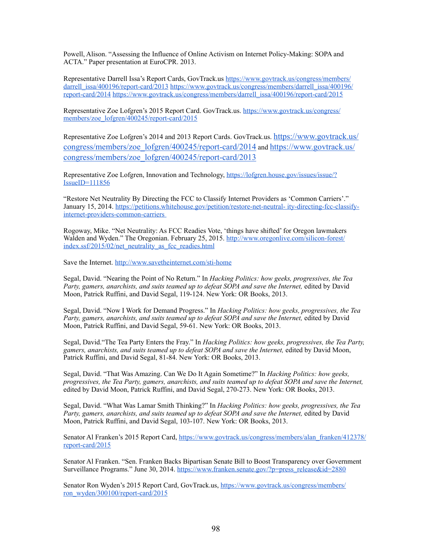Powell, Alison. "Assessing the Influence of Online Activism on Internet Policy-Making: SOPA and ACTA." Paper presentation at EuroCPR. 2013.

Representative [Darrell Issa's Report Cards, GovTrack.us https://www.govtrack.us/congress/members/](https://www.govtrack.us/congress/members/darrell_issa/400196/report-card/2013) darrell\_issa/400196/report-card/2013 https://www.govtrack.us/congress/members/darrell\_issa/400196/ report-card/2014 [https://www.govtrack.us/congress/members/darrell\\_issa/400196/report-card/2015](https://www.govtrack.us/congress/members/darrell_issa/400196/report-card/2014)

[Representative Zoe Lofgren's 2015 Report Card. GovTrack.us. https://www.govtrack.us/congress/](https://www.govtrack.us/congress/members/zoe_lofgren/400245/report-card/2015) members/zoe\_lofgren/400245/report-card/2015

[Representative Zoe Lofgren's 2014 and 2013 Report Cards. GovTrack.us. https://www.govtrack.us/](https://www.govtrack.us/congress/members/zoe_lofgren/400245/report-card/2014) [congress/members/zoe\\_lofgren/400245/report-card/2014 and https://www.govtrack.us/](https://www.govtrack.us/congress/members/zoe_lofgren/400245/report-card/2013) congress/members/zoe\_lofgren/400245/report-card/2013

[Representative Zoe Lofgren, Innovation and Technology, https://lofgren.house.gov/issues/issue/?](https://lofgren.house.gov/issues/issue/?IssueID=111856) IssueID=111856

"Restore Net Neutrality By Directing the FCC to Classify Internet Providers as 'Common Carriers'." [January 15, 2014. https://petitions.whitehouse.gov/petition/restore-net-neutral- ity-directing-fcc-classify](https://petitions.whitehouse.gov/petition/restore-net-neutral-)internet-providers-common-carriers

Rogoway, Mike. "Net Neutrality: As FCC Readies Vote, 'things have shifted' for Oregon lawmakers [Walden and Wyden." The Oregonian. February 25, 2015. http://www.oregonlive.com/silicon-forest/](http://www.oregonlive.com/silicon-forest/index.ssf/2015/02/net_neutrality_as_fcc_readies.html) index.ssf/2015/02/net\_neutrality\_as\_fcc\_readies.html

Save the Internet. <http://www.savetheinternet.com/sti-home>

Segal, David. "Nearing the Point of No Return." In *Hacking Politics: how geeks, progressives, the Tea*  Party, gamers, anarchists, and suits teamed up to defeat SOPA and save the Internet, edited by David Moon, Patrick Ruffini, and David Segal, 119-124. New York: OR Books, 2013.

Segal, David. "Now I Work for Demand Progress." In *Hacking Politics: how geeks, progressives, the Tea*  Party, gamers, anarchists, and suits teamed up to defeat SOPA and save the Internet, edited by David Moon, Patrick Ruffini, and David Segal, 59-61. New York: OR Books, 2013.

Segal, David."The Tea Party Enters the Fray." In *Hacking Politics: how geeks, progressives, the Tea Party, gamers, anarchists, and suits teamed up to defeat SOPA and save the Internet,* edited by David Moon, Patrick Ruffini, and David Segal, 81-84. New York: OR Books, 2013.

Segal, David. "That Was Amazing. Can We Do It Again Sometime?" In *Hacking Politics: how geeks, progressives, the Tea Party, gamers, anarchists, and suits teamed up to defeat SOPA and save the Internet,*  edited by David Moon, Patrick Ruffini, and David Segal, 270-273. New York: OR Books, 2013.

Segal, David. "What Was Lamar Smith Thinking?" In *Hacking Politics: how geeks, progressives, the Tea*  Party, gamers, anarchists, and suits teamed up to defeat SOPA and save the Internet, edited by David Moon, Patrick Ruffini, and David Segal, 103-107. New York: OR Books, 2013.

[Senator Al Franken's 2015 Report Card, https://www.govtrack.us/congress/members/alan\\_franken/412378/](https://www.govtrack.us/congress/members/alan_franken/412378/report-card/2015) report-card/2015

Senator Al Franken. "Sen. Franken Backs Bipartisan Senate Bill to Boost Transparency over Government Surveillance Programs." June 30, 2014. [https://www.franken.senate.gov/?p=press\\_release&id=2880](https://www.franken.senate.gov/?p=press_release&id=2880)

[Senator Ron Wyden's 2015 Report Card, GovTrack.us, https://www.govtrack.us/congress/members/](https://www.govtrack.us/congress/members/ron_wyden/300100/report-card/2015) ron\_wyden/300100/report-card/2015